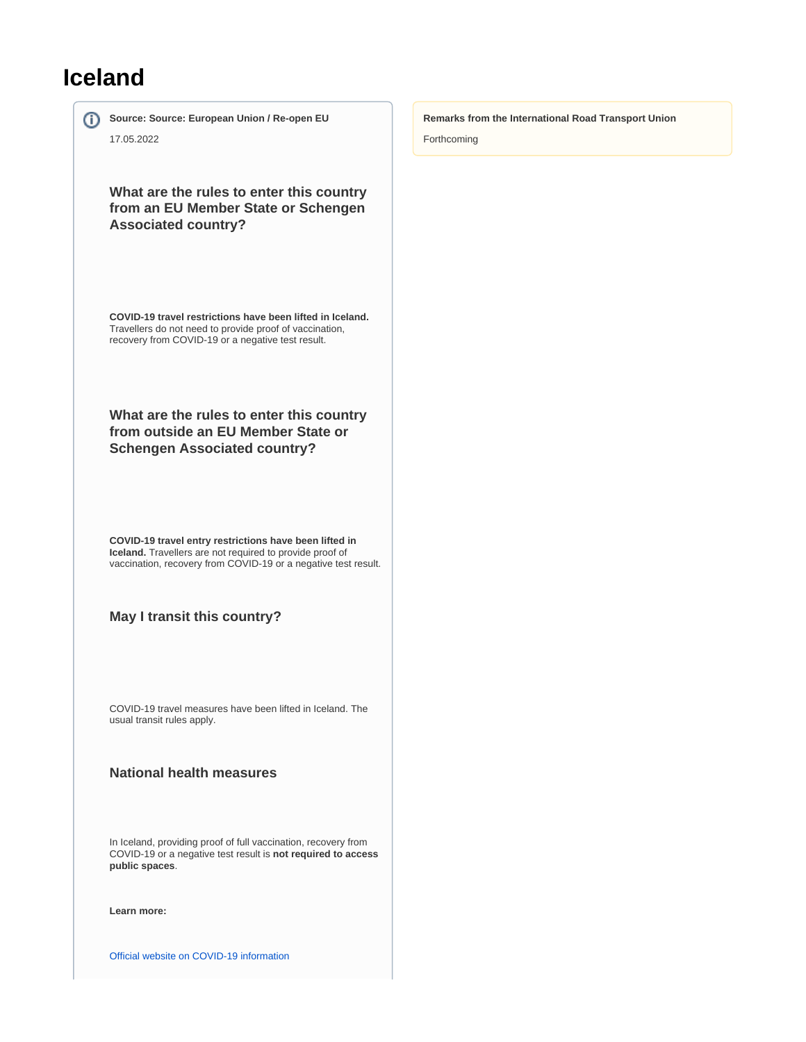# **Iceland**

**Source: Source: European Union / Re-open EU** 17.05.2022

**What are the rules to enter this country from an EU Member State or Schengen Associated country?**

**COVID-19 travel restrictions have been lifted in Iceland.** Travellers do not need to provide proof of vaccination, recovery from COVID-19 or a negative test result.

**What are the rules to enter this country from outside an EU Member State or Schengen Associated country?**

**COVID-19 travel entry restrictions have been lifted in Iceland.** Travellers are not required to provide proof of vaccination, recovery from COVID-19 or a negative test result.

**May I transit this country?**

COVID-19 travel measures have been lifted in Iceland. The usual transit rules apply.

### **National health measures**

In Iceland, providing proof of full vaccination, recovery from COVID-19 or a negative test result is **not required to access public spaces**.

**Learn more:**

[Official website on COVID-19 information](https://www.covid.is/english)

#### **Remarks from the International Road Transport Union**

Forthcoming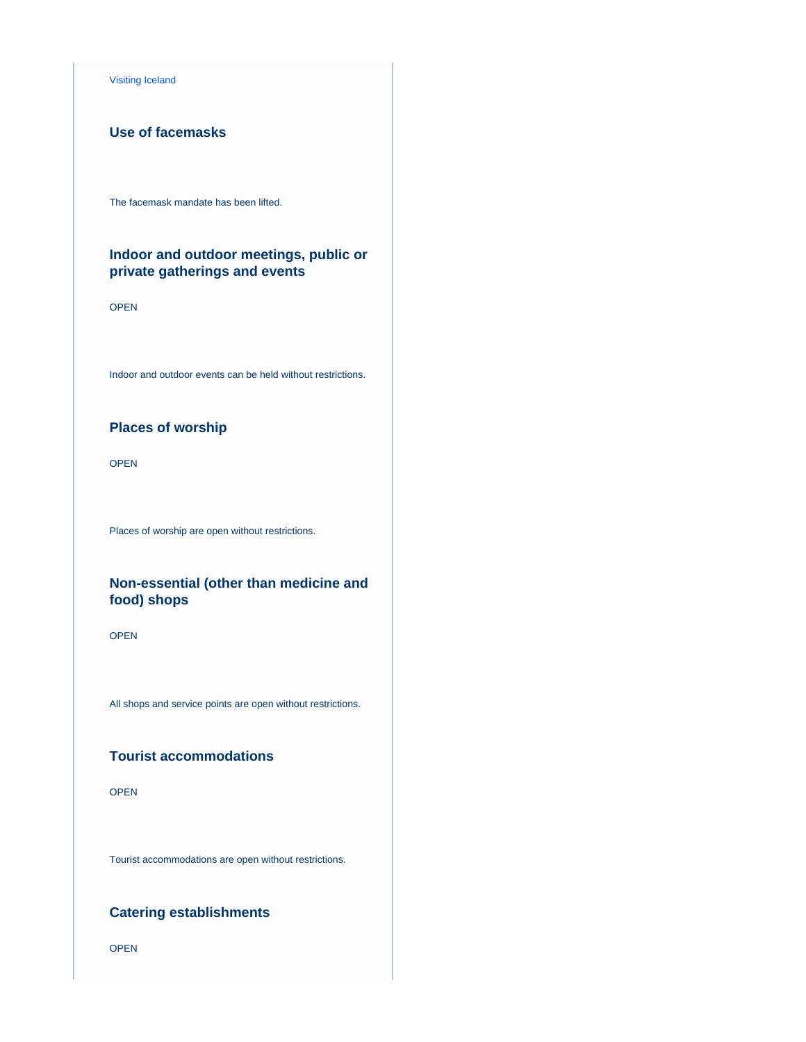[Visiting Iceland](https://www.visiticeland.com/article/iceland-and-covid19-coronavirus/)

# **Use of facemasks**

The facemask mandate has been lifted.

# **Indoor and outdoor meetings, public or private gatherings and events**

OPEN

Indoor and outdoor events can be held without restrictions.

## **Places of worship**

OPEN

Places of worship are open without restrictions.

# **Non-essential (other than medicine and food) shops**

OPEN

All shops and service points are open without restrictions.

# **Tourist accommodations**

OPEN

Tourist accommodations are open without restrictions.

# **Catering establishments**

OPEN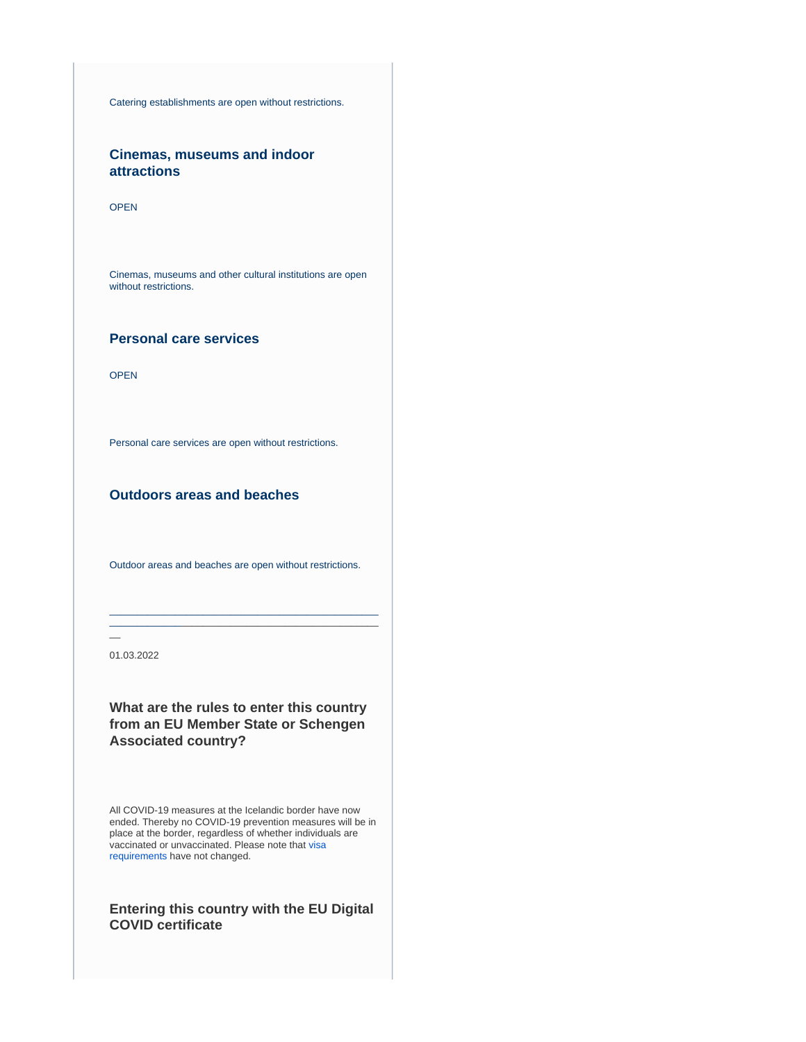Catering establishments are open without restrictions.

# **Cinemas, museums and indoor attractions**

OPEN

Cinemas, museums and other cultural institutions are open without restrictions.

### **Personal care services**

OPEN

Personal care services are open without restrictions.

### **Outdoors areas and beaches**

Outdoor areas and beaches are open without restrictions.

\_\_\_\_\_\_\_\_\_\_\_\_\_\_\_\_\_\_\_\_\_\_\_\_\_\_\_\_\_\_\_\_\_\_\_\_\_\_\_\_\_\_\_\_\_\_\_\_\_ \_\_\_\_\_\_\_\_\_\_\_\_\_\_\_\_\_\_\_\_\_\_\_\_\_\_\_\_\_\_\_\_\_\_\_\_\_\_\_\_\_\_\_\_\_\_\_\_\_

\_\_

01.03.2022

# **What are the rules to enter this country from an EU Member State or Schengen Associated country?**

All COVID-19 measures at the Icelandic border have now ended. Thereby no COVID-19 prevention measures will be in place at the border, regardless of whether individuals are vaccinated or unvaccinated. Please note that [visa](https://www.government.is/topics/foreign-affairs/visa-to-iceland/)  [requirements](https://www.government.is/topics/foreign-affairs/visa-to-iceland/) have not changed.

# **Entering this country with the EU Digital COVID certificate**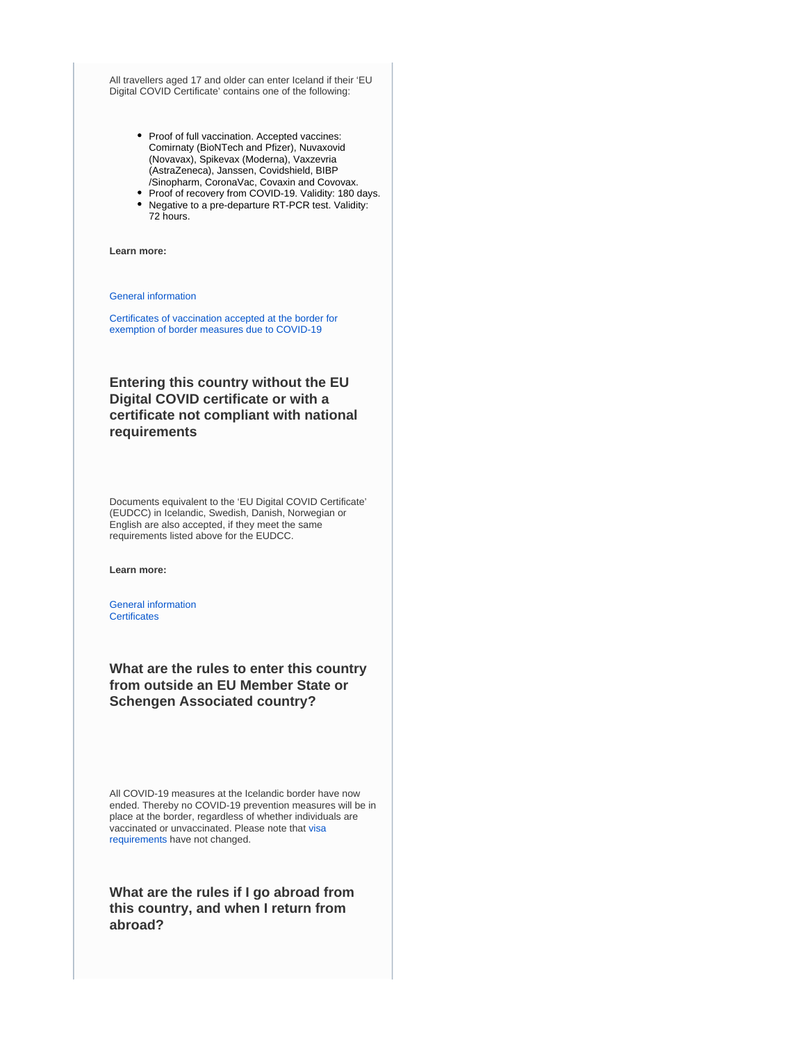All travellers aged 17 and older can enter Iceland if their 'EU Digital COVID Certificate' contains one of the following:

- Proof of full vaccination. Accepted vaccines: Comirnaty (BioNTech and Pfizer), Nuvaxovid (Novavax), Spikevax (Moderna), Vaxzevria (AstraZeneca), Janssen, Covidshield, BIBP /Sinopharm, CoronaVac, Covaxin and Covovax.
- Proof of recovery from COVID-19. Validity: 180 days. Negative to a pre-departure RT-PCR test. Validity: 72 hours.

**Learn more:**

#### [General information](https://www.covid.is/english)

[Certificates of vaccination accepted at the border for](https://www.landlaeknir.is/um-embaettid/greinar/grein/item44162/Certificate-of-vaccination-against-COVID-19-accepted-at-the-border)  [exemption of border measures due to COVID-19](https://www.landlaeknir.is/um-embaettid/greinar/grein/item44162/Certificate-of-vaccination-against-COVID-19-accepted-at-the-border)

# **Entering this country without the EU Digital COVID certificate or with a certificate not compliant with national requirements**

Documents equivalent to the 'EU Digital COVID Certificate' (EUDCC) in Icelandic, Swedish, Danish, Norwegian or English are also accepted, if they meet the same requirements listed above for the EUDCC.

#### **Learn more:**

[General information](https://www.covid.is/english) **[Certificates](https://www.covid.is/sub-categories/certificates)** 

# **What are the rules to enter this country from outside an EU Member State or Schengen Associated country?**

All COVID-19 measures at the Icelandic border have now ended. Thereby no COVID-19 prevention measures will be in place at the border, regardless of whether individuals are vaccinated or unvaccinated. Please note that [visa](https://www.government.is/topics/foreign-affairs/visa-to-iceland/)  [requirements](https://www.government.is/topics/foreign-affairs/visa-to-iceland/) have not changed.

**What are the rules if I go abroad from this country, and when I return from abroad?**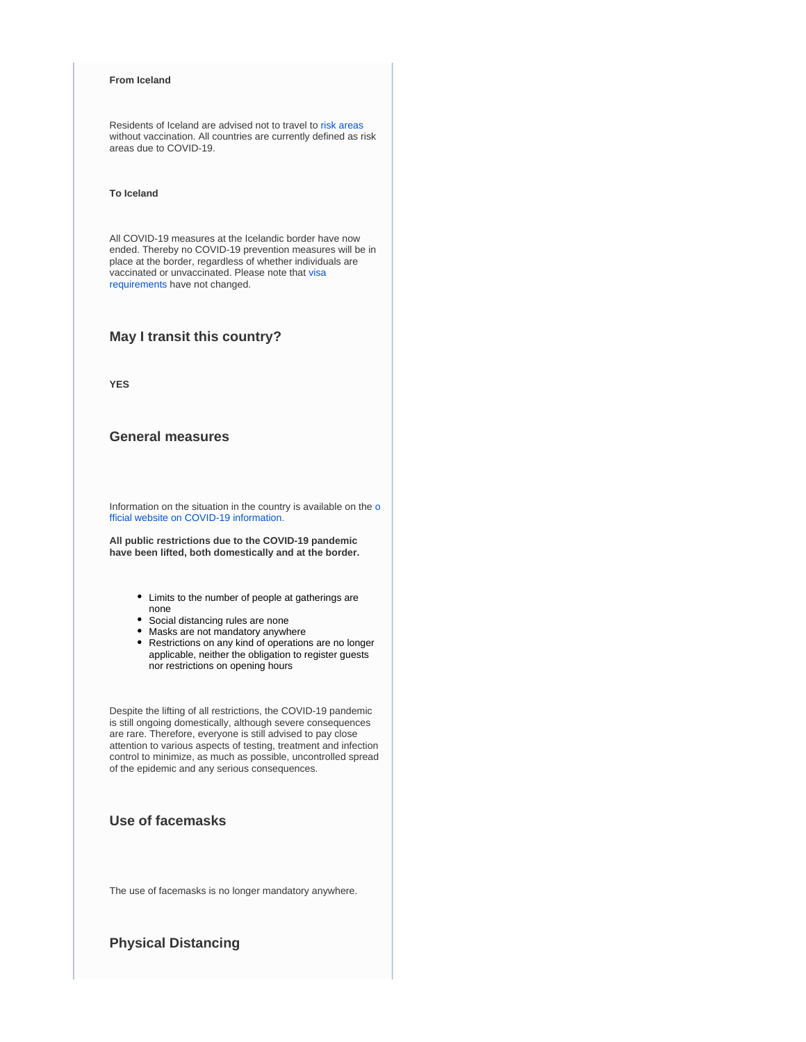#### **From Iceland**

Residents of Iceland are advised not to travel to [risk areas](https://www.landlaeknir.is/um-embaettid/greinar/grein/item43855/Information-for-travellers-to-Iceland) without vaccination. All countries are currently defined as risk areas due to COVID-19.

#### **To Iceland**

All COVID-19 measures at the Icelandic border have now ended. Thereby no COVID-19 prevention measures will be in place at the border, regardless of whether individuals are vaccinated or unvaccinated. Please note that [visa](https://www.government.is/topics/foreign-affairs/visa-to-iceland/)  [requirements](https://www.government.is/topics/foreign-affairs/visa-to-iceland/) have not changed.

#### **May I transit this country?**

**YES**

### **General measures**

Information on the situation in the country is available on the [o](https://www.covid.is/english) [fficial website on COVID-19 information.](https://www.covid.is/english)

**All public restrictions due to the COVID-19 pandemic have been lifted, both domestically and at the border.**

- Limits to the number of people at gatherings are none
- Social distancing rules are none
- Masks are not mandatory anywhere
- Restrictions on any kind of operations are no longer applicable, neither the obligation to register guests nor restrictions on opening hours

Despite the lifting of all restrictions, the COVID-19 pandemic is still ongoing domestically, although severe consequences are rare. Therefore, everyone is still advised to pay close attention to various aspects of testing, treatment and infection control to minimize, as much as possible, uncontrolled spread of the epidemic and any serious consequences.

### **Use of facemasks**

The use of facemasks is no longer mandatory anywhere.

### **Physical Distancing**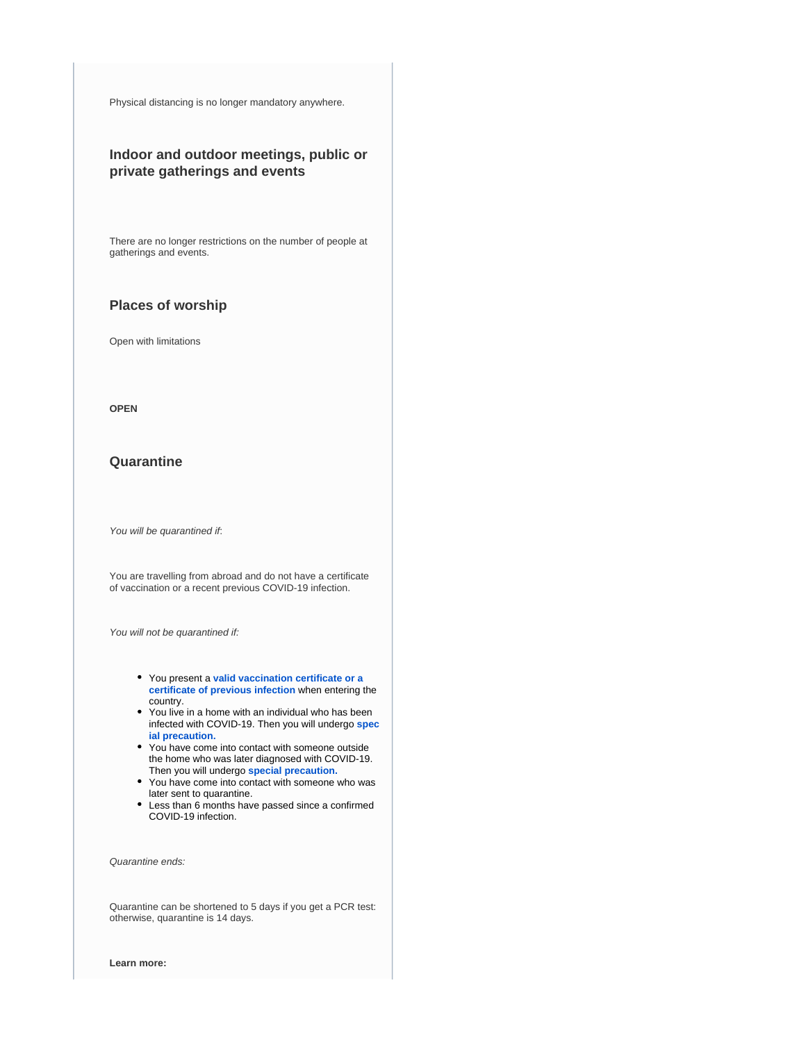Physical distancing is no longer mandatory anywhere.

# **Indoor and outdoor meetings, public or private gatherings and events**

There are no longer restrictions on the number of people at gatherings and events.

### **Places of worship**

Open with limitations

**OPEN**

#### **Quarantine**

You will be quarantined if:

You are travelling from abroad and do not have a certificate of vaccination or a recent previous COVID-19 infection.

You will not be quarantined if:

- You present a **[valid vaccination certificate or a](https://www.covid.is/sub-categories/certificates)  [certificate of previous infection](https://www.covid.is/sub-categories/certificates)** when entering the country.
- You live in a home with an individual who has been infected with COVID-19. Then you will undergo **[spec](https://www.covid.is/sub-categories/special-precaution) [ial precaution.](https://www.covid.is/sub-categories/special-precaution)**
- You have come into contact with someone outside the home who was later diagnosed with COVID-19. Then you will undergo **[special precaution.](https://www.covid.is/sub-categories/special-precaution)**
- You have come into contact with someone who was later sent to quarantine.
- Less than 6 months have passed since a confirmed COVID-19 infection.

Quarantine ends:

Quarantine can be shortened to 5 days if you get a PCR test: otherwise, quarantine is 14 days.

**Learn more:**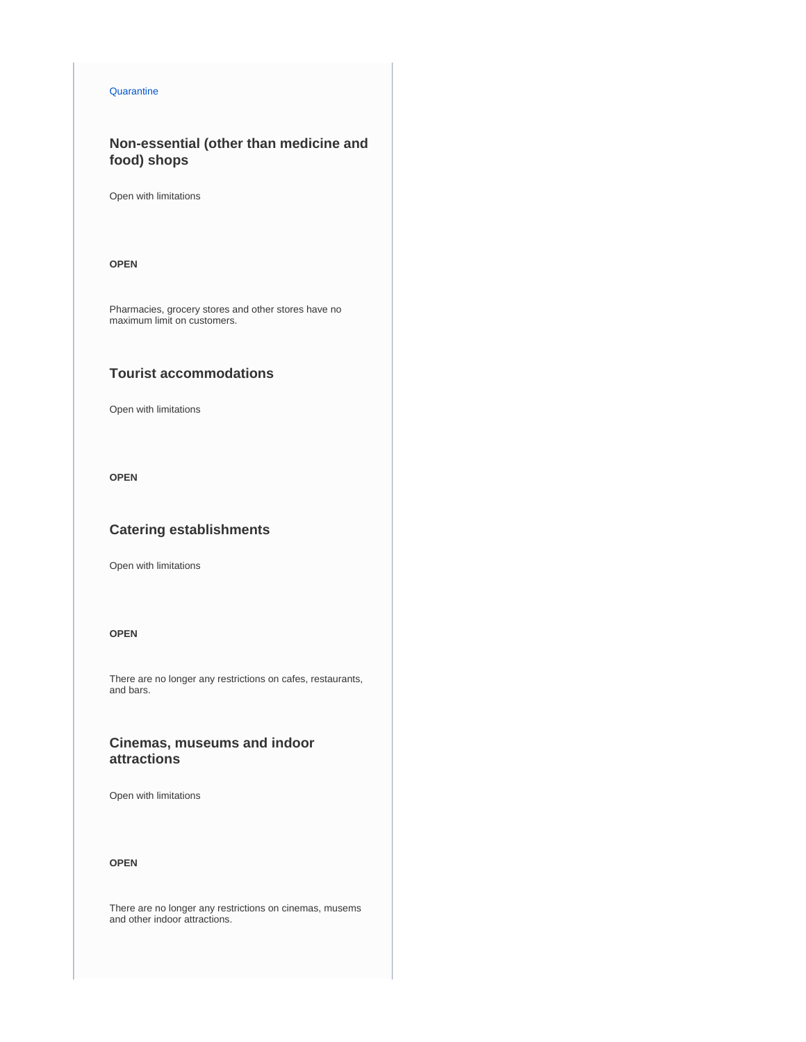#### **[Quarantine](https://www.covid.is/sub-categories/quarantine)**

# **Non-essential (other than medicine and food) shops**

Open with limitations

#### **OPEN**

Pharmacies, grocery stores and other stores have no maximum limit on customers.

# **Tourist accommodations**

Open with limitations

**OPEN**

# **Catering establishments**

Open with limitations

#### **OPEN**

There are no longer any restrictions on cafes, restaurants, and bars.

# **Cinemas, museums and indoor attractions**

Open with limitations

### **OPEN**

There are no longer any restrictions on cinemas, musems and other indoor attractions.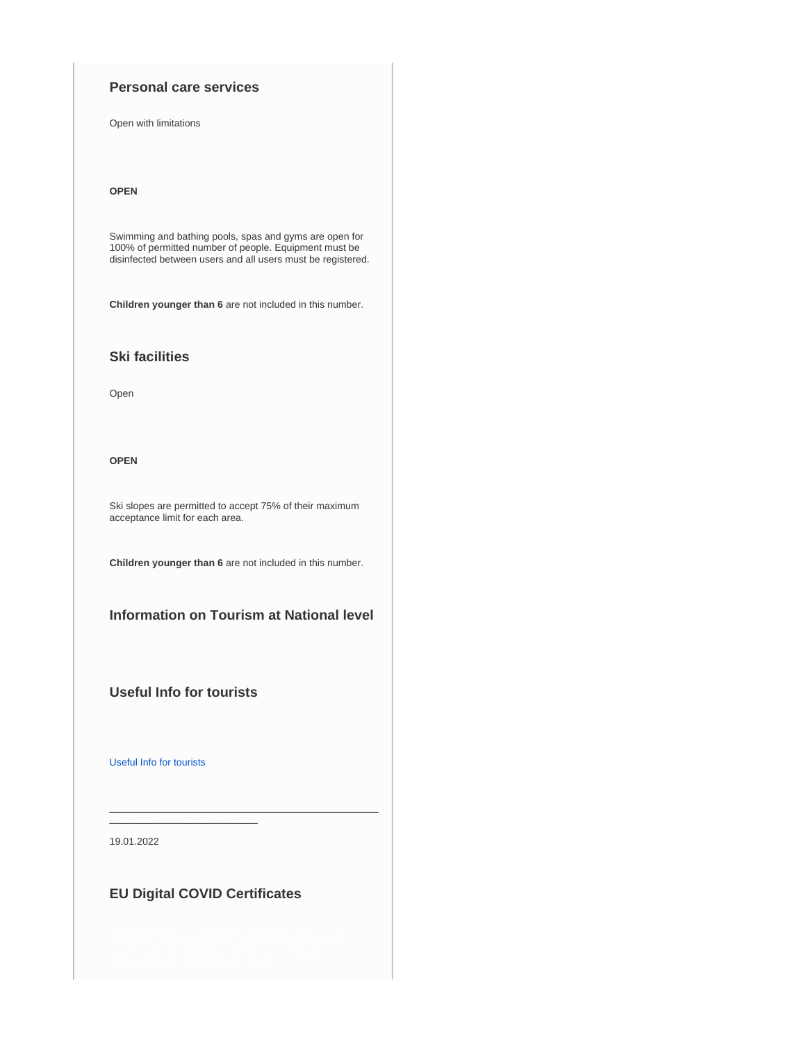### **Personal care services**

Open with limitations

#### **OPEN**

Swimming and bathing pools, spas and gyms are open for 100% of permitted number of people. Equipment must be disinfected between users and all users must be registered.

**Children younger than 6** are not included in this number.

# **Ski facilities**

Open

**OPEN**

Ski slopes are permitted to accept 75% of their maximum acceptance limit for each area.

**Children younger than 6** are not included in this number.

# **Information on Tourism at National level**

**Useful Info for tourists**

\_\_\_\_\_\_\_\_\_\_\_\_\_\_\_\_\_\_\_\_\_\_\_\_\_\_\_

[Useful Info for tourists](https://www.covid.is/categories/tourists-travelling-to-iceland)

19.01.2022

# **EU Digital COVID Certificates**

\_\_\_\_\_\_\_\_\_\_\_\_\_\_\_\_\_\_\_\_\_\_\_\_\_\_\_\_\_\_\_\_\_\_\_\_\_\_\_\_\_\_\_\_\_\_\_\_\_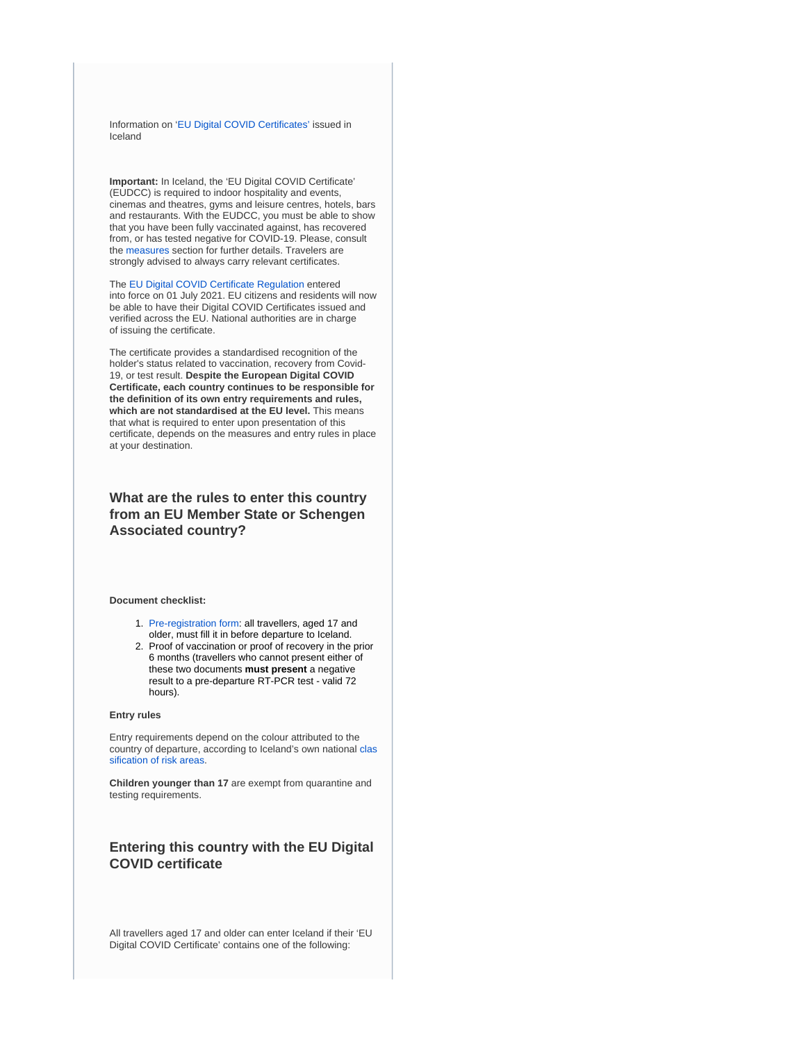Information on '[EU Digital COVID Certificates'](https://www.gov.ie/en/publication/3a698-eu-digital-covid-certificate/) issued in Iceland

**Important:** In Iceland, the 'EU Digital COVID Certificate' (EUDCC) is required to indoor hospitality and events, cinemas and theatres, gyms and leisure centres, hotels, bars and restaurants. With the EUDCC, you must be able to show that you have been fully vaccinated against, has recovered from, or has tested negative for COVID-19. Please, consult the [measures](https://www.gov.ie/en/publication/3361b-public-health-updates/) section for further details. Travelers are strongly advised to always carry relevant certificates.

The [EU Digital COVID Certificate Regulation](https://ec.europa.eu/info/live-work-travel-eu/coronavirus-response/safe-covid-19-vaccines-europeans/eu-digital-covid-certificate_en) entered into force on 01 July 2021. EU citizens and residents will now be able to have their Digital COVID Certificates issued and verified across the EU. National authorities are in charge of issuing the certificate.

The certificate provides a standardised recognition of the holder's status related to vaccination, recovery from Covid-19, or test result. **Despite the European Digital COVID Certificate, each country continues to be responsible for the definition of its own entry requirements and rules, which are not standardised at the EU level.** This means that what is required to enter upon presentation of this certificate, depends on the measures and entry rules in place at your destination.

# **What are the rules to enter this country from an EU Member State or Schengen Associated country?**

**Document checklist:**

- 1. [Pre-registration form:](https://visit.covid.is/registration/) all travellers, aged 17 and older, must fill it in before departure to Iceland.
- 2. Proof of vaccination or proof of recovery in the prior 6 months (travellers who cannot present either of these two documents **must present** a negative result to a pre-departure RT-PCR test - valid 72 hours).

#### **Entry rules**

Entry requirements depend on the colour attributed to the country of departure, according to Iceland's own national [clas](https://www.landlaeknir.is/um-embaettid/greinar/grein/item39194/Skilgreind-svaedi-med-smitahaettu---Defined-areas-with-risk-of-infection-(27-02-2020)) [sification of risk areas](https://www.landlaeknir.is/um-embaettid/greinar/grein/item39194/Skilgreind-svaedi-med-smitahaettu---Defined-areas-with-risk-of-infection-(27-02-2020)).

**Children younger than 17** are exempt from quarantine and testing requirements.

### **Entering this country with the EU Digital COVID certificate**

All travellers aged 17 and older can enter Iceland if their 'EU Digital COVID Certificate' contains one of the following: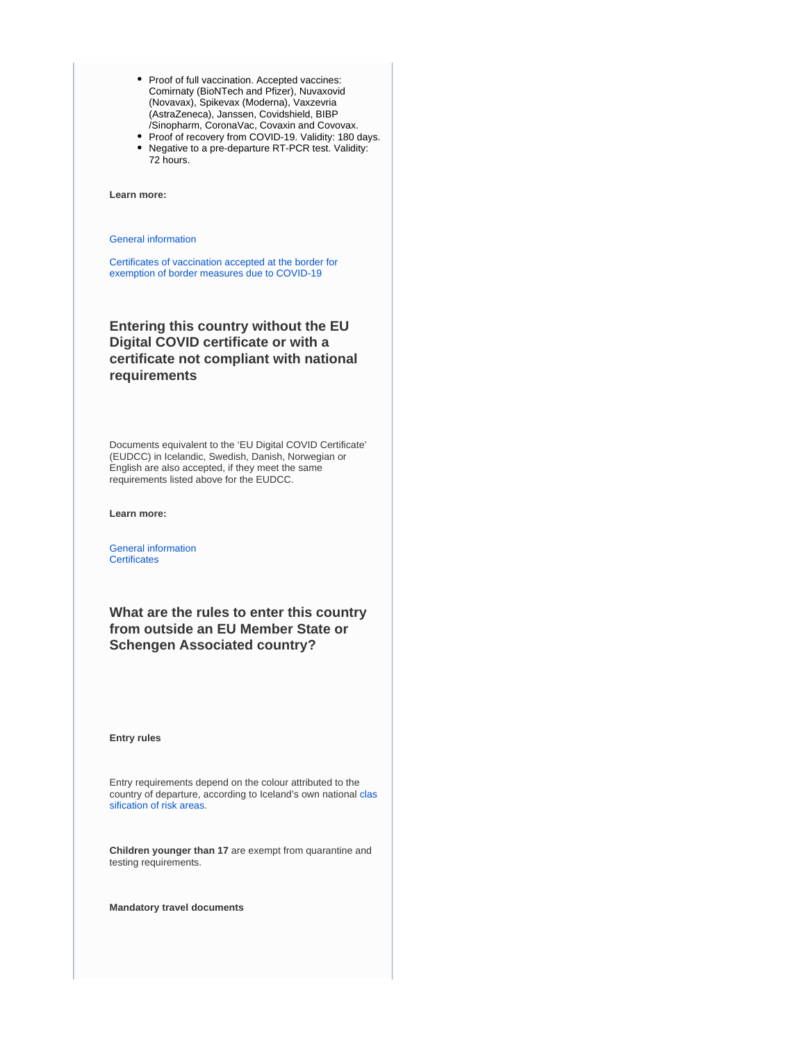- Proof of full vaccination. Accepted vaccines: Comirnaty (BioNTech and Pfizer), Nuvaxovid (Novavax), Spikevax (Moderna), Vaxzevria (AstraZeneca), Janssen, Covidshield, BIBP /Sinopharm, CoronaVac, Covaxin and Covovax.
- Proof of recovery from COVID-19. Validity: 180 days.
- Negative to a pre-departure RT-PCR test. Validity: 72 hours.

**Learn more:**

#### [General information](https://www.covid.is/english)

[Certificates of vaccination accepted at the border for](https://www.landlaeknir.is/um-embaettid/greinar/grein/item44162/Certificate-of-vaccination-against-COVID-19-accepted-at-the-border)  [exemption of border measures due to COVID-19](https://www.landlaeknir.is/um-embaettid/greinar/grein/item44162/Certificate-of-vaccination-against-COVID-19-accepted-at-the-border)

# **Entering this country without the EU Digital COVID certificate or with a certificate not compliant with national requirements**

Documents equivalent to the 'EU Digital COVID Certificate' (EUDCC) in Icelandic, Swedish, Danish, Norwegian or English are also accepted, if they meet the same requirements listed above for the EUDCC.

**Learn more:**

[General information](https://www.covid.is/english) **[Certificates](https://www.covid.is/sub-categories/certificates)** 

**What are the rules to enter this country from outside an EU Member State or Schengen Associated country?**

#### **Entry rules**

Entry requirements depend on the colour attributed to the country of departure, according to Iceland's own national [clas](https://www.landlaeknir.is/um-embaettid/greinar/grein/item39194/Skilgreind-svaedi-med-smitahaettu---Defined-areas-with-risk-of-infection-(27-02-2020)) [sification of risk areas](https://www.landlaeknir.is/um-embaettid/greinar/grein/item39194/Skilgreind-svaedi-med-smitahaettu---Defined-areas-with-risk-of-infection-(27-02-2020)).

**Children younger than 17** are exempt from quarantine and testing requirements.

**Mandatory travel documents**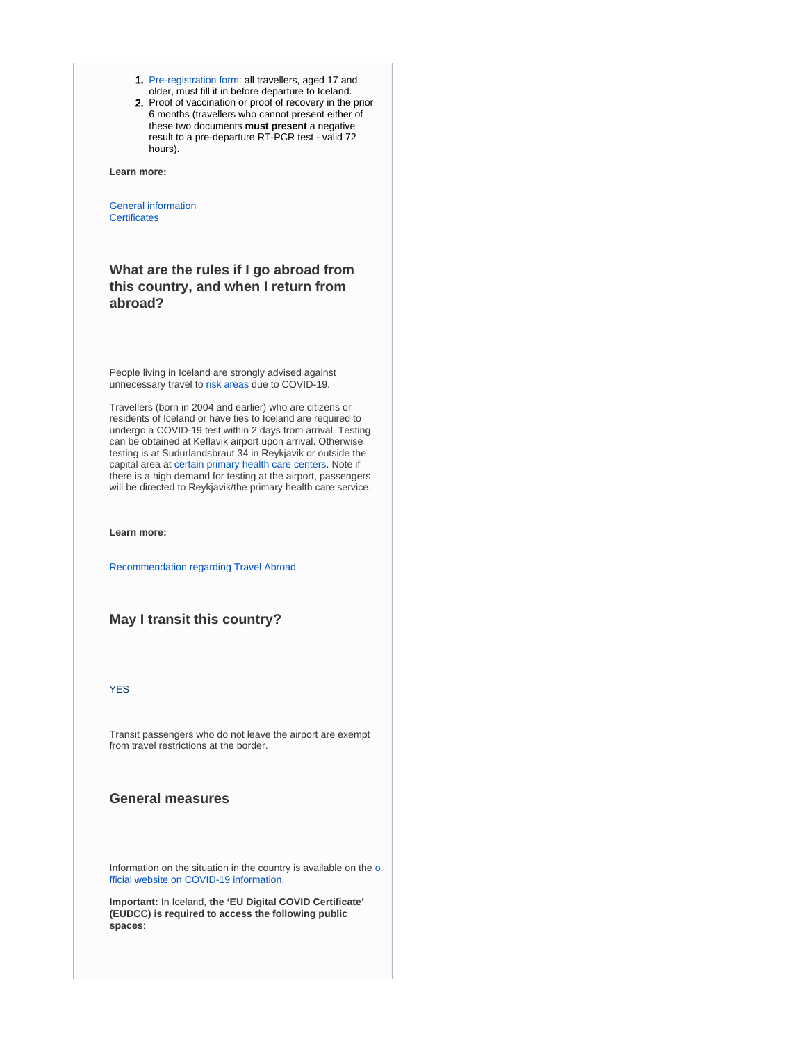- 1. [Pre-registration form:](https://visit.covid.is/registration/) all travellers, aged 17 and older, must fill it in before departure to Iceland.
- 2. Proof of vaccination or proof of recovery in the prior 6 months (travellers who cannot present either of these two documents **must present** a negative result to a pre-departure RT-PCR test - valid 72 hours).

**Learn more:**

[General information](https://www.covid.is/english) **[Certificates](https://www.covid.is/sub-categories/certificates)** 

# **What are the rules if I go abroad from this country, and when I return from abroad?**

People living in Iceland are strongly advised against unnecessary travel to [risk areas](https://www.landlaeknir.is/um-embaettid/greinar/grein/item39194/Skilgreind-ahaettusvaedi---Defined-high-risk-areas) due to COVID-19.

Travellers (born in 2004 and earlier) who are citizens or residents of Iceland or have ties to Iceland are required to undergo a COVID-19 test within 2 days from arrival. Testing can be obtained at Keflavik airport upon arrival. Otherwise testing is at Sudurlandsbraut 34 in Reykjavik or outside the capital area at [certain primary health care centers.](https://www.landlaeknir.is/um-embaettid/greinar/grein/item42632/Upplysingar-um-opnunartima-heilsugaeslustodva-fyrir-landamaeraskimun) Note if there is a high demand for testing at the airport, passengers will be directed to Reykjavik/the primary health care service.

**Learn more:**

[Recommendation regarding Travel Abroad](https://www.landlaeknir.is/um-embaettid/frettir/frett/item47001/Updated-COVID-19-Recommendation-regarding-Travel-Abroad)

### **May I transit this country?**

YES

Transit passengers who do not leave the airport are exempt from travel restrictions at the border.

# **General measures**

Information on the situation in the country is available on the [o](https://www.covid.is/english) [fficial website on COVID-19 information.](https://www.covid.is/english)

**Important:** In Iceland, **the 'EU Digital COVID Certificate' (EUDCC) is required to access the following public spaces**: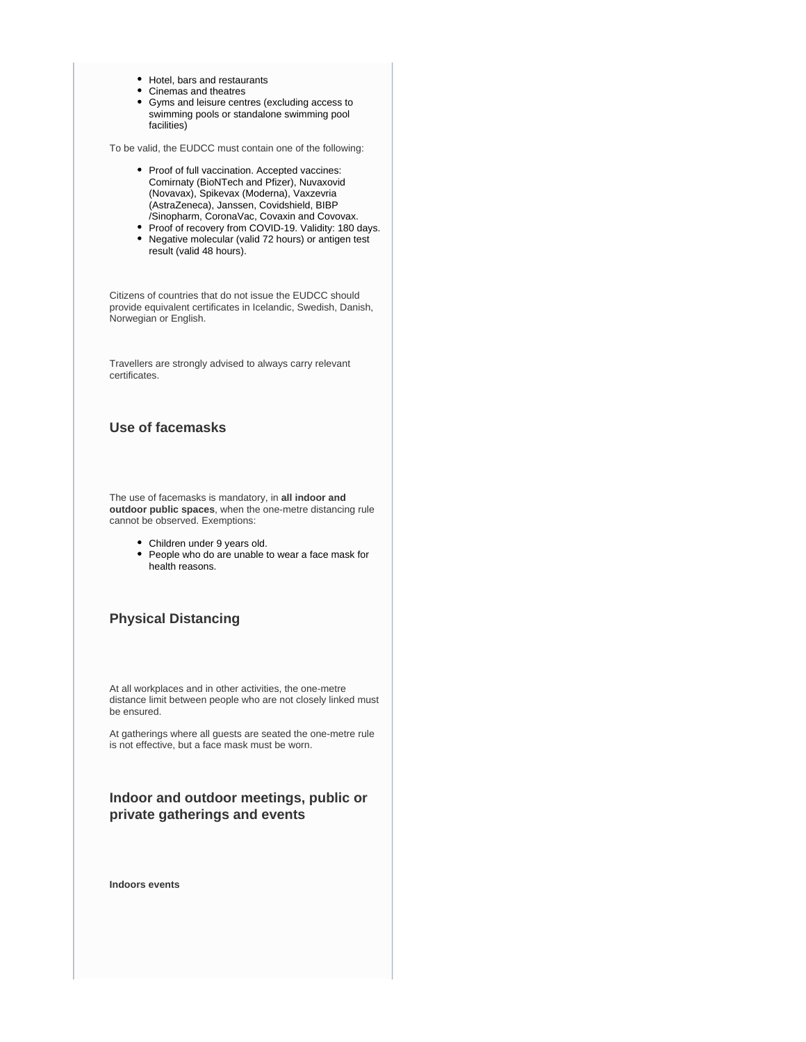- Hotel, bars and restaurants
- Cinemas and theatres
- Gyms and leisure centres (excluding access to swimming pools or standalone swimming pool facilities)

To be valid, the EUDCC must contain one of the following:

- Proof of full vaccination. Accepted vaccines: Comirnaty (BioNTech and Pfizer), Nuvaxovid (Novavax), Spikevax (Moderna), Vaxzevria (AstraZeneca), Janssen, Covidshield, BIBP /Sinopharm, CoronaVac, Covaxin and Covovax.
- Proof of recovery from COVID-19. Validity: 180 days. Negative molecular (valid 72 hours) or antigen test
- result (valid 48 hours).

Citizens of countries that do not issue the EUDCC should provide equivalent certificates in Icelandic, Swedish, Danish, Norwegian or English.

Travellers are strongly advised to always carry relevant certificates.

### **Use of facemasks**

The use of facemasks is mandatory, in **all indoor and outdoor public spaces**, when the one-metre distancing rule cannot be observed. Exemptions:

- Children under 9 years old.
- People who do are unable to wear a face mask for health reasons.

# **Physical Distancing**

At all workplaces and in other activities, the one-metre distance limit between people who are not closely linked must be ensured.

At gatherings where all guests are seated the one-metre rule is not effective, but a face mask must be worn.

# **Indoor and outdoor meetings, public or private gatherings and events**

**Indoors events**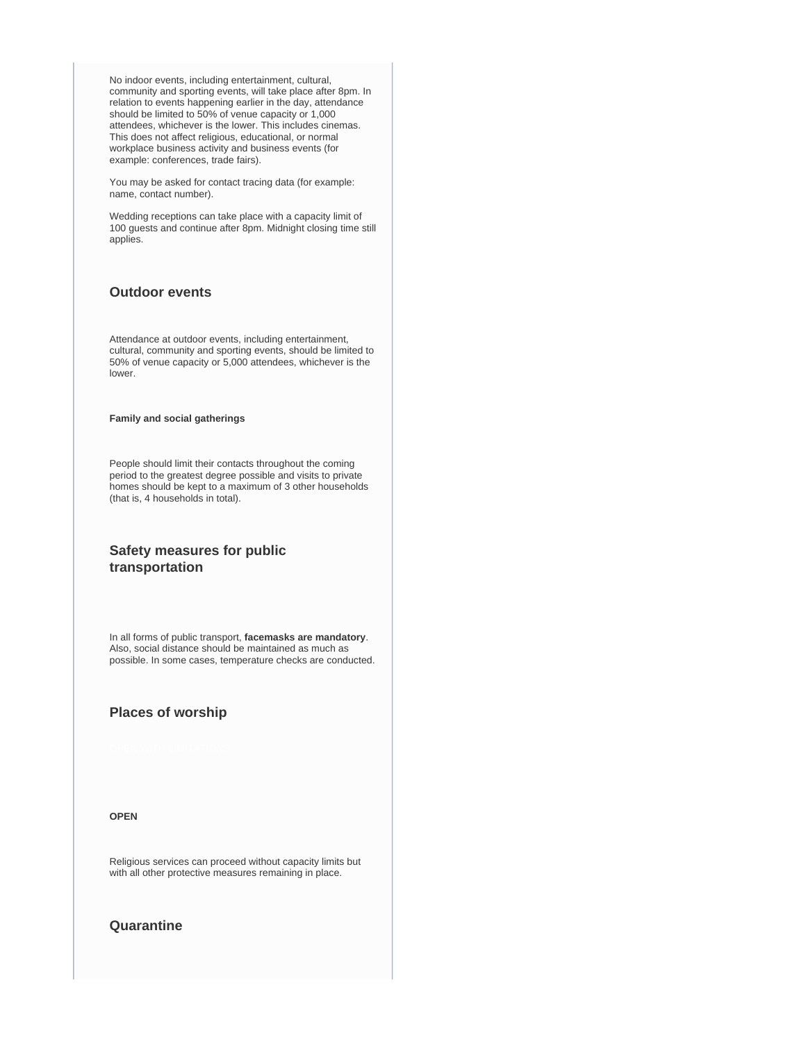No indoor events, including entertainment, cultural, community and sporting events, will take place after 8pm. In relation to events happening earlier in the day, attendance should be limited to 50% of venue capacity or 1,000 attendees, whichever is the lower. This includes cinemas. This does not affect religious, educational, or normal workplace business activity and business events (for example: conferences, trade fairs).

You may be asked for contact tracing data (for example: name, contact number).

Wedding receptions can take place with a capacity limit of 100 guests and continue after 8pm. Midnight closing time still applies.

### **Outdoor events**

Attendance at outdoor events, including entertainment, cultural, community and sporting events, should be limited to 50% of venue capacity or 5,000 attendees, whichever is the lower.

#### **Family and social gatherings**

People should limit their contacts throughout the coming period to the greatest degree possible and visits to private homes should be kept to a maximum of 3 other households (that is, 4 households in total).

# **Safety measures for public transportation**

In all forms of public transport, **facemasks are mandatory**. Also, social distance should be maintained as much as possible. In some cases, temperature checks are conducted.

#### **Places of worship**

**OPEN**

Religious services can proceed without capacity limits but with all other protective measures remaining in place.

# **Quarantine**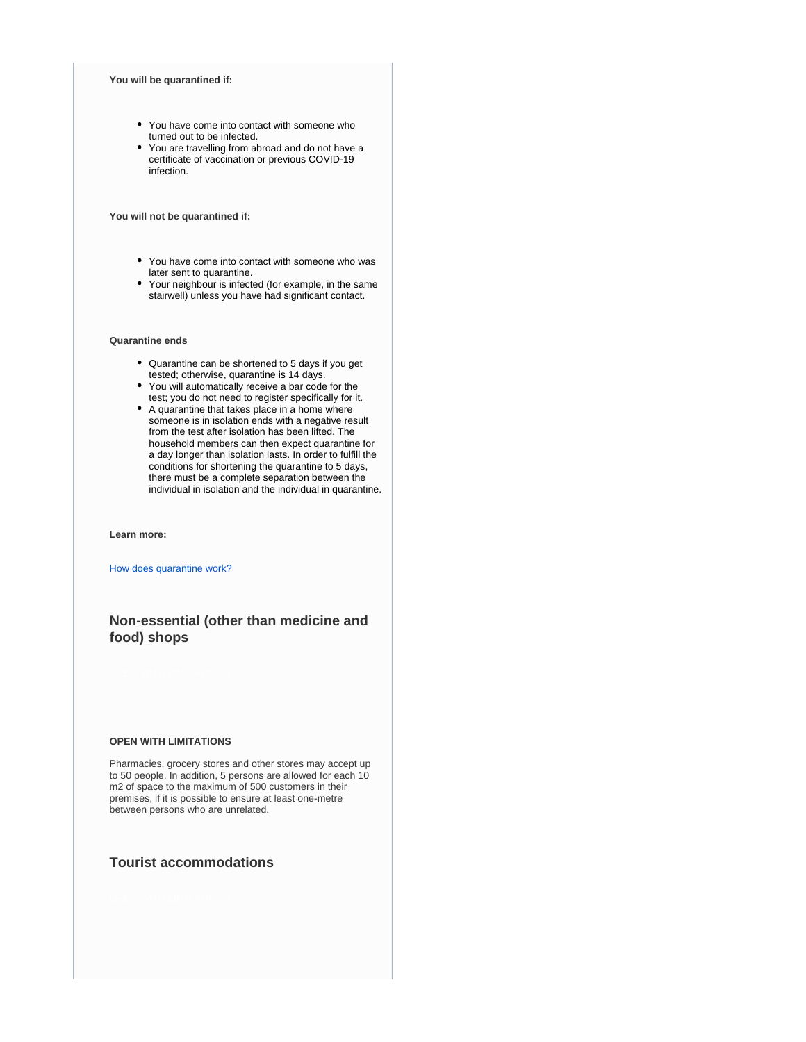**You will be quarantined if:**

- You have come into contact with someone who turned out to be infected.
- You are travelling from abroad and do not have a certificate of vaccination or previous COVID-19 infection.

**You will not be quarantined if:**

- You have come into contact with someone who was later sent to quarantine.
- Your neighbour is infected (for example, in the same stairwell) unless you have had significant contact.

#### **Quarantine ends**

- Quarantine can be shortened to 5 days if you get tested; otherwise, quarantine is 14 days.
- You will automatically receive a bar code for the test; you do not need to register specifically for it.
- A quarantine that takes place in a home where someone is in isolation ends with a negative result from the test after isolation has been lifted. The household members can then expect quarantine for a day longer than isolation lasts. In order to fulfill the conditions for shortening the quarantine to 5 days, there must be a complete separation between the individual in isolation and the individual in quarantine.

**Learn more:**

[How does quarantine work?](https://www.covid.is/categories/how-does-quarantine-work)

# **Non-essential (other than medicine and food) shops**

#### **OPEN WITH LIMITATIONS**

Pharmacies, grocery stores and other stores may accept up to 50 people. In addition, 5 persons are allowed for each 10 m2 of space to the maximum of 500 customers in their premises, if it is possible to ensure at least one-metre between persons who are unrelated.

### **Tourist accommodations**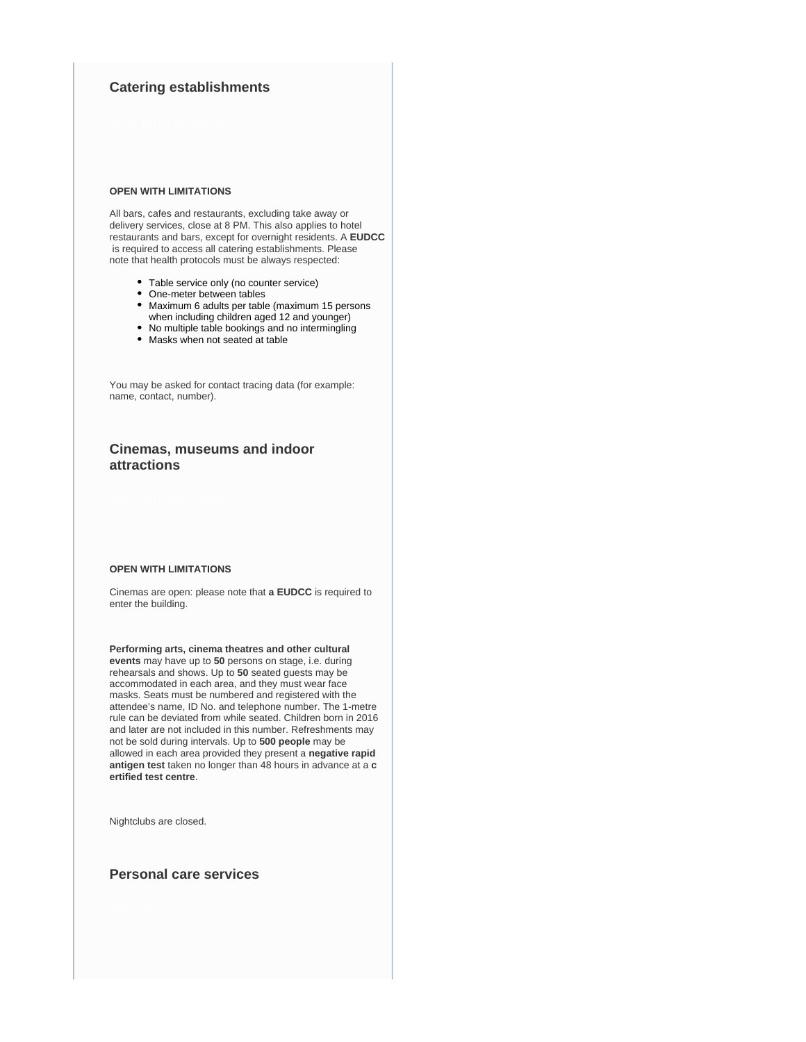#### **Catering establishments**

#### **OPEN WITH LIMITATIONS**

All bars, cafes and restaurants, excluding take away or delivery services, close at 8 PM. This also applies to hotel restaurants and bars, except for overnight residents. A **EUDCC** is required to access all catering establishments. Please note that health protocols must be always respected:

- Table service only (no counter service)
- One-meter between tables
- Maximum 6 adults per table (maximum 15 persons when including children aged 12 and younger)
- No multiple table bookings and no intermingling
- Masks when not seated at table

You may be asked for contact tracing data (for example: name, contact, number).

# **Cinemas, museums and indoor attractions**

#### **OPEN WITH LIMITATIONS**

Cinemas are open: please note that **a EUDCC** is required to enter the building.

**Performing arts, cinema theatres and other cultural events** may have up to **50** persons on stage, i.e. during rehearsals and shows. Up to **50** seated guests may be accommodated in each area, and they must wear face masks. Seats must be numbered and registered with the attendee's name, ID No. and telephone number. The 1-metre rule can be deviated from while seated. Children born in 2016 and later are not included in this number. Refreshments may not be sold during intervals. Up to **500 people** may be allowed in each area provided they present a **negative rapid antigen test** taken no longer than 48 hours in advance at a **c ertified test centre**.

Nightclubs are closed.

#### **Personal care services**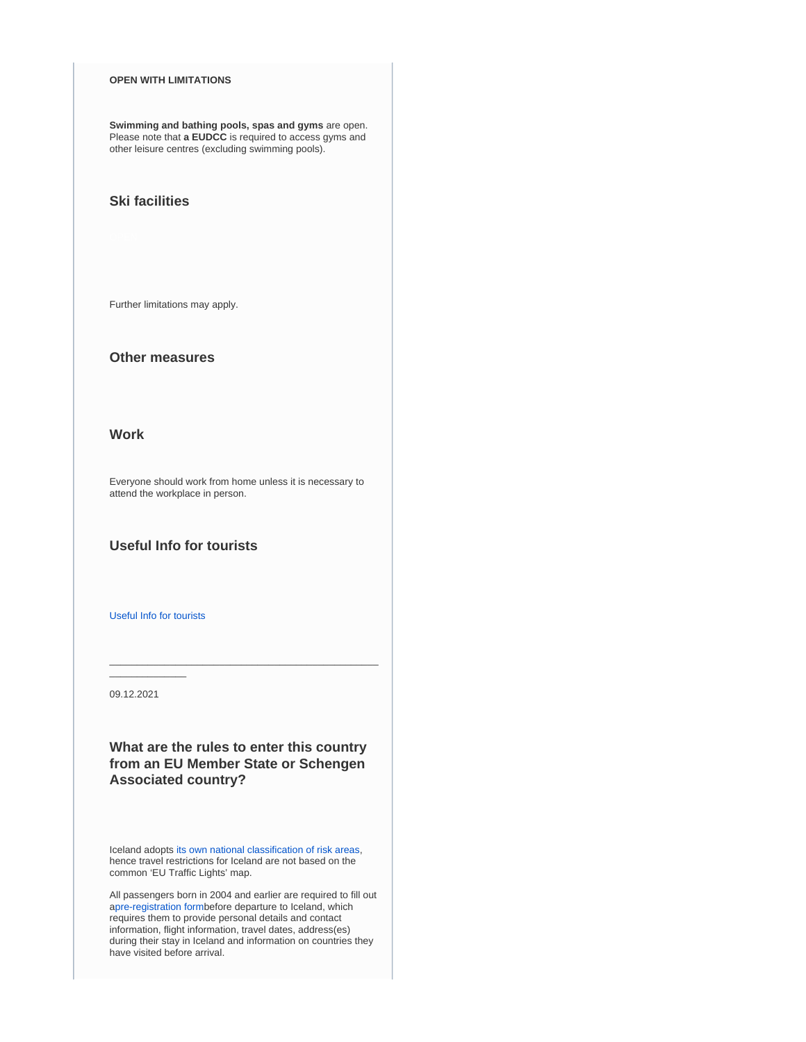#### **OPEN WITH LIMITATIONS**

**Swimming and bathing pools, spas and gyms** are open. Please note that **a EUDCC** is required to access gyms and other leisure centres (excluding swimming pools).

# **Ski facilities**

Further limitations may apply.

#### **Other measures**

#### **Work**

Everyone should work from home unless it is necessary to attend the workplace in person.

### **Useful Info for tourists**

#### [Useful Info for tourists](https://www.covid.is/categories/tourists-travelling-to-iceland)

09.12.2021

 $\overline{\phantom{a}}$  , where  $\overline{\phantom{a}}$ 

# **What are the rules to enter this country from an EU Member State or Schengen Associated country?**

\_\_\_\_\_\_\_\_\_\_\_\_\_\_\_\_\_\_\_\_\_\_\_\_\_\_\_\_\_\_\_\_\_\_\_\_\_\_\_\_\_\_\_\_\_\_\_\_\_

Iceland adopts [its own national classification of risk areas](https://www.landlaeknir.is/um-embaettid/greinar/grein/item39194/Skilgreind-svaedi-med-smitahaettu---Defined-areas-with-risk-of-infection-(27-02-2020)), hence travel restrictions for Iceland are not based on the common 'EU Traffic Lights' map.

All passengers born in 2004 and earlier are required to fill out [apre-registration formb](https://visit.covid.is/registration/)efore departure to Iceland, which requires them to provide personal details and contact information, flight information, travel dates, address(es) during their stay in Iceland and information on countries they have visited before arrival.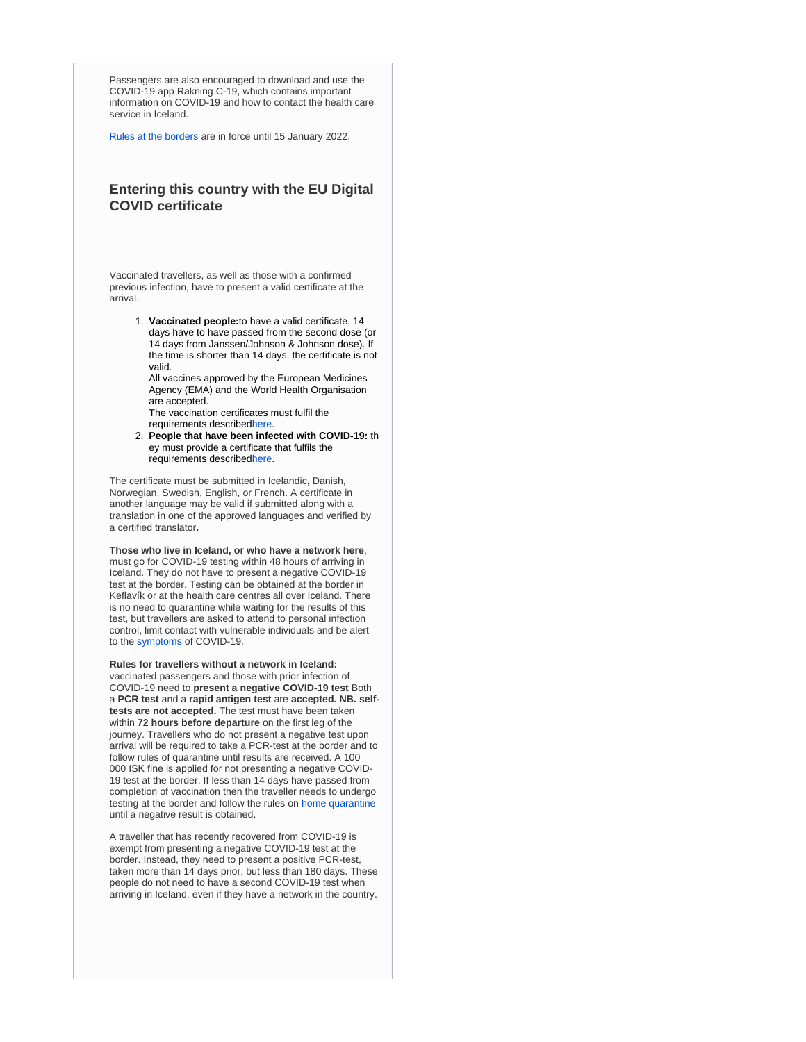Passengers are also encouraged to download and use the COVID-19 app Rakning C-19, which contains important information on COVID-19 and how to contact the health care service in Iceland.

[Rules at the borders](https://www.government.is/news/article/2021/07/19/COVID-19-test-certificate-required-before-departure-for-vaccinated-travellers/) are in force until 15 January 2022.

# **Entering this country with the EU Digital COVID certificate**

Vaccinated travellers, as well as those with a confirmed previous infection, have to present a valid certificate at the arrival.

> 1. **Vaccinated people:**to have a valid certificate, 14 days have to have passed from the second dose (or 14 days from Janssen/Johnson & Johnson dose). If the time is shorter than 14 days, the certificate is not valid.

All vaccines approved by the European Medicines Agency (EMA) and the World Health Organisation are accepted.

The vaccination certificates must fulfil the requirements described[here.](https://www.landlaeknir.is/um-embaettid/greinar/grein/item44162/Certificate-of-vaccination-against-COVID-19-accepted-at-the-border%22%20/t%20%22_blank)

2. **People that have been infected with COVID-19:** th ey must provide a certificate that fulfils the requirements described[here.](https://www.landlaeknir.is/um-embaettid/greinar/grein/item43709/Certificates-regarding-previous-COVID-19-infection-that-are-accepted-at-the-border-in-Iceland-from-10-December-2020)

The certificate must be submitted in Icelandic, Danish, Norwegian, Swedish, English, or French. A certificate in another language may be valid if submitted along with a translation in one of the approved languages and verified by a certified translator**.**

**Those who live in Iceland, or who have a network here**, must go for COVID-19 testing within 48 hours of arriving in Iceland. They do not have to present a negative COVID-19 test at the border. Testing can be obtained at the border in Keflavík or at the health care centres all over Iceland. There is no need to quarantine while waiting for the results of this test, but travellers are asked to attend to personal infection control, limit contact with vulnerable individuals and be alert to the [symptoms](https://www.covid.is/sub-categories/avoiding-infection) of COVID-19.

**Rules for travellers without a network in Iceland:** vaccinated passengers and those with prior infection of COVID-19 need to **present a negative COVID-19 test** Both a **PCR test** and a **rapid antigen test** are **accepted. NB. selftests are not accepted.** The test must have been taken within **72 hours before departure** on the first leg of the journey. Travellers who do not present a negative test upon arrival will be required to take a PCR-test at the border and to follow rules of quarantine until results are received. A 100 000 ISK fine is applied for not presenting a negative COVID-19 test at the border. If less than 14 days have passed from completion of vaccination then the traveller needs to undergo testing at the border and follow the rules on [home quarantine](https://www.landlaeknir.is/um-embaettid/greinar/grein/item43539/Instructions-for-persons-under-home-based-quarantine) until a negative result is obtained.

A traveller that has recently recovered from COVID-19 is exempt from presenting a negative COVID-19 test at the border. Instead, they need to present a positive PCR-test, taken more than 14 days prior, but less than 180 days. These people do not need to have a second COVID-19 test when arriving in Iceland, even if they have a network in the country.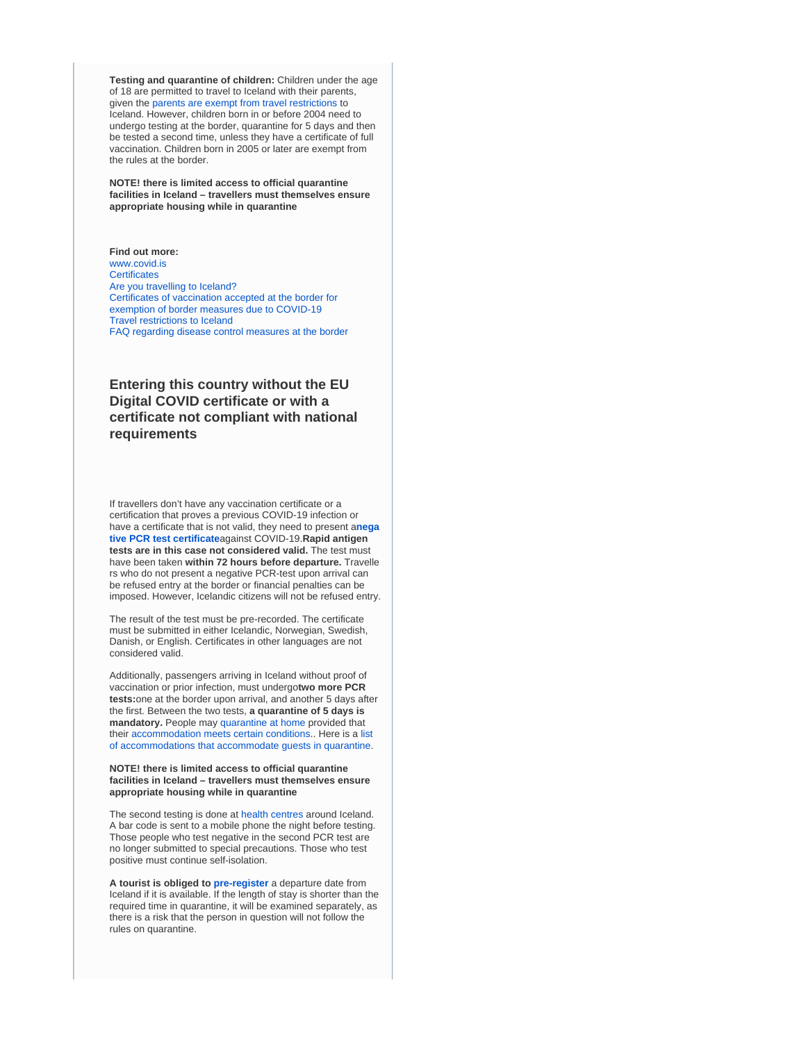**Testing and quarantine of children:** Children under the age of 18 are permitted to travel to Iceland with their parents, given the [parents are exempt from travel restrictions](https://www.logreglan.is/english/regarding-travel-restrictions-to-iceland-as-a-result-of-covid-19/) to Iceland. However, children born in or before 2004 need to undergo testing at the border, quarantine for 5 days and then be tested a second time, unless they have a certificate of full vaccination. Children born in 2005 or later are exempt from the rules at the border.

**NOTE! there is limited access to official quarantine facilities in Iceland – travellers must themselves ensure appropriate housing while in quarantine**

**Find out more:** [www.covid.is](https://www.covid.is/english)  **Certificates** [Are you travelling to Iceland?](https://island.is/en/p/entry)  [Certificates of vaccination accepted at the border for](https://www.landlaeknir.is/um-embaettid/greinar/grein/item44162/Certificate-of-vaccination-against-COVID-19-accepted-at-the-border)  [exemption of border measures due to COVID-19](https://www.landlaeknir.is/um-embaettid/greinar/grein/item44162/Certificate-of-vaccination-against-COVID-19-accepted-at-the-border)  [Travel restrictions to Iceland](https://www.logreglan.is/english/regarding-travel-restrictions-to-iceland-as-a-result-of-covid-19/)  [FAQ regarding disease control measures at the border](https://www.government.is/government/covid-19/q-and-a-on-border-measures/)

# **Entering this country without the EU Digital COVID certificate or with a certificate not compliant with national requirements**

If travellers don't have any vaccination certificate or a certification that proves a previous COVID-19 infection or have a certificate that is not valid, they need to present a**[nega](https://www.covid.is/sub-categories/certificates) [tive PCR test certificate](https://www.covid.is/sub-categories/certificates)**against COVID-19.**Rapid antigen tests are in this case not considered valid.** The test must have been taken **within 72 hours before departure.** Travelle rs who do not present a negative PCR-test upon arrival can be refused entry at the border or financial penalties can be imposed. However, Icelandic citizens will not be refused entry.

The result of the test must be pre-recorded. The certificate must be submitted in either Icelandic, Norwegian, Swedish, Danish, or English. Certificates in other languages are not considered valid.

Additionally, passengers arriving in Iceland without proof of vaccination or prior infection, must undergo**two more PCR tests:**one at the border upon arrival, and another 5 days after the first. Between the two tests, **a quarantine of 5 days is mandatory.** People may [quarantine at home](https://www.landlaeknir.is/um-embaettid/greinar/grein/item43539/instructions-for-persons-under-home-based-quarantine) provided that their [accommodation meets certain conditions.](https://www.landlaeknir.is/um-embaettid/greinar/grein/item41241/appropriate-housing-while-in-quarantine). Here is a [list](https://www.ferdamalastofa.is/en/about-us/novel-coronavirus-covid-19-general-info/accommodations-that-welcome-guests-in-quarantine)  [of accommodations that accommodate guests in quarantine.](https://www.ferdamalastofa.is/en/about-us/novel-coronavirus-covid-19-general-info/accommodations-that-welcome-guests-in-quarantine)

#### **NOTE! there is limited access to official quarantine facilities in Iceland – travellers must themselves ensure appropriate housing while in quarantine**

The second testing is done at [health centres](https://www.landlaeknir.is/covid19-screening) around Iceland. A bar code is sent to a mobile phone the night before testing. Those people who test negative in the second PCR test are no longer submitted to special precautions. Those who test positive must continue self-isolation.

**A tourist is obliged to [pre-register](https://visit.covid.is/registration/)** a departure date from Iceland if it is available. If the length of stay is shorter than the required time in quarantine, it will be examined separately, as there is a risk that the person in question will not follow the rules on quarantine.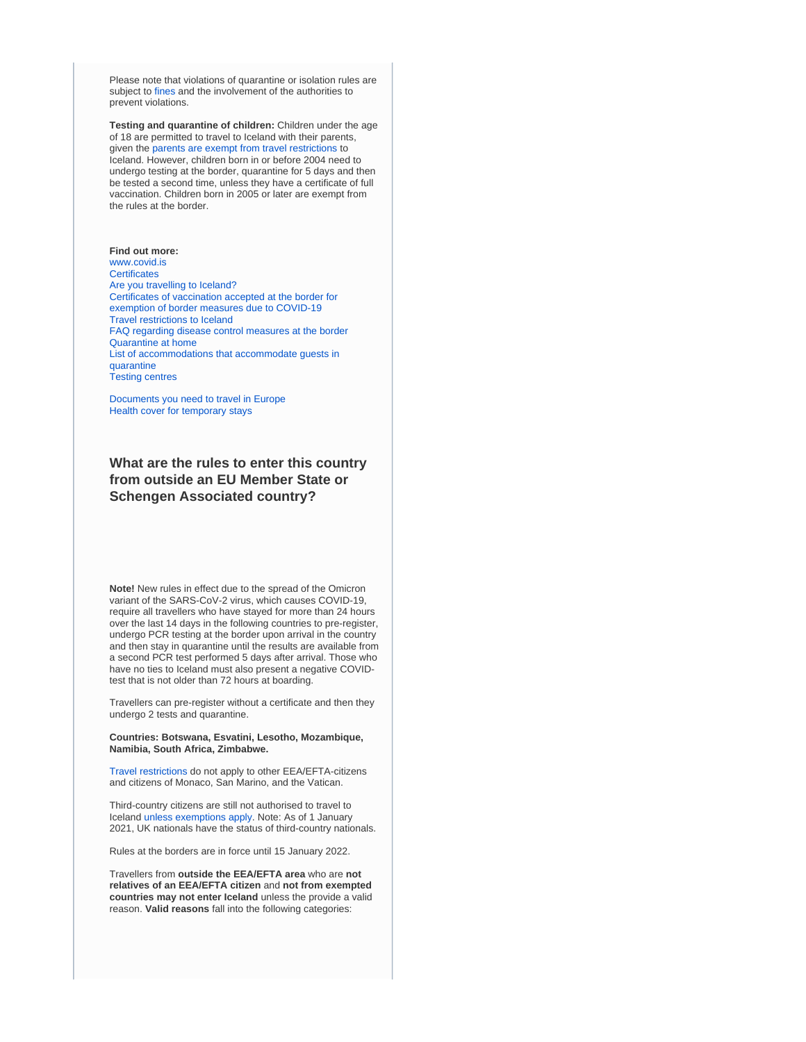Please note that violations of quarantine or isolation rules are subject to [fines](https://www.rikissaksoknari.is/english/covid-19/) and the involvement of the authorities to prevent violations.

**Testing and quarantine of children:** Children under the age of 18 are permitted to travel to Iceland with their parents, given the [parents are exempt from travel restrictions](https://www.logreglan.is/english/regarding-travel-restrictions-to-iceland-as-a-result-of-covid-19/) to Iceland. However, children born in or before 2004 need to undergo testing at the border, quarantine for 5 days and then be tested a second time, unless they have a certificate of full vaccination. Children born in 2005 or later are exempt from the rules at the border.

#### **Find out more:**

[www.covid.is](https://www.covid.is/english)  **Certificates** [Are you travelling to Iceland?](https://island.is/en/p/entry)  [Certificates of vaccination accepted at the border for](https://www.landlaeknir.is/um-embaettid/greinar/grein/item44162/Certificate-of-vaccination-against-COVID-19-accepted-at-the-border)  [exemption of border measures due to COVID-19](https://www.landlaeknir.is/um-embaettid/greinar/grein/item44162/Certificate-of-vaccination-against-COVID-19-accepted-at-the-border)  [Travel restrictions to Iceland](https://www.logreglan.is/english/regarding-travel-restrictions-to-iceland-as-a-result-of-covid-19/)  [FAQ regarding disease control measures at the border](https://www.government.is/government/covid-19/q-and-a-on-border-measures/)  [Quarantine at home](https://www.landlaeknir.is/um-embaettid/greinar/grein/item43539/instructions-for-persons-under-home-based-quarantine)  [List of accommodations that accommodate guests in](https://www.ferdamalastofa.is/en/about-us/novel-coronavirus-covid-19-general-info/accommodations-that-welcome-guests-in-quarantine)  [quarantine](https://www.ferdamalastofa.is/en/about-us/novel-coronavirus-covid-19-general-info/accommodations-that-welcome-guests-in-quarantine)  [Testing centres](https://www.landlaeknir.is/covid19-screening)

[Documents you need to travel in Europe](https://europa.eu/youreurope/citizens/travel/entry-exit/index_en.htm) [Health cover for temporary stays](https://europa.eu/youreurope/citizens/health/unplanned-healthcare/temporary-stays/index_en.htm)

# **What are the rules to enter this country from outside an EU Member State or Schengen Associated country?**

**Note!** New rules in effect due to the spread of the Omicron variant of the SARS-CoV-2 virus, which causes COVID-19, require all travellers who have stayed for more than 24 hours over the last 14 days in the following countries to pre-register, undergo PCR testing at the border upon arrival in the country and then stay in quarantine until the results are available from a second PCR test performed 5 days after arrival. Those who have no ties to Iceland must also present a negative COVIDtest that is not older than 72 hours at boarding.

Travellers can pre-register without a certificate and then they undergo 2 tests and quarantine.

**Countries: Botswana, Esvatini, Lesotho, Mozambique, Namibia, South Africa, Zimbabwe.**

[Travel restrictions](https://www.logreglan.is/english/regarding-travel-restrictions-to-iceland-as-a-result-of-covid-19/) do not apply to other EEA/EFTA-citizens and citizens of Monaco, San Marino, and the Vatican.

Third-country citizens are still not authorised to travel to Iceland [unless exemptions apply.](https://www.logreglan.is/english/regarding-travel-restrictions-to-iceland-as-a-result-of-covid-19/) Note: As of 1 January 2021, UK nationals have the status of third-country nationals.

Rules at the borders are in force until 15 January 2022.

Travellers from **outside the EEA/EFTA area** who are **not relatives of an EEA/EFTA citizen** and **not from exempted countries may not enter Iceland** unless the provide a valid reason. **Valid reasons** fall into the following categories: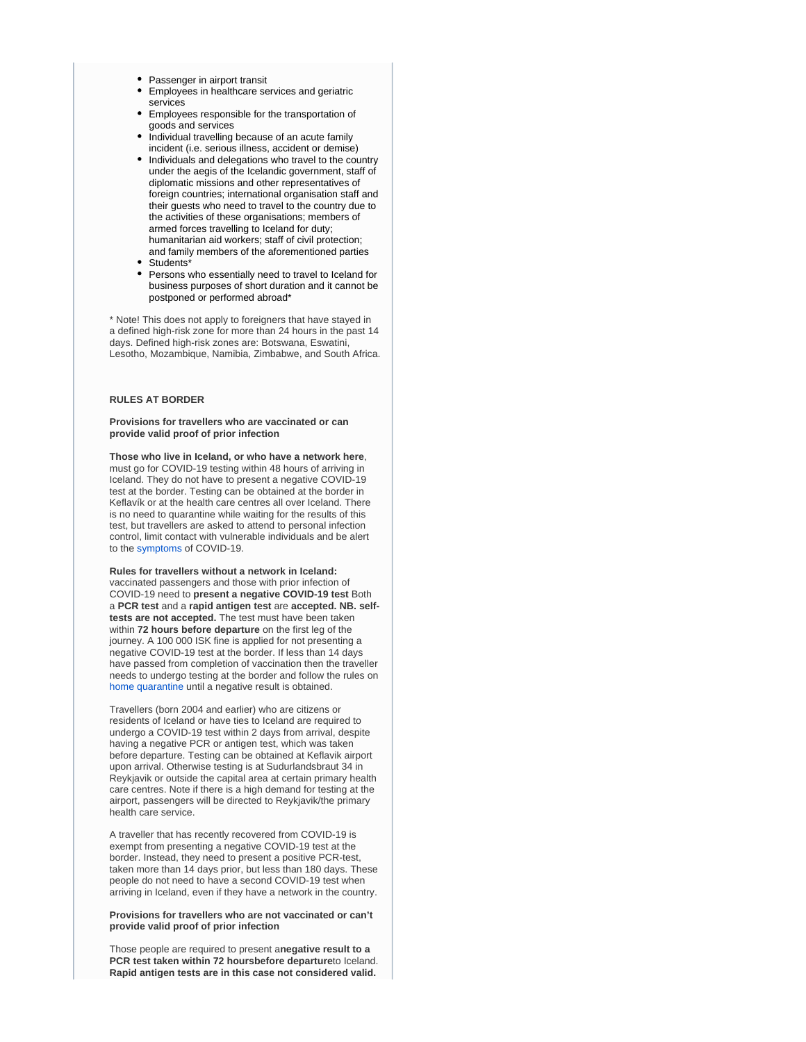- Passenger in airport transit
- Employees in healthcare services and geriatric services
- Employees responsible for the transportation of goods and services
- Individual travelling because of an acute family incident (i.e. serious illness, accident or demise)
- Individuals and delegations who travel to the country under the aegis of the Icelandic government, staff of diplomatic missions and other representatives of foreign countries; international organisation staff and their guests who need to travel to the country due to the activities of these organisations; members of armed forces travelling to Iceland for duty; humanitarian aid workers; staff of civil protection; and family members of the aforementioned parties
- Students\*
- Persons who essentially need to travel to Iceland for business purposes of short duration and it cannot be postponed or performed abroad\*

\* Note! This does not apply to foreigners that have stayed in a defined high-risk zone for more than 24 hours in the past 14 days. Defined high-risk zones are: Botswana, Eswatini, Lesotho, Mozambique, Namibia, Zimbabwe, and South Africa.

#### **RULES AT BORDER**

#### **Provisions for travellers who are vaccinated or can provide valid proof of prior infection**

**Those who live in Iceland, or who have a network here**, must go for COVID-19 testing within 48 hours of arriving in Iceland. They do not have to present a negative COVID-19 test at the border. Testing can be obtained at the border in Keflavík or at the health care centres all over Iceland. There is no need to quarantine while waiting for the results of this test, but travellers are asked to attend to personal infection control, limit contact with vulnerable individuals and be alert to the [symptoms](https://www.covid.is/sub-categories/avoiding-infection) of COVID-19.

**Rules for travellers without a network in Iceland:** vaccinated passengers and those with prior infection of COVID-19 need to **present a negative COVID-19 test** Both a **PCR test** and a **rapid antigen test** are **accepted. NB. selftests are not accepted.** The test must have been taken within **72 hours before departure** on the first leg of the journey. A 100 000 ISK fine is applied for not presenting a negative COVID-19 test at the border. If less than 14 days have passed from completion of vaccination then the traveller needs to undergo testing at the border and follow the rules on [home quarantine](https://www.landlaeknir.is/um-embaettid/greinar/grein/item43539/Instructions-for-persons-under-home-based-quarantine) until a negative result is obtained.

Travellers (born 2004 and earlier) who are citizens or residents of Iceland or have ties to Iceland are required to undergo a COVID-19 test within 2 days from arrival, despite having a negative PCR or antigen test, which was taken before departure. Testing can be obtained at Keflavik airport upon arrival. Otherwise testing is at Sudurlandsbraut 34 in Reykjavik or outside the capital area at certain primary health care centres. Note if there is a high demand for testing at the airport, passengers will be directed to Reykjavik/the primary health care service.

A traveller that has recently recovered from COVID-19 is exempt from presenting a negative COVID-19 test at the border. Instead, they need to present a positive PCR-test, taken more than 14 days prior, but less than 180 days. These people do not need to have a second COVID-19 test when arriving in Iceland, even if they have a network in the country.

#### **Provisions for travellers who are not vaccinated or can't provide valid proof of prior infection**

Those people are required to present a**negative result to a PCR test taken within 72 hoursbefore departure**to Iceland. **Rapid antigen tests are in this case not considered valid.**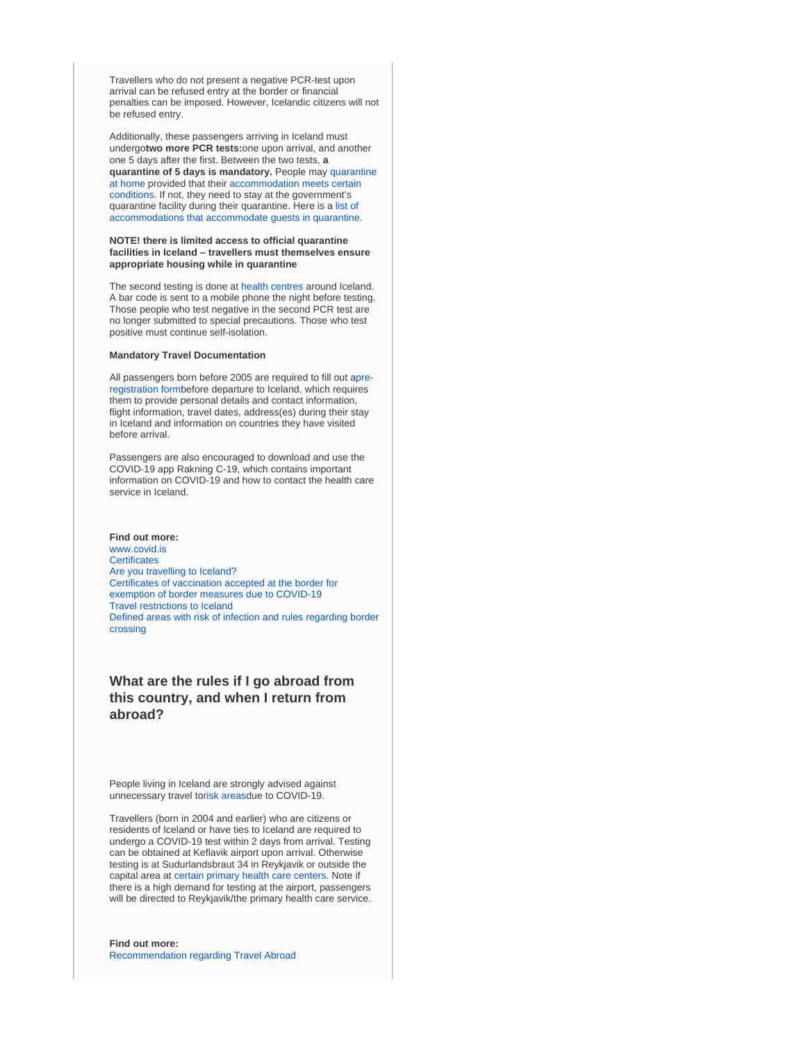Travellers who do not present a negative PCR-test upon arrival can be refused entry at the border or financial penalties can be imposed. However, Icelandic citizens will not be refused entry.

Additionally, these passengers arriving in Iceland must undergo**two more PCR tests:**one upon arrival, and another one 5 days after the first. Between the two tests, **a quarantine of 5 days is mandatory.** People may [quarantine](https://www.landlaeknir.is/um-embaettid/greinar/grein/item43539/instructions-for-persons-under-home-based-quarantine)  [at home](https://www.landlaeknir.is/um-embaettid/greinar/grein/item43539/instructions-for-persons-under-home-based-quarantine) provided that their [accommodation meets certain](https://www.landlaeknir.is/um-embaettid/greinar/grein/item41241/appropriate-housing-while-in-quarantine)  [conditions](https://www.landlaeknir.is/um-embaettid/greinar/grein/item41241/appropriate-housing-while-in-quarantine). If not, they need to stay at the government's quarantine facility during their quarantine. Here is a [list of](https://www.ferdamalastofa.is/en/about-us/novel-coronavirus-covid-19-general-info/accommodations-that-welcome-guests-in-quarantine)  [accommodations that accommodate guests in quarantine](https://www.ferdamalastofa.is/en/about-us/novel-coronavirus-covid-19-general-info/accommodations-that-welcome-guests-in-quarantine).

#### **NOTE! there is limited access to official quarantine facilities in Iceland – travellers must themselves ensure appropriate housing while in quarantine**

The second testing is done at [health centres](https://www.landlaeknir.is/covid19-screening) around Iceland. A bar code is sent to a mobile phone the night before testing. Those people who test negative in the second PCR test are no longer submitted to special precautions. Those who test positive must continue self-isolation.

#### **Mandatory Travel Documentation**

All passengers born before 2005 are required to fill out [apre](https://visit.covid.is/registration/)[registration form](https://visit.covid.is/registration/)before departure to Iceland, which requires them to provide personal details and contact information, flight information, travel dates, address(es) during their stay in Iceland and information on countries they have visited before arrival.

Passengers are also encouraged to download and use the COVID-19 app Rakning C-19, which contains important information on COVID-19 and how to contact the health care service in Iceland.

**Find out more:** [www.covid.is](https://www.covid.is/english)  **Certificates** [Are you travelling to Iceland?](https://island.is/en/p/entry)  [Certificates of vaccination accepted at the border for](https://www.landlaeknir.is/um-embaettid/greinar/grein/item44162/Certificate-of-vaccination-against-COVID-19-accepted-at-the-border)  [exemption of border measures due to COVID-19](https://www.landlaeknir.is/um-embaettid/greinar/grein/item44162/Certificate-of-vaccination-against-COVID-19-accepted-at-the-border)  [Travel restrictions to Iceland](https://www.logreglan.is/english/regarding-travel-restrictions-to-iceland-as-a-result-of-covid-19/)  [Defined areas with risk of infection and rules regarding border](https://www.landlaeknir.is/um-embaettid/greinar/grein/item39194/Skilgreind-ahaettusvaedi---Defined-high-risk-areas)  [crossing](https://www.landlaeknir.is/um-embaettid/greinar/grein/item39194/Skilgreind-ahaettusvaedi---Defined-high-risk-areas)

# **What are the rules if I go abroad from this country, and when I return from abroad?**

People living in Iceland are strongly advised against unnecessary travel to[risk areas](https://www.landlaeknir.is/um-embaettid/greinar/grein/item39194/Skilgreind-ahaettusvaedi---Defined-high-risk-areas)due to COVID-19.

Travellers (born in 2004 and earlier) who are citizens or residents of Iceland or have ties to Iceland are required to undergo a COVID-19 test within 2 days from arrival. Testing can be obtained at Keflavik airport upon arrival. Otherwise testing is at Sudurlandsbraut 34 in Reykjavik or outside the capital area at [certain primary health care centers.](https://www.landlaeknir.is/um-embaettid/greinar/grein/item42632/Upplysingar-um-opnunartima-heilsugaeslustodva-fyrir-landamaeraskimun) Note if there is a high demand for testing at the airport, passengers will be directed to Reykjavik/the primary health care service.

**Find out more:** [Recommendation regarding Travel Abroad](https://www.landlaeknir.is/um-embaettid/frettir/frett/item47001/Updated-COVID-19-Recommendation-regarding-Travel-Abroad)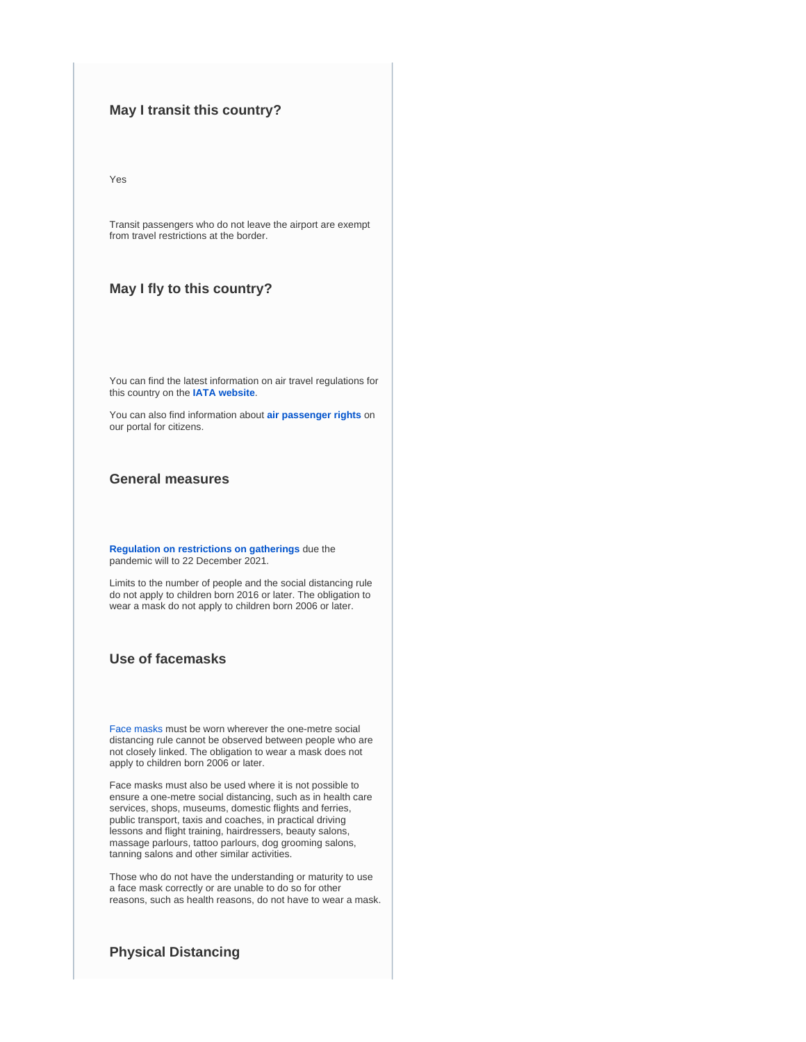### **May I transit this country?**

Yes

Transit passengers who do not leave the airport are exempt from travel restrictions at the border.

### **May I fly to this country?**

You can find the latest information on air travel regulations for this country on the **[IATA website](https://www.iatatravelcentre.com/international-travel-document-news/1580226297.htm)**.

You can also find information about **[air passenger rights](https://europa.eu/youreurope/citizens/travel/passenger-rights/air/index_en.htm)** on our portal for citizens.

### **General measures**

**[Regulation on restrictions on gatherings](https://www.government.is/news/article/2021/07/23/COVID-19-Restrictions-on-gatherings-as-of-25-July/)** due the pandemic will to 22 December 2021.

Limits to the number of people and the social distancing rule do not apply to children born 2016 or later. The obligation to wear a mask do not apply to children born 2006 or later.

### **Use of facemasks**

[Face masks](https://www.landlaeknir.is/utgefid-efni/skjal/item42256/) must be worn wherever the one-metre social distancing rule cannot be observed between people who are not closely linked. The obligation to wear a mask does not apply to children born 2006 or later.

Face masks must also be used where it is not possible to ensure a one-metre social distancing, such as in health care services, shops, museums, domestic flights and ferries, public transport, taxis and coaches, in practical driving lessons and flight training, hairdressers, beauty salons, massage parlours, tattoo parlours, dog grooming salons, tanning salons and other similar activities.

Those who do not have the understanding or maturity to use a face mask correctly or are unable to do so for other reasons, such as health reasons, do not have to wear a mask.

### **Physical Distancing**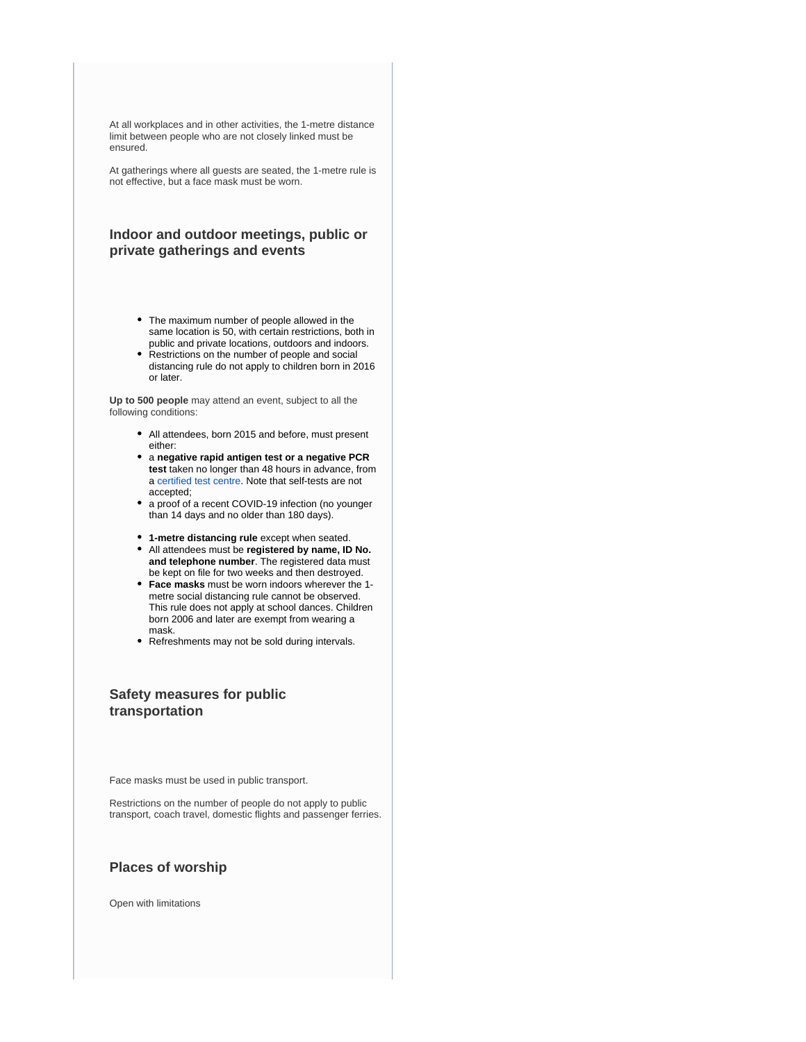At all workplaces and in other activities, the 1-metre distance limit between people who are not closely linked must be ensured.

At gatherings where all guests are seated, the 1-metre rule is not effective, but a face mask must be worn.

# **Indoor and outdoor meetings, public or private gatherings and events**

- The maximum number of people allowed in the same location is 50, with certain restrictions, both in public and private locations, outdoors and indoors.
- Restrictions on the number of people and social distancing rule do not apply to children born in 2016 or later.

**Up to 500 people** may attend an event, subject to all the following conditions:

- All attendees, born 2015 and before, must present either:
- a **negative rapid antigen test or a negative PCR test** taken no longer than 48 hours in advance, from a [certified test centre.](https://www.stjornarradid.is/efst-a-baugi/frettir/stok-frett/2021/11/12/COVID-19-Upplysingar-um-hvar-haegt-er-ad-fara-i-hradprof/) Note that self-tests are not accepted;
- a proof of a recent COVID-19 infection (no younger than 14 days and no older than 180 days).
- **1-metre distancing rule** except when seated.
- All attendees must be **registered by name, ID No. and telephone number**. The registered data must be kept on file for two weeks and then destroyed.
- **Face masks** must be worn indoors wherever the 1 metre social distancing rule cannot be observed. This rule does not apply at school dances. Children born 2006 and later are exempt from wearing a mask.
- Refreshments may not be sold during intervals.

### **Safety measures for public transportation**

Face masks must be used in public transport.

Restrictions on the number of people do not apply to public transport, coach travel, domestic flights and passenger ferries.

#### **Places of worship**

Open with limitations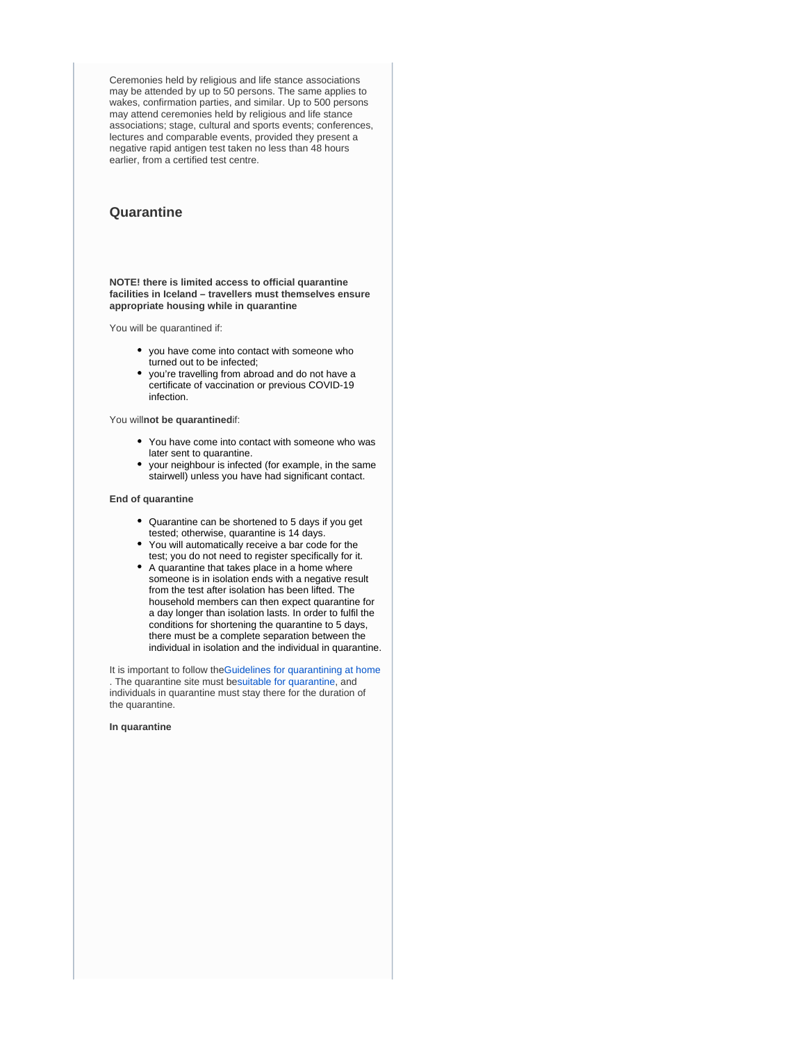Ceremonies held by religious and life stance associations may be attended by up to 50 persons. The same applies to wakes, confirmation parties, and similar. Up to 500 persons may attend ceremonies held by religious and life stance associations; stage, cultural and sports events; conferences, lectures and comparable events, provided they present a negative rapid antigen test taken no less than 48 hours earlier, from a certified test centre.

#### **Quarantine**

**NOTE! there is limited access to official quarantine facilities in Iceland – travellers must themselves ensure appropriate housing while in quarantine**

You will be quarantined if:

- you have come into contact with someone who turned out to be infected;
- you're travelling from abroad and do not have a certificate of vaccination or previous COVID-19 infection.

You will**not be quarantined**if:

- You have come into contact with someone who was later sent to quarantine.
- your neighbour is infected (for example, in the same stairwell) unless you have had significant contact.

#### **End of quarantine**

- Quarantine can be shortened to 5 days if you get tested; otherwise, quarantine is 14 days.
- $\bullet$ You will automatically receive a bar code for the test; you do not need to register specifically for it.
- A quarantine that takes place in a home where someone is in isolation ends with a negative result from the test after isolation has been lifted. The household members can then expect quarantine for a day longer than isolation lasts. In order to fulfil the conditions for shortening the quarantine to 5 days, there must be a complete separation between the individual in isolation and the individual in quarantine.

It is important to follow th[eGuidelines for quarantining at home](https://www.landlaeknir.is/um-embaettid/greinar/grein/item43539/Instructions-for-persons-under-home-based-quarantine) . The quarantine site must b[esuitable for quarantine,](https://www.landlaeknir.is/um-embaettid/greinar/grein/item41241/appropriate-housing-while-in-quarantine) and individuals in quarantine must stay there for the duration of the quarantine.

### **In quarantine**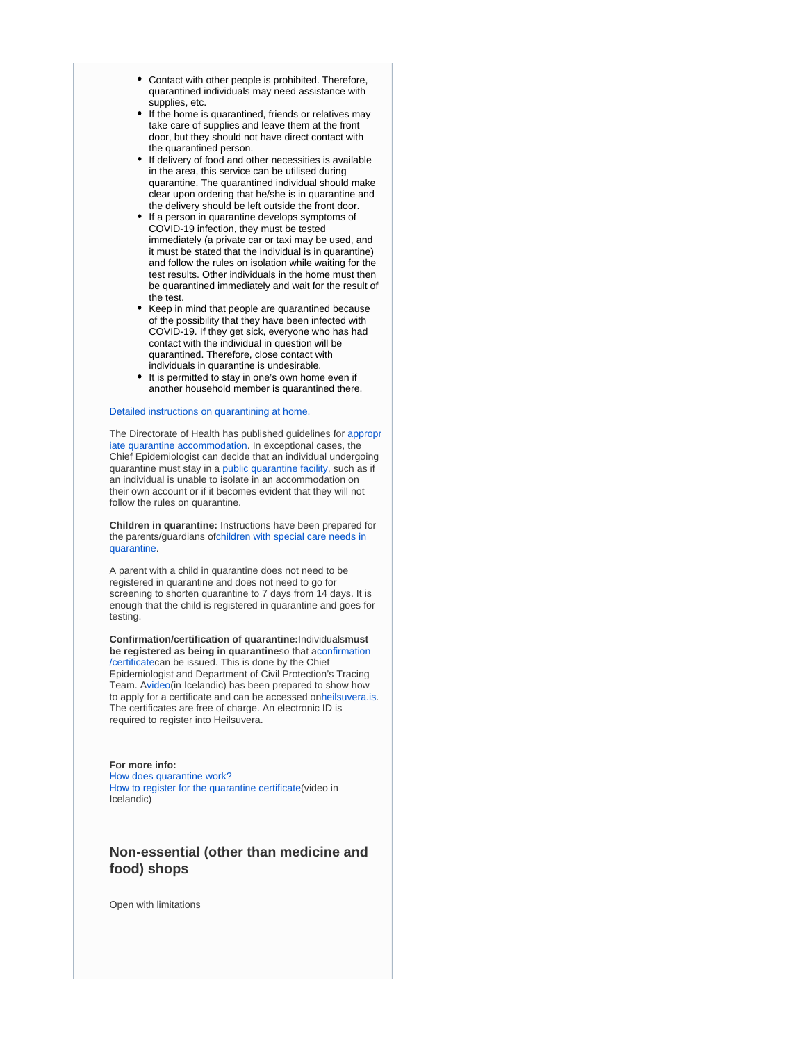- Contact with other people is prohibited. Therefore, quarantined individuals may need assistance with supplies, etc.
- If the home is quarantined, friends or relatives may take care of supplies and leave them at the front door, but they should not have direct contact with the quarantined person.
- If delivery of food and other necessities is available in the area, this service can be utilised during quarantine. The quarantined individual should make clear upon ordering that he/she is in quarantine and the delivery should be left outside the front door.
- If a person in quarantine develops symptoms of COVID-19 infection, they must be tested immediately (a private car or taxi may be used, and it must be stated that the individual is in quarantine) and follow the rules on isolation while waiting for the test results. Other individuals in the home must then be quarantined immediately and wait for the result of the test.
- $\bullet$ Keep in mind that people are quarantined because of the possibility that they have been infected with COVID-19. If they get sick, everyone who has had contact with the individual in question will be quarantined. Therefore, close contact with individuals in quarantine is undesirable.
- It is permitted to stay in one's own home even if another household member is quarantined there.

#### [Detailed instructions on quarantining at home.](https://www.landlaeknir.is/um-embaettid/greinar/grein/item43539/Instructions-for-persons-under-home-based-quarantine)

The Directorate of Health has published guidelines for [appropr](https://www.landlaeknir.is/um-embaettid/greinar/grein/item41241/Appropriate-housing-while-in-quarantine) [iate quarantine accommodation.](https://www.landlaeknir.is/um-embaettid/greinar/grein/item41241/Appropriate-housing-while-in-quarantine) In exceptional cases, the Chief Epidemiologist can decide that an individual undergoing quarantine must stay in a [public quarantine facility](https://www.raudikrossinn.is/hvad-gerum-vid/neydarvarnir/sottkvi/), such as if an individual is unable to isolate in an accommodation on their own account or if it becomes evident that they will not follow the rules on quarantine.

**Children in quarantine:** Instructions have been prepared for the parents/guardians o[fchildren with special care needs in](https://www.landlaeknir.is/um-embaettid/greinar/grein/item43371/children-with-special-care-needs-in-quarantine-instructions-for-parents/guardians)  [quarantine.](https://www.landlaeknir.is/um-embaettid/greinar/grein/item43371/children-with-special-care-needs-in-quarantine-instructions-for-parents/guardians)

A parent with a child in quarantine does not need to be registered in quarantine and does not need to go for screening to shorten quarantine to 7 days from 14 days. It is enough that the child is registered in quarantine and goes for testing.

**Confirmation/certification of quarantine:**Individuals**must be registered as being in quarantine**so that a[confirmation](https://www.landlaeknir.is/um-embaettid/greinar/grein/item43543/certificate-of-quarantine-or-a-confirmed-covid-19-infection) [/certificate](https://www.landlaeknir.is/um-embaettid/greinar/grein/item43543/certificate-of-quarantine-or-a-confirmed-covid-19-infection)can be issued. This is done by the Chief Epidemiologist and Department of Civil Protection's Tracing Team. A[video\(](https://www.youtube.com/watch?v=U1I43jcVUl4)in Icelandic) has been prepared to show how to apply for a certificate and can be accessed o[nheilsuvera.is.](https://www.heilsuvera.is/) The certificates are free of charge. An electronic ID is required to register into Heilsuvera.

**For more info:** [How does quarantine work?](https://www.covid.is/categories/how-does-quarantine-work)  [How to register for the quarantine certificate\(](https://www.youtube.com/watch?v=U1I43jcVUl4&feature=youtu.be)video in Icelandic)

# **Non-essential (other than medicine and food) shops**

Open with limitations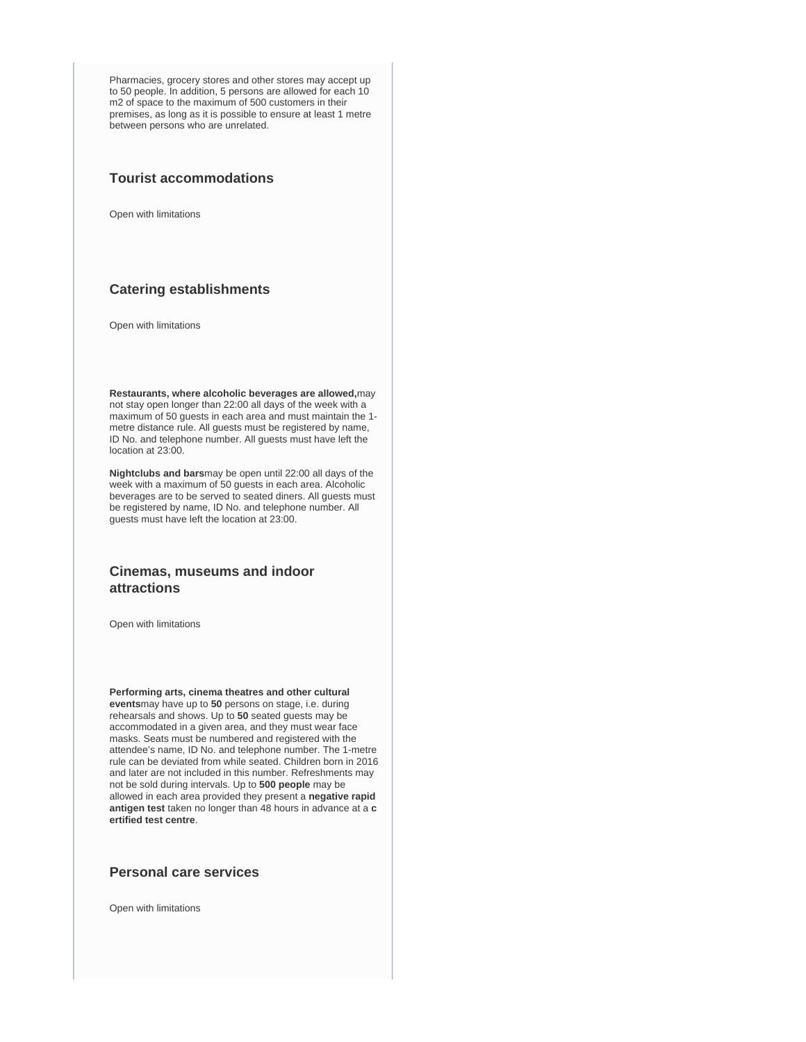Pharmacies, grocery stores and other stores may accept up to 50 people. In addition, 5 persons are allowed for each 10 m2 of space to the maximum of 500 customers in their premises, as long as it is possible to ensure at least 1 metre between persons who are unrelated.

### **Tourist accommodations**

Open with limitations

# **Catering establishments**

Open with limitations

**Restaurants, where alcoholic beverages are allowed,**may not stay open longer than 22:00 all days of the week with a maximum of 50 guests in each area and must maintain the 1 metre distance rule. All guests must be registered by name, ID No. and telephone number. All guests must have left the location at 23:00.

**Nightclubs and bars**may be open until 22:00 all days of the week with a maximum of 50 guests in each area. Alcoholic beverages are to be served to seated diners. All guests must be registered by name, ID No. and telephone number. All guests must have left the location at 23:00.

### **Cinemas, museums and indoor attractions**

Open with limitations

**Performing arts, cinema theatres and other cultural events**may have up to **50** persons on stage, i.e. during rehearsals and shows. Up to **50** seated guests may be accommodated in a given area, and they must wear face masks. Seats must be numbered and registered with the attendee's name, ID No. and telephone number. The 1-metre rule can be deviated from while seated. Children born in 2016 and later are not included in this number. Refreshments may not be sold during intervals. Up to **500 people** may be allowed in each area provided they present a **negative rapid antigen test** taken no longer than 48 hours in advance at a **c ertified test centre**.

#### **Personal care services**

Open with limitations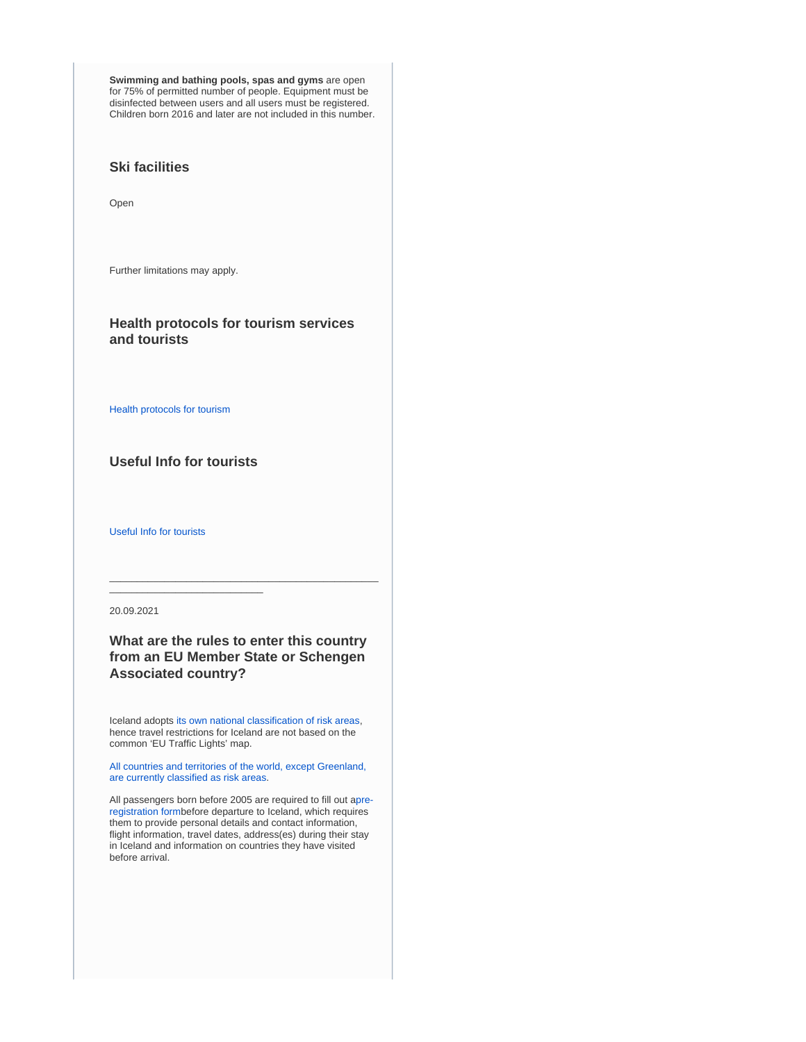**Swimming and bathing pools, spas and gyms** are open for 75% of permitted number of people. Equipment must be disinfected between users and all users must be registered. Children born 2016 and later are not included in this number.

# **Ski facilities**

Open

Further limitations may apply.

# **Health protocols for tourism services and tourists**

[Health protocols for tourism](https://www.covid.is)

**Useful Info for tourists**

\_\_\_\_\_\_\_\_\_\_\_\_\_\_\_\_\_\_\_\_\_\_\_\_\_\_\_\_

[Useful Info for tourists](https://www.covid.is/categories/tourists-travelling-to-iceland)

20.09.2021

# **What are the rules to enter this country from an EU Member State or Schengen Associated country?**

\_\_\_\_\_\_\_\_\_\_\_\_\_\_\_\_\_\_\_\_\_\_\_\_\_\_\_\_\_\_\_\_\_\_\_\_\_\_\_\_\_\_\_\_\_\_\_\_\_

Iceland adopts [its own national classification of risk areas](https://www.landlaeknir.is/um-embaettid/greinar/grein/item39194/Skilgreind-svaedi-med-smitahaettu---Defined-areas-with-risk-of-infection-(27-02-2020)), hence travel restrictions for Iceland are not based on the common 'EU Traffic Lights' map.

[All countries and territories of the world, except Greenland,](https://www.landlaeknir.is/um-embaettid/greinar/grein/item39194/Skilgreind-svaedi-med-smitahaettu---Defined-areas-with-risk-of-infection-(27-02-2020))  [are currently classified as risk areas](https://www.landlaeknir.is/um-embaettid/greinar/grein/item39194/Skilgreind-svaedi-med-smitahaettu---Defined-areas-with-risk-of-infection-(27-02-2020)).

All passengers born before 2005 are required to fill out [apre](https://visit.covid.is/registration/)[registration form](https://visit.covid.is/registration/)before departure to Iceland, which requires them to provide personal details and contact information, flight information, travel dates, address(es) during their stay in Iceland and information on countries they have visited before arrival.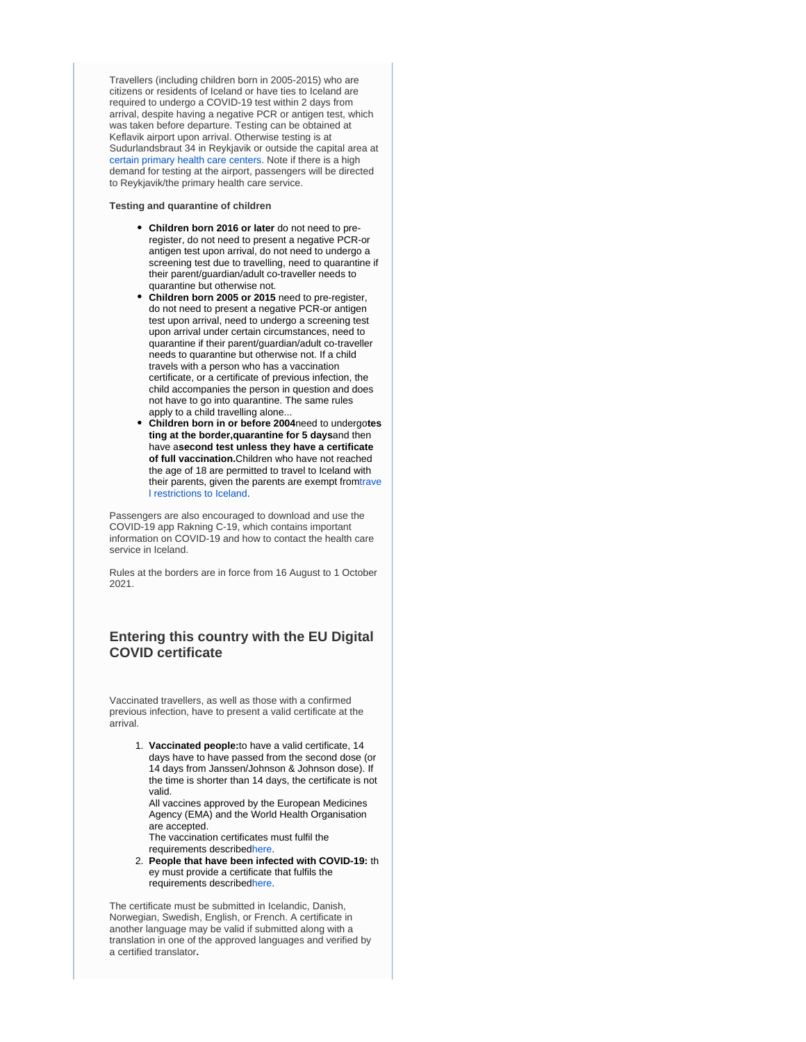Travellers (including children born in 2005-2015) who are citizens or residents of Iceland or have ties to Iceland are required to undergo a COVID-19 test within 2 days from arrival, despite having a negative PCR or antigen test, which was taken before departure. Testing can be obtained at Keflavik airport upon arrival. Otherwise testing is at Sudurlandsbraut 34 in Reykjavik or outside the capital area at [certain primary health care centers.](https://www.landlaeknir.is/um-embaettid/greinar/grein/item42632/Upplysingar-um-opnunartima-heilsugaeslustodva-fyrir-landamaeraskimun) Note if there is a high demand for testing at the airport, passengers will be directed to Reykjavik/the primary health care service.

#### **Testing and quarantine of children**

- **Children born 2016 or later** do not need to preregister, do not need to present a negative PCR-or antigen test upon arrival, do not need to undergo a screening test due to travelling, need to quarantine if their parent/guardian/adult co-traveller needs to quarantine but otherwise not.
- **Children born 2005 or 2015** need to pre-register, do not need to present a negative PCR-or antigen test upon arrival, need to undergo a screening test upon arrival under certain circumstances, need to quarantine if their parent/guardian/adult co-traveller needs to quarantine but otherwise not. If a child travels with a person who has a vaccination certificate, or a certificate of previous infection, the child accompanies the person in question and does not have to go into quarantine. The same rules apply to a child travelling alone...
- **Children born in or before 2004**need to undergo**tes ting at the border,quarantine for 5 days**and then have a**second test unless they have a certificate of full vaccination.**Children who have not reached the age of 18 are permitted to travel to Iceland with their parents, given the parents are exempt fro[mtrave](https://www.logreglan.is/english/regarding-travel-restrictions-to-iceland-as-a-result-of-covid-19/) [l restrictions to Iceland.](https://www.logreglan.is/english/regarding-travel-restrictions-to-iceland-as-a-result-of-covid-19/)

Passengers are also encouraged to download and use the COVID-19 app Rakning C-19, which contains important information on COVID-19 and how to contact the health care service in Iceland.

Rules at the borders are in force from 16 August to 1 October 2021.

# **Entering this country with the EU Digital COVID certificate**

Vaccinated travellers, as well as those with a confirmed previous infection, have to present a valid certificate at the arrival.

> 1. **Vaccinated people:**to have a valid certificate, 14 days have to have passed from the second dose (or 14 days from Janssen/Johnson & Johnson dose). If the time is shorter than 14 days, the certificate is not valid.

All vaccines approved by the European Medicines Agency (EMA) and the World Health Organisation are accepted. The vaccination certificates must fulfil the

requirements described[here.](https://www.landlaeknir.is/um-embaettid/greinar/grein/item44162/Certificate-of-vaccination-against-COVID-19-accepted-at-the-border%22%20/t%20%22_blank)

2. **People that have been infected with COVID-19:** th ey must provide a certificate that fulfils the requirements described[here.](https://www.landlaeknir.is/um-embaettid/greinar/grein/item43709/Certificates-regarding-previous-COVID-19-infection-that-are-accepted-at-the-border-in-Iceland-from-10-December-2020)

The certificate must be submitted in Icelandic, Danish, Norwegian, Swedish, English, or French. A certificate in another language may be valid if submitted along with a translation in one of the approved languages and verified by a certified translator**.**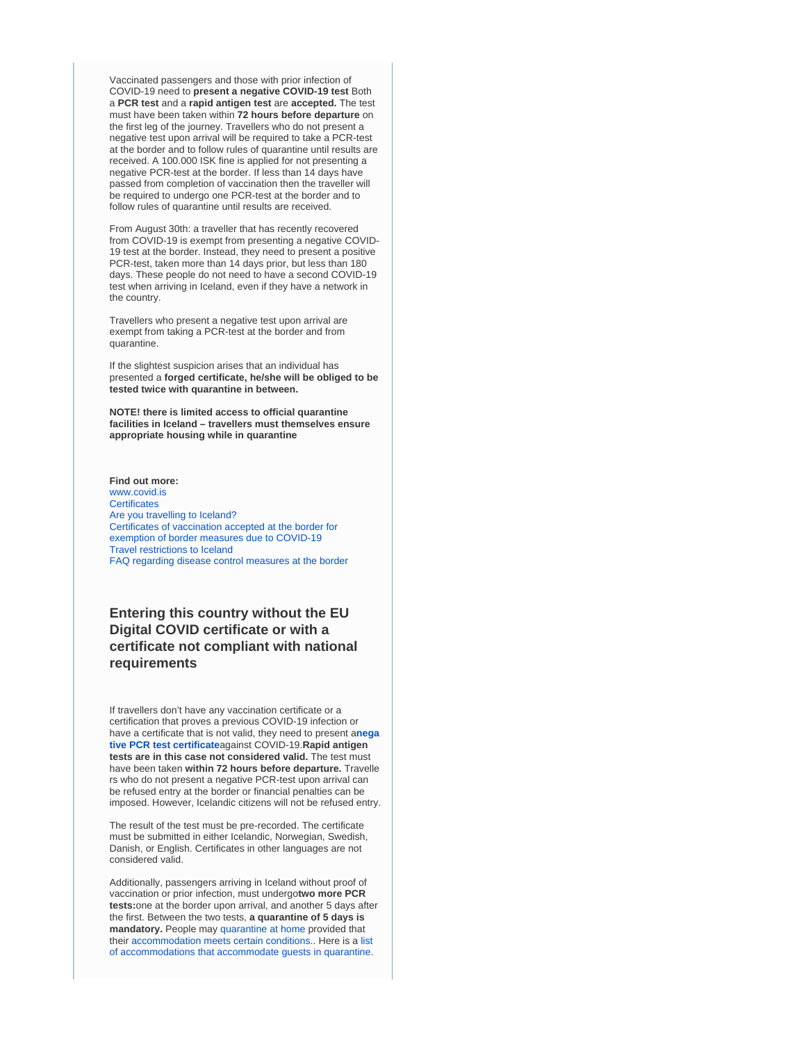Vaccinated passengers and those with prior infection of COVID-19 need to **present a negative COVID-19 test** Both a **PCR test** and a **rapid antigen test** are **accepted.** The test must have been taken within **72 hours before departure** on the first leg of the journey. Travellers who do not present a negative test upon arrival will be required to take a PCR-test at the border and to follow rules of quarantine until results are received. A 100.000 ISK fine is applied for not presenting a negative PCR-test at the border. If less than 14 days have passed from completion of vaccination then the traveller will be required to undergo one PCR-test at the border and to follow rules of quarantine until results are received.

From August 30th: a traveller that has recently recovered from COVID-19 is exempt from presenting a negative COVID-19 test at the border. Instead, they need to present a positive PCR-test, taken more than 14 days prior, but less than 180 days. These people do not need to have a second COVID-19 test when arriving in Iceland, even if they have a network in the country.

Travellers who present a negative test upon arrival are exempt from taking a PCR-test at the border and from quarantine.

If the slightest suspicion arises that an individual has presented a **forged certificate, he/she will be obliged to be tested twice with quarantine in between.**

**NOTE! there is limited access to official quarantine facilities in Iceland – travellers must themselves ensure appropriate housing while in quarantine**

**Find out more:** www.covid.is **Certificates** [Are you travelling to Iceland?](https://island.is/en/p/entry)  [Certificates of vaccination accepted at the border for](https://www.landlaeknir.is/um-embaettid/greinar/grein/item44162/Certificate-of-vaccination-against-COVID-19-accepted-at-the-border)  [exemption of border measures due to COVID-19](https://www.landlaeknir.is/um-embaettid/greinar/grein/item44162/Certificate-of-vaccination-against-COVID-19-accepted-at-the-border)  [Travel restrictions to Iceland](https://www.logreglan.is/english/regarding-travel-restrictions-to-iceland-as-a-result-of-covid-19/)  [FAQ regarding disease control measures at the border](https://www.government.is/government/covid-19/q-and-a-on-border-measures/)

# **Entering this country without the EU Digital COVID certificate or with a certificate not compliant with national requirements**

If travellers don't have any vaccination certificate or a certification that proves a previous COVID-19 infection or have a certificate that is not valid, they need to present a**[nega](https://www.covid.is/sub-categories/certificates) [tive PCR test certificate](https://www.covid.is/sub-categories/certificates)**against COVID-19.**Rapid antigen tests are in this case not considered valid.** The test must have been taken **within 72 hours before departure.** Travelle rs who do not present a negative PCR-test upon arrival can be refused entry at the border or financial penalties can be imposed. However, Icelandic citizens will not be refused entry.

The result of the test must be pre-recorded. The certificate must be submitted in either Icelandic, Norwegian, Swedish, Danish, or English. Certificates in other languages are not considered valid.

Additionally, passengers arriving in Iceland without proof of vaccination or prior infection, must undergo**two more PCR tests:**one at the border upon arrival, and another 5 days after the first. Between the two tests, **a quarantine of 5 days is mandatory.** People may [quarantine at home](https://www.landlaeknir.is/um-embaettid/greinar/grein/item43539/instructions-for-persons-under-home-based-quarantine) provided that their [accommodation meets certain conditions.](https://www.landlaeknir.is/um-embaettid/greinar/grein/item41241/appropriate-housing-while-in-quarantine). Here is a [list](https://www.ferdamalastofa.is/en/about-us/novel-coronavirus-covid-19-general-info/accommodations-that-welcome-guests-in-quarantine)  [of accommodations that accommodate guests in quarantine.](https://www.ferdamalastofa.is/en/about-us/novel-coronavirus-covid-19-general-info/accommodations-that-welcome-guests-in-quarantine)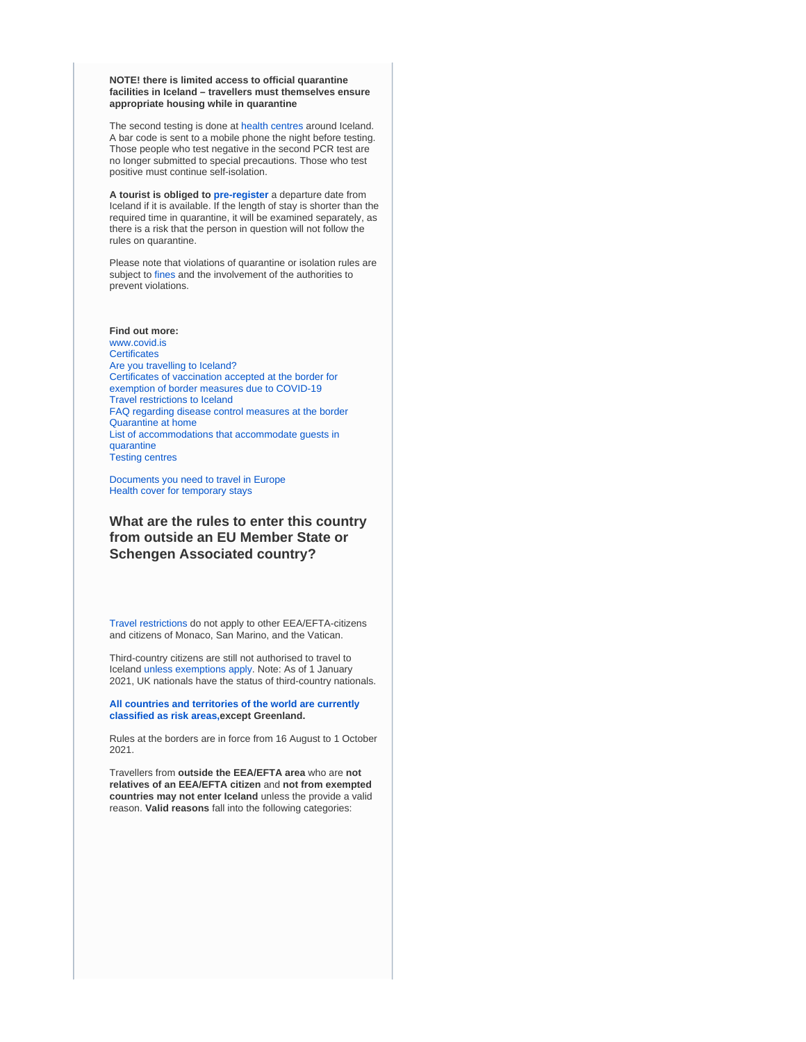**NOTE! there is limited access to official quarantine facilities in Iceland – travellers must themselves ensure appropriate housing while in quarantine**

The second testing is done at [health centres](https://www.landlaeknir.is/covid19-screening) around Iceland. A bar code is sent to a mobile phone the night before testing. Those people who test negative in the second PCR test are no longer submitted to special precautions. Those who test positive must continue self-isolation.

**A tourist is obliged to [pre-register](https://visit.covid.is/registration/)** a departure date from Iceland if it is available. If the length of stay is shorter than the required time in quarantine, it will be examined separately, as there is a risk that the person in question will not follow the rules on quarantine.

Please note that violations of quarantine or isolation rules are subject to [fines](https://www.rikissaksoknari.is/english/covid-19/) and the involvement of the authorities to prevent violations.

**Find out more:** [www.covid.is](https://www.covid.is/english)  **Certificates** [Are you travelling to Iceland?](https://island.is/en/p/entry)  [Certificates of vaccination accepted at the border for](https://www.landlaeknir.is/um-embaettid/greinar/grein/item44162/Certificate-of-vaccination-against-COVID-19-accepted-at-the-border)  [exemption of border measures due to COVID-19](https://www.landlaeknir.is/um-embaettid/greinar/grein/item44162/Certificate-of-vaccination-against-COVID-19-accepted-at-the-border)  [Travel restrictions to Iceland](https://www.logreglan.is/english/regarding-travel-restrictions-to-iceland-as-a-result-of-covid-19/)  [FAQ regarding disease control measures at the border](https://www.government.is/government/covid-19/q-and-a-on-border-measures/)  [Quarantine at home](https://www.landlaeknir.is/um-embaettid/greinar/grein/item43539/instructions-for-persons-under-home-based-quarantine)  [List of accommodations that accommodate guests in](https://www.ferdamalastofa.is/en/about-us/novel-coronavirus-covid-19-general-info/accommodations-that-welcome-guests-in-quarantine)  [quarantine](https://www.ferdamalastofa.is/en/about-us/novel-coronavirus-covid-19-general-info/accommodations-that-welcome-guests-in-quarantine)  [Testing centres](https://www.landlaeknir.is/covid19-screening)

[Documents you need to travel in Europe](https://europa.eu/youreurope/citizens/travel/entry-exit/index_en.htm) [Health cover for temporary stays](https://europa.eu/youreurope/citizens/health/unplanned-healthcare/temporary-stays/index_en.htm)

**What are the rules to enter this country from outside an EU Member State or Schengen Associated country?**

[Travel restrictions](https://www.logreglan.is/english/regarding-travel-restrictions-to-iceland-as-a-result-of-covid-19/) do not apply to other EEA/EFTA-citizens and citizens of Monaco, San Marino, and the Vatican.

Third-country citizens are still not authorised to travel to Iceland [unless exemptions apply.](https://www.logreglan.is/english/regarding-travel-restrictions-to-iceland-as-a-result-of-covid-19/) Note: As of 1 January 2021, UK nationals have the status of third-country nationals.

**[All countries and territories of the world are currently](https://www.landlaeknir.is/um-embaettid/greinar/grein/item39194/Skilgreind-svaedi-med-smitahaettu---Defined-areas-with-risk-of-infection-(27-02-2020))  [classified as risk areas,](https://www.landlaeknir.is/um-embaettid/greinar/grein/item39194/Skilgreind-svaedi-med-smitahaettu---Defined-areas-with-risk-of-infection-(27-02-2020))except Greenland.**

Rules at the borders are in force from 16 August to 1 October 2021.

Travellers from **outside the EEA/EFTA area** who are **not relatives of an EEA/EFTA citizen** and **not from exempted countries may not enter Iceland** unless the provide a valid reason. **Valid reasons** fall into the following categories: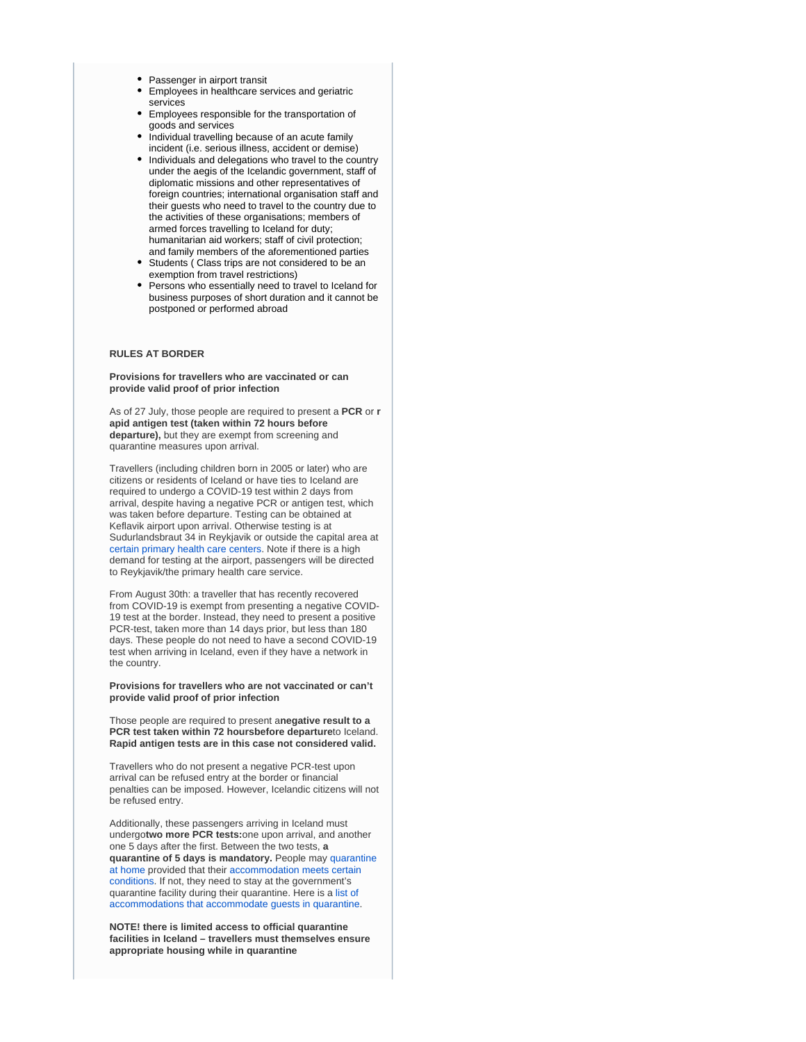- Passenger in airport transit
- Employees in healthcare services and geriatric services
- Employees responsible for the transportation of goods and services
- Individual travelling because of an acute family incident (i.e. serious illness, accident or demise)
- Individuals and delegations who travel to the country under the aegis of the Icelandic government, staff of diplomatic missions and other representatives of foreign countries; international organisation staff and their guests who need to travel to the country due to the activities of these organisations; members of armed forces travelling to Iceland for duty; humanitarian aid workers; staff of civil protection; and family members of the aforementioned parties
- Students ( Class trips are not considered to be an exemption from travel restrictions)
- Persons who essentially need to travel to Iceland for business purposes of short duration and it cannot be postponed or performed abroad

#### **RULES AT BORDER**

**Provisions for travellers who are vaccinated or can provide valid proof of prior infection**

As of 27 July, those people are required to present a **PCR** or **r apid antigen test (taken within 72 hours before departure),** but they are exempt from screening and quarantine measures upon arrival.

Travellers (including children born in 2005 or later) who are citizens or residents of Iceland or have ties to Iceland are required to undergo a COVID-19 test within 2 days from arrival, despite having a negative PCR or antigen test, which was taken before departure. Testing can be obtained at Keflavik airport upon arrival. Otherwise testing is at Sudurlandsbraut 34 in Reykjavik or outside the capital area at [certain primary health care centers.](https://www.landlaeknir.is/um-embaettid/greinar/grein/item42632/Upplysingar-um-opnunartima-heilsugaeslustodva-fyrir-landamaeraskimun) Note if there is a high demand for testing at the airport, passengers will be directed to Reykjavik/the primary health care service.

From August 30th: a traveller that has recently recovered from COVID-19 is exempt from presenting a negative COVID-19 test at the border. Instead, they need to present a positive PCR-test, taken more than 14 days prior, but less than 180 days. These people do not need to have a second COVID-19 test when arriving in Iceland, even if they have a network in the country.

**Provisions for travellers who are not vaccinated or can't provide valid proof of prior infection**

Those people are required to present a**negative result to a PCR test taken within 72 hoursbefore departure**to Iceland. **Rapid antigen tests are in this case not considered valid.**

Travellers who do not present a negative PCR-test upon arrival can be refused entry at the border or financial penalties can be imposed. However, Icelandic citizens will not be refused entry.

Additionally, these passengers arriving in Iceland must undergo**two more PCR tests:**one upon arrival, and another one 5 days after the first. Between the two tests, **a quarantine of 5 days is mandatory.** People may [quarantine](https://www.landlaeknir.is/um-embaettid/greinar/grein/item43539/instructions-for-persons-under-home-based-quarantine)  [at home](https://www.landlaeknir.is/um-embaettid/greinar/grein/item43539/instructions-for-persons-under-home-based-quarantine) provided that their [accommodation meets certain](https://www.landlaeknir.is/um-embaettid/greinar/grein/item41241/appropriate-housing-while-in-quarantine)  [conditions](https://www.landlaeknir.is/um-embaettid/greinar/grein/item41241/appropriate-housing-while-in-quarantine). If not, they need to stay at the government's quarantine facility during their quarantine. Here is a [list of](https://www.ferdamalastofa.is/en/about-us/novel-coronavirus-covid-19-general-info/accommodations-that-welcome-guests-in-quarantine)  [accommodations that accommodate guests in quarantine](https://www.ferdamalastofa.is/en/about-us/novel-coronavirus-covid-19-general-info/accommodations-that-welcome-guests-in-quarantine).

**NOTE! there is limited access to official quarantine facilities in Iceland – travellers must themselves ensure appropriate housing while in quarantine**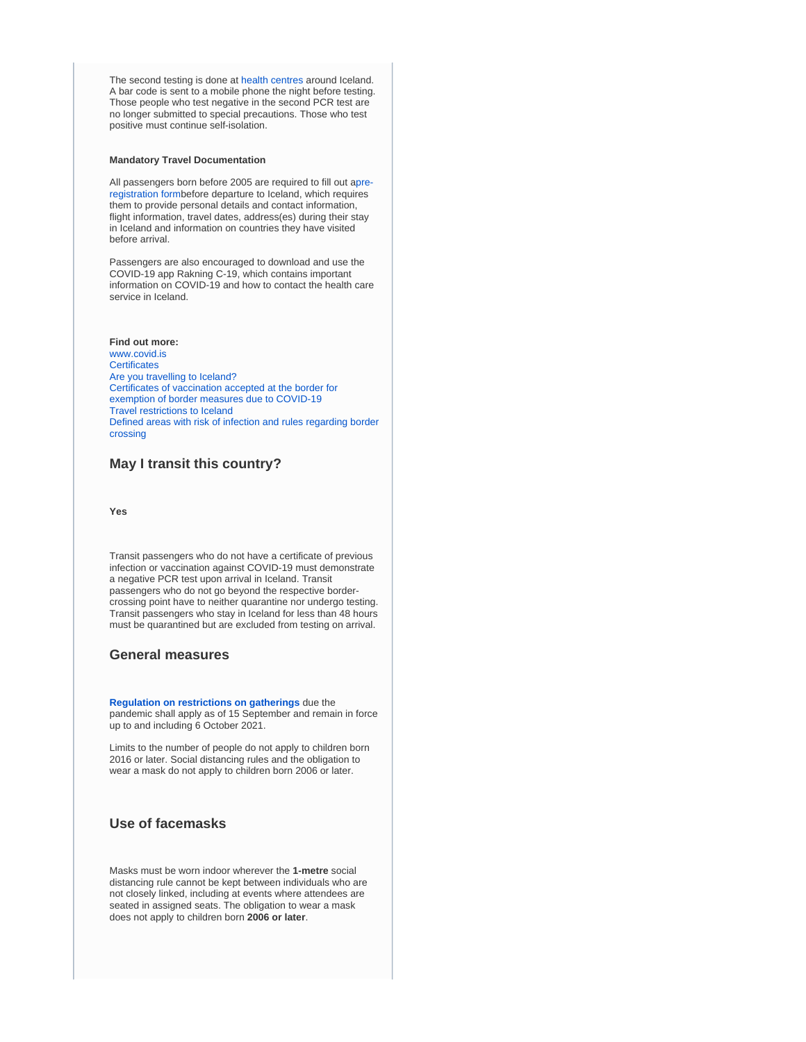The second testing is done at [health centres](https://www.landlaeknir.is/covid19-screening) around Iceland. A bar code is sent to a mobile phone the night before testing. Those people who test negative in the second PCR test are no longer submitted to special precautions. Those who test positive must continue self-isolation.

#### **Mandatory Travel Documentation**

All passengers born before 2005 are required to fill out [apre](https://visit.covid.is/registration/)[registration form](https://visit.covid.is/registration/)before departure to Iceland, which requires them to provide personal details and contact information, flight information, travel dates, address(es) during their stay in Iceland and information on countries they have visited before arrival.

Passengers are also encouraged to download and use the COVID-19 app Rakning C-19, which contains important information on COVID-19 and how to contact the health care service in Iceland.

**Find out more:**

[www.covid.is](https://www.covid.is/english)  **Certificates** [Are you travelling to Iceland?](https://island.is/en/p/entry)  [Certificates of vaccination accepted at the border for](https://www.landlaeknir.is/um-embaettid/greinar/grein/item44162/Certificate-of-vaccination-against-COVID-19-accepted-at-the-border)  [exemption of border measures due to COVID-19](https://www.landlaeknir.is/um-embaettid/greinar/grein/item44162/Certificate-of-vaccination-against-COVID-19-accepted-at-the-border)  [Travel restrictions to Iceland](https://www.logreglan.is/english/regarding-travel-restrictions-to-iceland-as-a-result-of-covid-19/)  [Defined areas with risk of infection and rules regarding border](https://www.landlaeknir.is/um-embaettid/greinar/grein/item39194/Skilgreind-ahaettusvaedi---Defined-high-risk-areas)  [crossing](https://www.landlaeknir.is/um-embaettid/greinar/grein/item39194/Skilgreind-ahaettusvaedi---Defined-high-risk-areas)

# **May I transit this country?**

**Yes**

Transit passengers who do not have a certificate of previous infection or vaccination against COVID-19 must demonstrate a negative PCR test upon arrival in Iceland. Transit passengers who do not go beyond the respective bordercrossing point have to neither quarantine nor undergo testing. Transit passengers who stay in Iceland for less than 48 hours must be quarantined but are excluded from testing on arrival.

#### **General measures**

**[Regulation on restrictions on gatherings](https://www.government.is/news/article/2021/07/23/COVID-19-Restrictions-on-gatherings-as-of-25-July/)** due the pandemic shall apply as of 15 September and remain in force up to and including 6 October 2021.

Limits to the number of people do not apply to children born 2016 or later. Social distancing rules and the obligation to wear a mask do not apply to children born 2006 or later.

### **Use of facemasks**

Masks must be worn indoor wherever the **1-metre** social distancing rule cannot be kept between individuals who are not closely linked, including at events where attendees are seated in assigned seats. The obligation to wear a mask does not apply to children born **2006 or later**.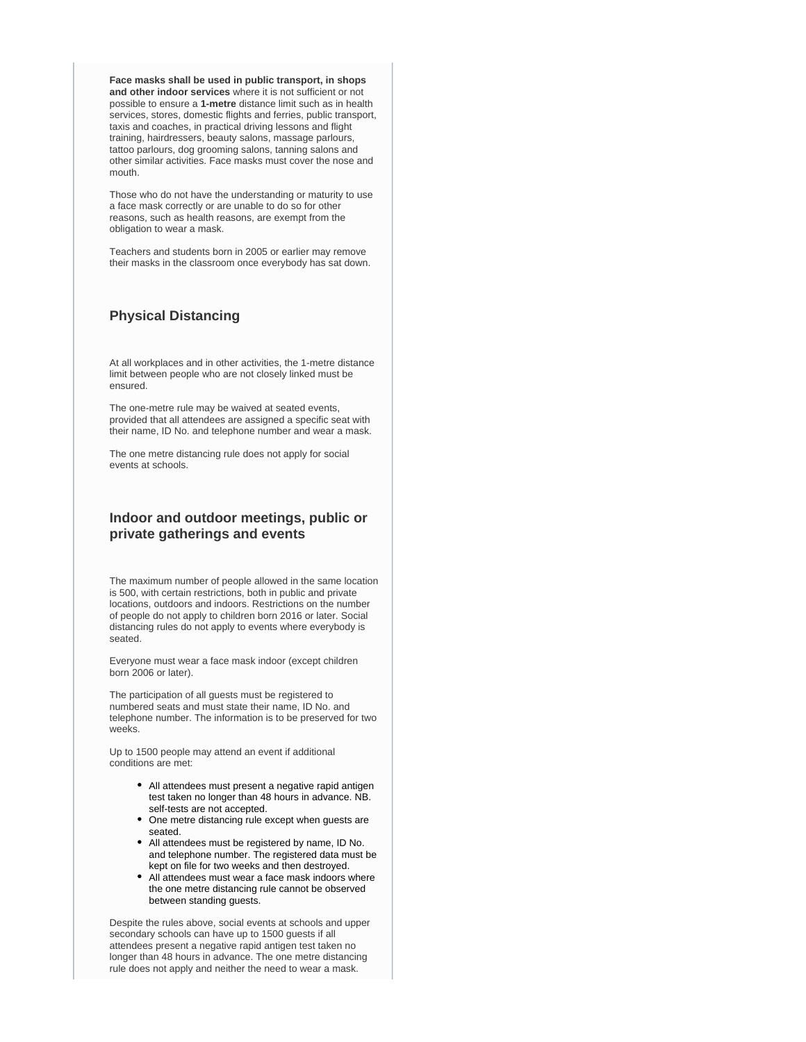**Face masks shall be used in public transport, in shops and other indoor services** where it is not sufficient or not possible to ensure a **1-metre** distance limit such as in health services, stores, domestic flights and ferries, public transport, taxis and coaches, in practical driving lessons and flight training, hairdressers, beauty salons, massage parlours, tattoo parlours, dog grooming salons, tanning salons and other similar activities. Face masks must cover the nose and mouth.

Those who do not have the understanding or maturity to use a face mask correctly or are unable to do so for other reasons, such as health reasons, are exempt from the obligation to wear a mask.

Teachers and students born in 2005 or earlier may remove their masks in the classroom once everybody has sat down.

### **Physical Distancing**

At all workplaces and in other activities, the 1-metre distance limit between people who are not closely linked must be ensured.

The one-metre rule may be waived at seated events, provided that all attendees are assigned a specific seat with their name, ID No. and telephone number and wear a mask.

The one metre distancing rule does not apply for social events at schools.

# **Indoor and outdoor meetings, public or private gatherings and events**

The maximum number of people allowed in the same location is 500, with certain restrictions, both in public and private locations, outdoors and indoors. Restrictions on the number of people do not apply to children born 2016 or later. Social distancing rules do not apply to events where everybody is seated.

Everyone must wear a face mask indoor (except children born 2006 or later).

The participation of all guests must be registered to numbered seats and must state their name, ID No. and telephone number. The information is to be preserved for two weeks.

Up to 1500 people may attend an event if additional conditions are met:

- All attendees must present a negative rapid antigen test taken no longer than 48 hours in advance. NB. self-tests are not accepted.
- One metre distancing rule except when guests are seated.
- All attendees must be registered by name, ID No. and telephone number. The registered data must be kept on file for two weeks and then destroyed.
- All attendees must wear a face mask indoors where the one metre distancing rule cannot be observed between standing guests.

Despite the rules above, social events at schools and upper secondary schools can have up to 1500 guests if all attendees present a negative rapid antigen test taken no longer than 48 hours in advance. The one metre distancing rule does not apply and neither the need to wear a mask.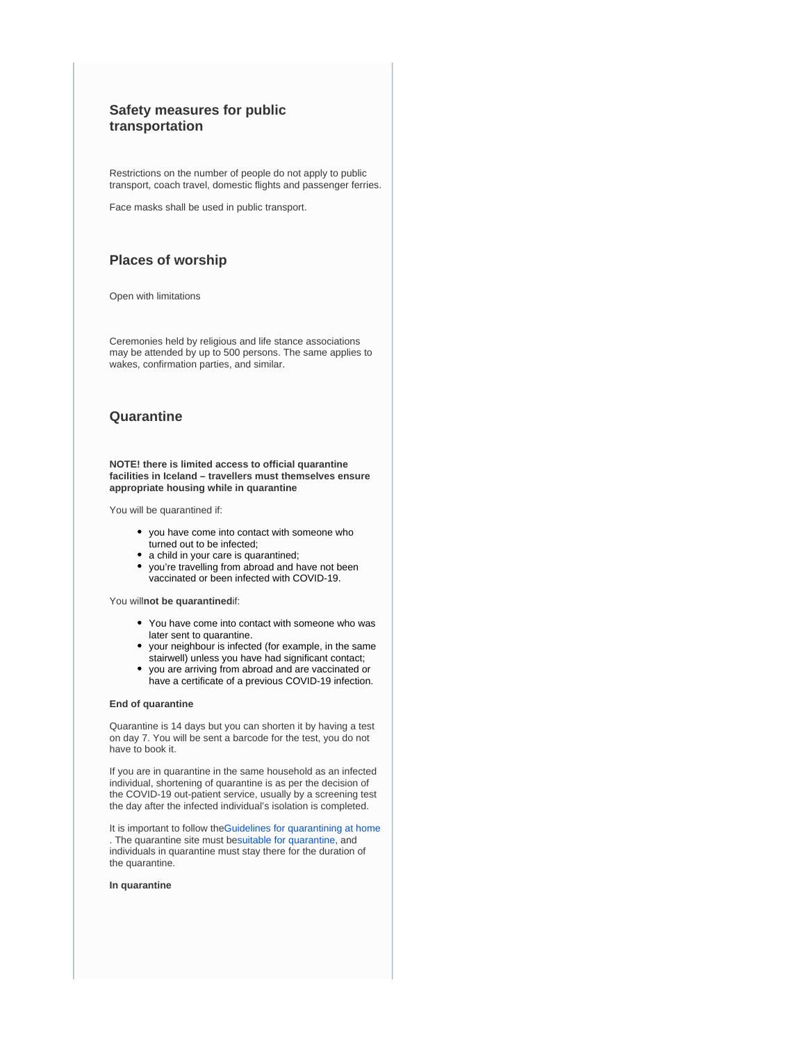# **Safety measures for public transportation**

Restrictions on the number of people do not apply to public transport, coach travel, domestic flights and passenger ferries.

Face masks shall be used in public transport.

### **Places of worship**

Open with limitations

Ceremonies held by religious and life stance associations may be attended by up to 500 persons. The same applies to wakes, confirmation parties, and similar.

#### **Quarantine**

**NOTE! there is limited access to official quarantine facilities in Iceland – travellers must themselves ensure appropriate housing while in quarantine**

You will be quarantined if:

- you have come into contact with someone who turned out to be infected;
- a child in your care is quarantined;
- you're travelling from abroad and have not been vaccinated or been infected with COVID-19.

You will**not be quarantined**if:

- You have come into contact with someone who was later sent to quarantine.
- vour neighbour is infected (for example, in the same stairwell) unless you have had significant contact;
- you are arriving from abroad and are vaccinated or have a certificate of a previous COVID-19 infection.

#### **End of quarantine**

Quarantine is 14 days but you can shorten it by having a test on day 7. You will be sent a barcode for the test, you do not have to book it.

If you are in quarantine in the same household as an infected individual, shortening of quarantine is as per the decision of the COVID-19 out-patient service, usually by a screening test the day after the infected individual's isolation is completed.

It is important to follow th[eGuidelines for quarantining at home](https://www.landlaeknir.is/um-embaettid/greinar/grein/item43539/Instructions-for-persons-under-home-based-quarantine) . The quarantine site must b[esuitable for quarantine,](https://www.landlaeknir.is/um-embaettid/greinar/grein/item41241/appropriate-housing-while-in-quarantine) and individuals in quarantine must stay there for the duration of the quarantine.

**In quarantine**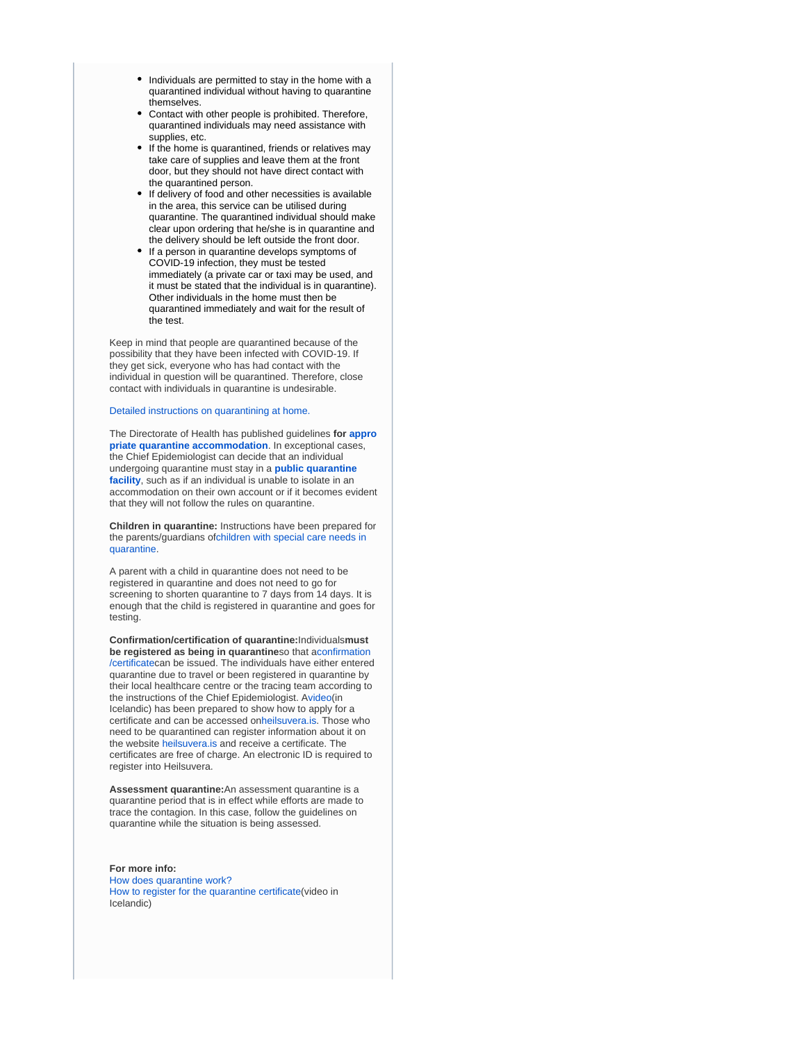- Individuals are permitted to stay in the home with a quarantined individual without having to quarantine themselves.
- Contact with other people is prohibited. Therefore, quarantined individuals may need assistance with supplies, etc.
- If the home is quarantined, friends or relatives may take care of supplies and leave them at the front door, but they should not have direct contact with the quarantined person.
- If delivery of food and other necessities is available in the area, this service can be utilised during quarantine. The quarantined individual should make clear upon ordering that he/she is in quarantine and the delivery should be left outside the front door.
- If a person in quarantine develops symptoms of COVID-19 infection, they must be tested immediately (a private car or taxi may be used, and it must be stated that the individual is in quarantine). Other individuals in the home must then be quarantined immediately and wait for the result of the test.

Keep in mind that people are quarantined because of the possibility that they have been infected with COVID-19. If they get sick, everyone who has had contact with the individual in question will be quarantined. Therefore, close contact with individuals in quarantine is undesirable.

#### [Detailed instructions on quarantining at home.](https://www.landlaeknir.is/um-embaettid/greinar/grein/item43539/Instructions-for-persons-under-home-based-quarantine)

The Directorate of Health has published guidelines **for [appro](https://www.landlaeknir.is/um-embaettid/greinar/grein/item41241/Appropriate-housing-while-in-quarantine) [priate quarantine accommodation](https://www.landlaeknir.is/um-embaettid/greinar/grein/item41241/Appropriate-housing-while-in-quarantine)**. In exceptional cases, the Chief Epidemiologist can decide that an individual undergoing quarantine must stay in a **[public quarantine](https://www.raudikrossinn.is/hvad-gerum-vid/neydarvarnir/sottkvi/)  [facility](https://www.raudikrossinn.is/hvad-gerum-vid/neydarvarnir/sottkvi/)**, such as if an individual is unable to isolate in an accommodation on their own account or if it becomes evident that they will not follow the rules on quarantine.

**Children in quarantine:** Instructions have been prepared for the parents/guardians o[fchildren with special care needs in](https://www.landlaeknir.is/um-embaettid/greinar/grein/item43371/children-with-special-care-needs-in-quarantine-instructions-for-parents/guardians)  [quarantine.](https://www.landlaeknir.is/um-embaettid/greinar/grein/item43371/children-with-special-care-needs-in-quarantine-instructions-for-parents/guardians)

A parent with a child in quarantine does not need to be registered in quarantine and does not need to go for screening to shorten quarantine to 7 days from 14 days. It is enough that the child is registered in quarantine and goes for testing.

**Confirmation/certification of quarantine:**Individuals**must be registered as being in quarantine**so that a[confirmation](https://www.landlaeknir.is/um-embaettid/greinar/grein/item43543/certificate-of-quarantine-or-a-confirmed-covid-19-infection) [/certificate](https://www.landlaeknir.is/um-embaettid/greinar/grein/item43543/certificate-of-quarantine-or-a-confirmed-covid-19-infection)can be issued. The individuals have either entered quarantine due to travel or been registered in quarantine by their local healthcare centre or the tracing team according to the instructions of the Chief Epidemiologist. [Avideo](https://www.youtube.com/watch?v=U1I43jcVUl4)(in Icelandic) has been prepared to show how to apply for a certificate and can be accessed on[heilsuvera.is](https://www.heilsuvera.is/). Those who need to be quarantined can register information about it on the website [heilsuvera.is](http://heilsuvera.is) and receive a certificate. The certificates are free of charge. An electronic ID is required to register into Heilsuvera.

**Assessment quarantine:**An assessment quarantine is a quarantine period that is in effect while efforts are made to trace the contagion. In this case, follow the guidelines on quarantine while the situation is being assessed.

**For more info:** [How does quarantine work?](https://www.covid.is/categories/how-does-quarantine-work)  [How to register for the quarantine certificate\(](https://www.youtube.com/watch?v=U1I43jcVUl4&feature=youtu.be)video in Icelandic)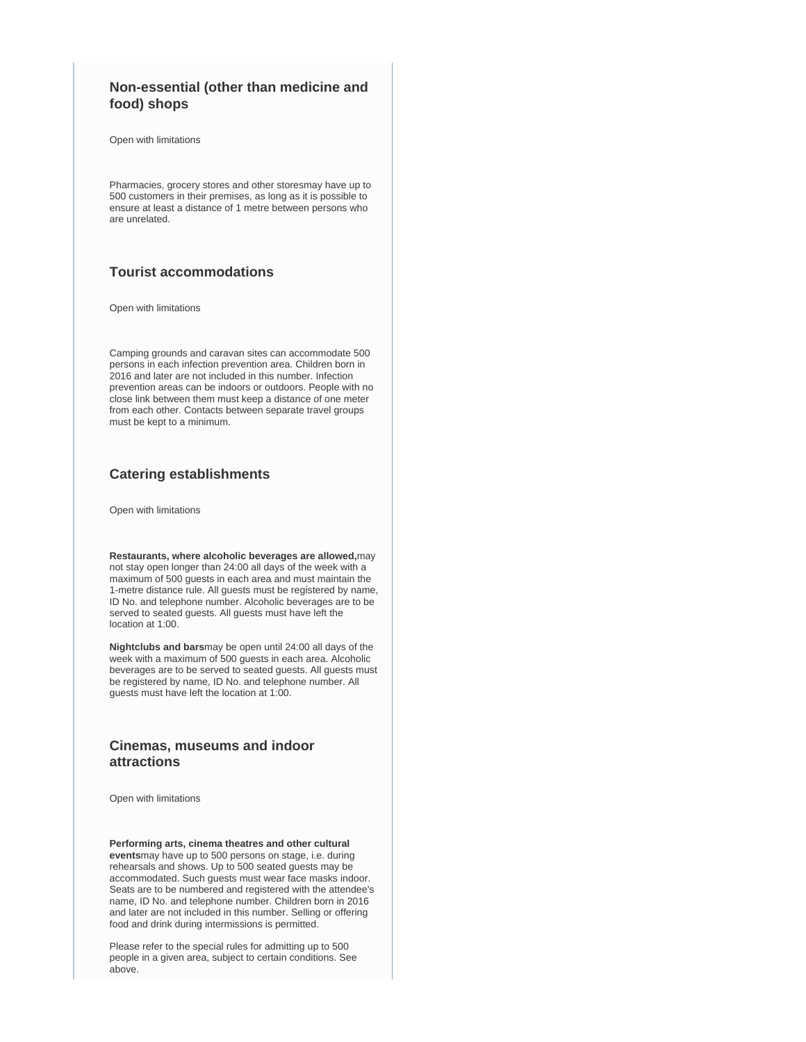# **Non-essential (other than medicine and food) shops**

Open with limitations

Pharmacies, grocery stores and other storesmay have up to 500 customers in their premises, as long as it is possible to ensure at least a distance of 1 metre between persons who are unrelated.

### **Tourist accommodations**

Open with limitations

Camping grounds and caravan sites can accommodate 500 persons in each infection prevention area. Children born in 2016 and later are not included in this number. Infection prevention areas can be indoors or outdoors. People with no close link between them must keep a distance of one meter from each other. Contacts between separate travel groups must be kept to a minimum.

### **Catering establishments**

Open with limitations

**Restaurants, where alcoholic beverages are allowed,**may not stay open longer than 24:00 all days of the week with a maximum of 500 guests in each area and must maintain the 1-metre distance rule. All guests must be registered by name, ID No. and telephone number. Alcoholic beverages are to be served to seated guests. All guests must have left the location at 1:00.

**Nightclubs and bars**may be open until 24:00 all days of the week with a maximum of 500 guests in each area. Alcoholic beverages are to be served to seated guests. All guests must be registered by name, ID No. and telephone number. All guests must have left the location at 1:00.

### **Cinemas, museums and indoor attractions**

Open with limitations

**Performing arts, cinema theatres and other cultural events**may have up to 500 persons on stage, i.e. during rehearsals and shows. Up to 500 seated guests may be accommodated. Such guests must wear face masks indoor. Seats are to be numbered and registered with the attendee's name, ID No. and telephone number. Children born in 2016 and later are not included in this number. Selling or offering food and drink during intermissions is permitted.

Please refer to the special rules for admitting up to 500 people in a given area, subject to certain conditions. See above.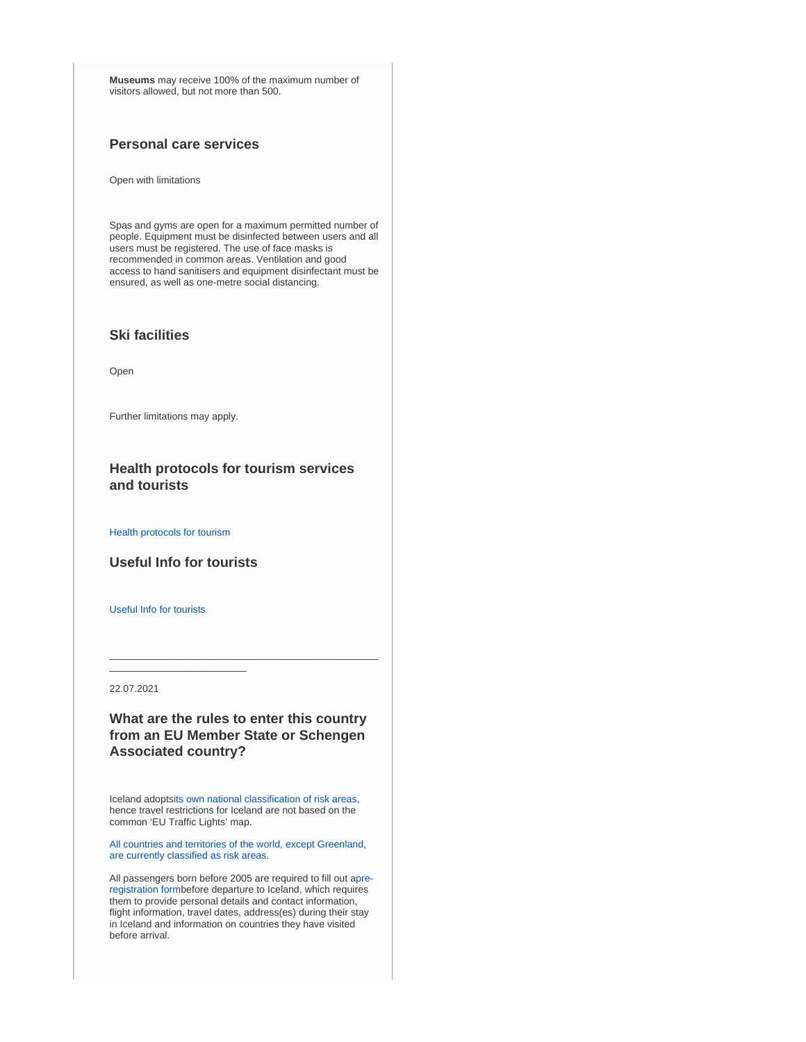**Museums** may receive 100% of the maximum number of visitors allowed, but not more than 500.

## **Personal care services**

Open with limitations

Spas and gyms are open for a maximum permitted number of people. Equipment must be disinfected between users and all users must be registered. The use of face masks is recommended in common areas. Ventilation and good access to hand sanitisers and equipment disinfectant must be ensured, as well as one-metre social distancing.

## **Ski facilities**

Open

Further limitations may apply.

## **Health protocols for tourism services and tourists**

[Health protocols for tourism](https://www.covid.is)

**Useful Info for tourists**

\_\_\_\_\_\_\_\_\_\_\_\_\_\_\_\_\_\_\_\_\_\_\_\_\_

[Useful Info for tourists](https://www.covid.is/categories/tourists-travelling-to-iceland)

22.07.2021

## **What are the rules to enter this country from an EU Member State or Schengen Associated country?**

\_\_\_\_\_\_\_\_\_\_\_\_\_\_\_\_\_\_\_\_\_\_\_\_\_\_\_\_\_\_\_\_\_\_\_\_\_\_\_\_\_\_\_\_\_\_\_\_\_

Iceland adopt[sits own national classification of risk areas](https://www.landlaeknir.is/um-embaettid/greinar/grein/item39194/Skilgreind-svaedi-med-smitahaettu---Defined-areas-with-risk-of-infection-(27-02-2020)), hence travel restrictions for Iceland are not based on the common 'EU Traffic Lights' map.

[All countries and territories of the world, except Greenland,](https://www.landlaeknir.is/um-embaettid/greinar/grein/item39194/Skilgreind-svaedi-med-smitahaettu---Defined-areas-with-risk-of-infection-(27-02-2020))  [are currently classified as risk areas](https://www.landlaeknir.is/um-embaettid/greinar/grein/item39194/Skilgreind-svaedi-med-smitahaettu---Defined-areas-with-risk-of-infection-(27-02-2020)).

All passengers born before 2005 are required to fill out [apre](https://visit.covid.is/registration/)[registration form](https://visit.covid.is/registration/)before departure to Iceland, which requires them to provide personal details and contact information, flight information, travel dates, address(es) during their stay in Iceland and information on countries they have visited before arrival.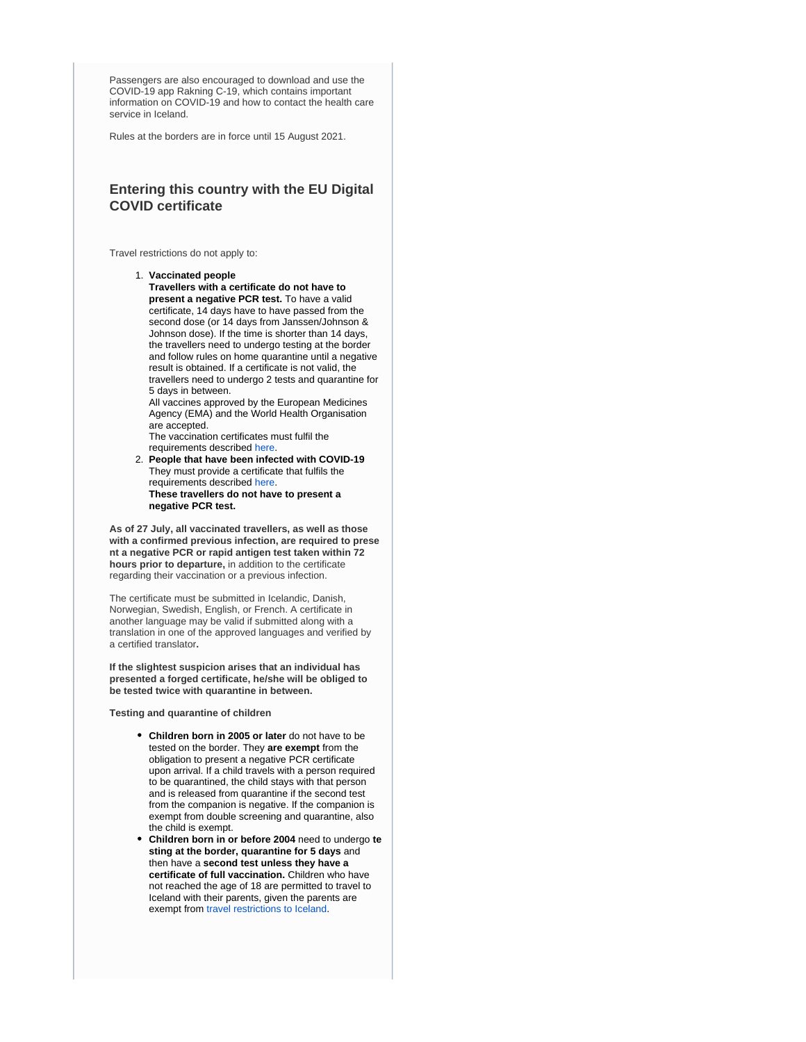Passengers are also encouraged to download and use the COVID-19 app Rakning C-19, which contains important information on COVID-19 and how to contact the health care service in Iceland.

Rules at the borders are in force until 15 August 2021.

## **Entering this country with the EU Digital COVID certificate**

Travel restrictions do not apply to:

1. **Vaccinated people Travellers with a certificate do not have to present a negative PCR test.** To have a valid certificate, 14 days have to have passed from the second dose (or 14 days from Janssen/Johnson & Johnson dose). If the time is shorter than 14 days, the travellers need to undergo testing at the border and follow rules on home quarantine until a negative result is obtained. If a certificate is not valid, the travellers need to undergo 2 tests and quarantine for 5 days in between.

All vaccines approved by the European Medicines Agency (EMA) and the World Health Organisation are accepted.

The vaccination certificates must fulfil the requirements described [here.](https://www.landlaeknir.is/um-embaettid/greinar/grein/item44162/Certificate-of-vaccination-against-COVID-19-accepted-at-the-border)

2. **People that have been infected with COVID-19** They must provide a certificate that fulfils the requirements described [here.](https://www.landlaeknir.is/um-embaettid/greinar/grein/item43709/Certificates-regarding-previous-COVID-19-infection-that-are-accepted-at-the-border-in-Iceland-from-10-December-2020) **These travellers do not have to present a negative PCR test.**

**As of 27 July, all vaccinated travellers, as well as those with a confirmed previous infection, are required to prese nt a negative PCR or rapid antigen test taken within 72 hours prior to departure,** in addition to the certificate regarding their vaccination or a previous infection.

The certificate must be submitted in Icelandic, Danish, Norwegian, Swedish, English, or French. A certificate in another language may be valid if submitted along with a translation in one of the approved languages and verified by a certified translator**.**

**If the slightest suspicion arises that an individual has presented a forged certificate, he/she will be obliged to be tested twice with quarantine in between.**

**Testing and quarantine of children**

- **Children born in 2005 or later** do not have to be tested on the border. They **are exempt** from the obligation to present a negative PCR certificate upon arrival. If a child travels with a person required to be quarantined, the child stays with that person and is released from quarantine if the second test from the companion is negative. If the companion is exempt from double screening and quarantine, also the child is exempt.
- **Children born in or before 2004** need to undergo **te sting at the border, quarantine for 5 days** and then have a **second test unless they have a certificate of full vaccination.** Children who have not reached the age of 18 are permitted to travel to Iceland with their parents, given the parents are exempt from [travel restrictions to Iceland](https://www.logreglan.is/english/regarding-travel-restrictions-to-iceland-as-a-result-of-covid-19/).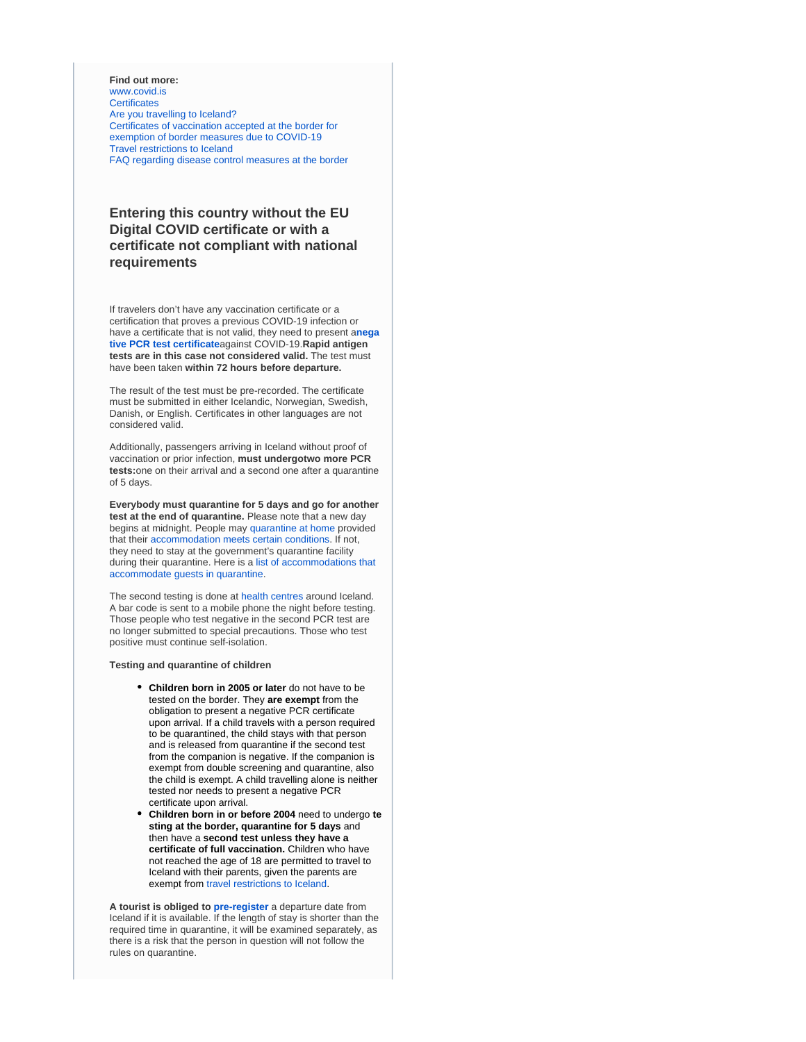#### **Find out more:**

[www.covid.is](https://www.covid.is/english)  **Certificates** [Are you travelling to Iceland?](https://island.is/en/p/entry)  [Certificates of vaccination accepted at the border for](https://www.landlaeknir.is/um-embaettid/greinar/grein/item44162/Certificate-of-vaccination-against-COVID-19-accepted-at-the-border)  [exemption of border measures due to COVID-19](https://www.landlaeknir.is/um-embaettid/greinar/grein/item44162/Certificate-of-vaccination-against-COVID-19-accepted-at-the-border)  [Travel restrictions to Iceland](https://www.logreglan.is/english/regarding-travel-restrictions-to-iceland-as-a-result-of-covid-19/)  [FAQ regarding disease control measures at the border](https://www.government.is/government/covid-19/q-and-a-on-border-measures/)

## **Entering this country without the EU Digital COVID certificate or with a certificate not compliant with national requirements**

If travelers don't have any vaccination certificate or a certification that proves a previous COVID-19 infection or have a certificate that is not valid, they need to present a**[nega](https://www.covid.is/sub-categories/certificates) [tive PCR test certificate](https://www.covid.is/sub-categories/certificates)**against COVID-19.**Rapid antigen tests are in this case not considered valid.** The test must have been taken **within 72 hours before departure.**

The result of the test must be pre-recorded. The certificate must be submitted in either Icelandic, Norwegian, Swedish, Danish, or English. Certificates in other languages are not considered valid.

Additionally, passengers arriving in Iceland without proof of vaccination or prior infection, **must undergotwo more PCR tests:**one on their arrival and a second one after a quarantine of 5 days.

**Everybody must quarantine for 5 days and go for another test at the end of quarantine.** Please note that a new day begins at midnight. People may [quarantine at home](https://www.landlaeknir.is/um-embaettid/greinar/grein/item43539/instructions-for-persons-under-home-based-quarantine) provided that their [accommodation meets certain conditions](https://www.landlaeknir.is/um-embaettid/greinar/grein/item41241/appropriate-housing-while-in-quarantine). If not, they need to stay at the government's quarantine facility during their quarantine. Here is a [list of accommodations that](https://www.ferdamalastofa.is/en/about-us/novel-coronavirus-covid-19-general-info/accommodations-that-welcome-guests-in-quarantine)  [accommodate guests in quarantine.](https://www.ferdamalastofa.is/en/about-us/novel-coronavirus-covid-19-general-info/accommodations-that-welcome-guests-in-quarantine)

The second testing is done at [health centres](https://www.landlaeknir.is/covid19-screening) around Iceland. A bar code is sent to a mobile phone the night before testing. Those people who test negative in the second PCR test are no longer submitted to special precautions. Those who test positive must continue self-isolation.

#### **Testing and quarantine of children**

- **Children born in 2005 or later** do not have to be tested on the border. They **are exempt** from the obligation to present a negative PCR certificate upon arrival. If a child travels with a person required to be quarantined, the child stays with that person and is released from quarantine if the second test from the companion is negative. If the companion is exempt from double screening and quarantine, also the child is exempt. A child travelling alone is neither tested nor needs to present a negative PCR certificate upon arrival.
- **Children born in or before 2004** need to undergo **te sting at the border, quarantine for 5 days** and then have a **second test unless they have a certificate of full vaccination.** Children who have not reached the age of 18 are permitted to travel to Iceland with their parents, given the parents are exempt from [travel restrictions to Iceland](https://www.logreglan.is/english/regarding-travel-restrictions-to-iceland-as-a-result-of-covid-19/).

**A tourist is obliged to [pre-register](https://visit.covid.is/registration/)** a departure date from Iceland if it is available. If the length of stay is shorter than the required time in quarantine, it will be examined separately, as there is a risk that the person in question will not follow the rules on quarantine.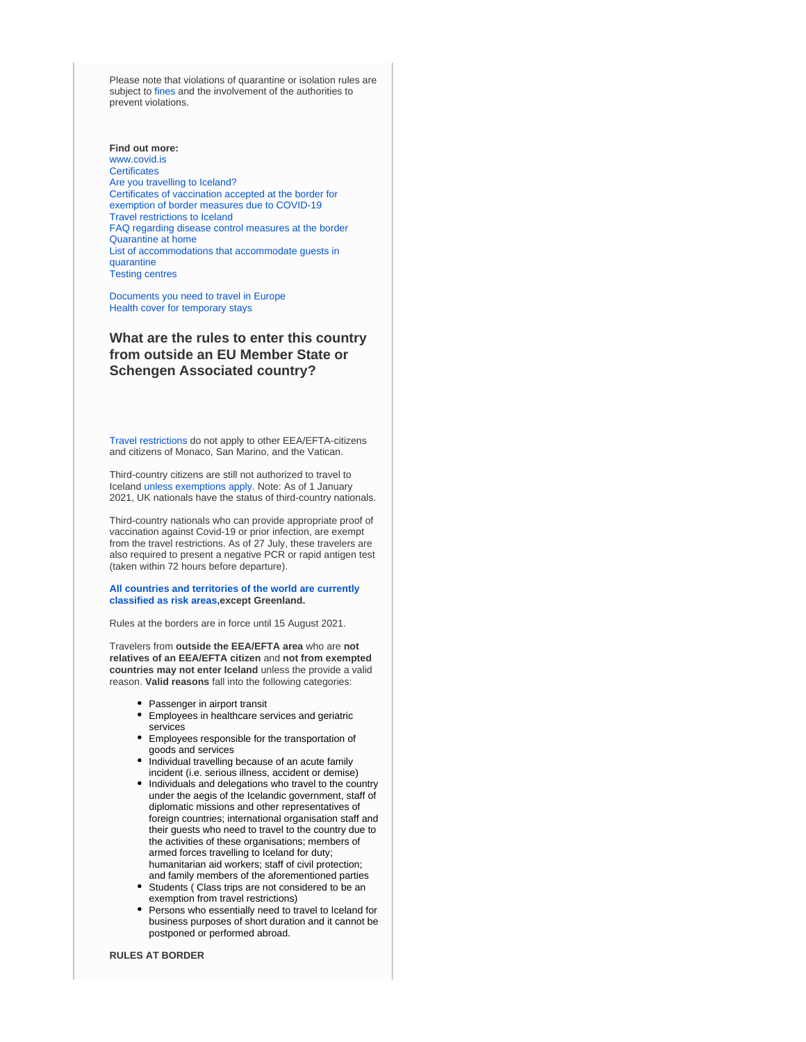Please note that violations of quarantine or isolation rules are subject to [fines](https://www.rikissaksoknari.is/english/covid-19/) and the involvement of the authorities to prevent violations.

**Find out more:**

[www.covid.is](https://www.covid.is/english)  **Certificates** [Are you travelling to Iceland?](https://island.is/en/p/entry)  [Certificates of vaccination accepted at the border for](https://www.landlaeknir.is/um-embaettid/greinar/grein/item44162/Certificate-of-vaccination-against-COVID-19-accepted-at-the-border)  [exemption of border measures due to COVID-19](https://www.landlaeknir.is/um-embaettid/greinar/grein/item44162/Certificate-of-vaccination-against-COVID-19-accepted-at-the-border)  [Travel restrictions to Iceland](https://www.logreglan.is/english/regarding-travel-restrictions-to-iceland-as-a-result-of-covid-19/)  [FAQ regarding disease control measures at the border](https://www.government.is/government/covid-19/q-and-a-on-border-measures/)  [Quarantine at home](https://www.landlaeknir.is/um-embaettid/greinar/grein/item43539/instructions-for-persons-under-home-based-quarantine)  [List of accommodations that accommodate guests in](https://www.ferdamalastofa.is/en/about-us/novel-coronavirus-covid-19-general-info/accommodations-that-welcome-guests-in-quarantine)  [quarantine](https://www.ferdamalastofa.is/en/about-us/novel-coronavirus-covid-19-general-info/accommodations-that-welcome-guests-in-quarantine)  [Testing centres](https://www.landlaeknir.is/covid19-screening)

[Documents you need to travel in Europe](https://europa.eu/youreurope/citizens/travel/entry-exit/index_en.htm) [Health cover for temporary stays](https://europa.eu/youreurope/citizens/health/unplanned-healthcare/temporary-stays/index_en.htm)

## **What are the rules to enter this country from outside an EU Member State or Schengen Associated country?**

[Travel restrictions](https://www.logreglan.is/english/regarding-travel-restrictions-to-iceland-as-a-result-of-covid-19/) do not apply to other EEA/EFTA-citizens and citizens of Monaco, San Marino, and the Vatican.

Third-country citizens are still not authorized to travel to Iceland [unless exemptions apply.](https://www.logreglan.is/english/regarding-travel-restrictions-to-iceland-as-a-result-of-covid-19/) Note: As of 1 January 2021, UK nationals have the status of third-country nationals.

Third-country nationals who can provide appropriate proof of vaccination against Covid-19 or prior infection, are exempt from the travel restrictions. As of 27 July, these travelers are also required to present a negative PCR or rapid antigen test (taken within 72 hours before departure).

#### **[All countries and territories of the world are currently](https://www.landlaeknir.is/um-embaettid/greinar/grein/item39194/Skilgreind-svaedi-med-smitahaettu---Defined-areas-with-risk-of-infection-(27-02-2020))  [classified as risk areas,](https://www.landlaeknir.is/um-embaettid/greinar/grein/item39194/Skilgreind-svaedi-med-smitahaettu---Defined-areas-with-risk-of-infection-(27-02-2020))except Greenland.**

Rules at the borders are in force until 15 August 2021.

Travelers from **outside the EEA/EFTA area** who are **not relatives of an EEA/EFTA citizen** and **not from exempted countries may not enter Iceland** unless the provide a valid reason. **Valid reasons** fall into the following categories:

- Passenger in airport transit
- Employees in healthcare services and geriatric services
- Employees responsible for the transportation of goods and services
- Individual travelling because of an acute family incident (i.e. serious illness, accident or demise)
- Individuals and delegations who travel to the country under the aegis of the Icelandic government, staff of diplomatic missions and other representatives of foreign countries; international organisation staff and their guests who need to travel to the country due to the activities of these organisations; members of armed forces travelling to Iceland for duty; humanitarian aid workers; staff of civil protection; and family members of the aforementioned parties
- Students ( Class trips are not considered to be an exemption from travel restrictions)
- Persons who essentially need to travel to Iceland for business purposes of short duration and it cannot be postponed or performed abroad.

**RULES AT BORDER**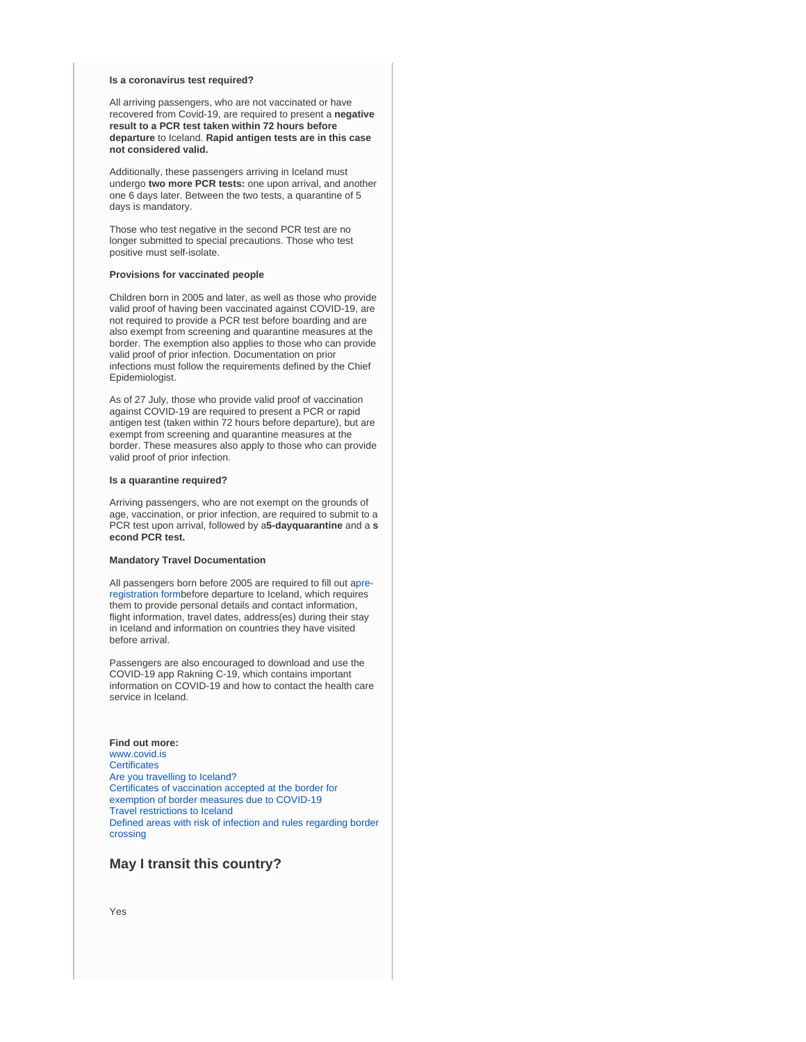#### **Is a coronavirus test required?**

All arriving passengers, who are not vaccinated or have recovered from Covid-19, are required to present a **negative result to a PCR test taken within 72 hours before departure** to Iceland. **Rapid antigen tests are in this case not considered valid.**

Additionally, these passengers arriving in Iceland must undergo **two more PCR tests:** one upon arrival, and another one 6 days later. Between the two tests, a quarantine of 5 days is mandatory.

Those who test negative in the second PCR test are no longer submitted to special precautions. Those who test positive must self-isolate.

#### **Provisions for vaccinated people**

Children born in 2005 and later, as well as those who provide valid proof of having been vaccinated against COVID-19, are not required to provide a PCR test before boarding and are also exempt from screening and quarantine measures at the border. The exemption also applies to those who can provide valid proof of prior infection. Documentation on prior infections must follow the requirements defined by the Chief Epidemiologist.

As of 27 July, those who provide valid proof of vaccination against COVID-19 are required to present a PCR or rapid antigen test (taken within 72 hours before departure), but are exempt from screening and quarantine measures at the border. These measures also apply to those who can provide valid proof of prior infection.

#### **Is a quarantine required?**

Arriving passengers, who are not exempt on the grounds of age, vaccination, or prior infection, are required to submit to a PCR test upon arrival, followed by a**5-dayquarantine** and a **s econd PCR test.**

#### **Mandatory Travel Documentation**

All passengers born before 2005 are required to fill out [apre](https://visit.covid.is/registration/)[registration form](https://visit.covid.is/registration/)before departure to Iceland, which requires them to provide personal details and contact information, flight information, travel dates, address(es) during their stay in Iceland and information on countries they have visited before arrival.

Passengers are also encouraged to download and use the COVID-19 app Rakning C-19, which contains important information on COVID-19 and how to contact the health care service in Iceland.

**Find out more:** [www.covid.is](https://www.covid.is/english)  **Certificates** [Are you travelling to Iceland?](https://island.is/en/p/entry)  [Certificates of vaccination accepted at the border for](https://www.landlaeknir.is/um-embaettid/greinar/grein/item44162/Certificate-of-vaccination-against-COVID-19-accepted-at-the-border)  [exemption of border measures due to COVID-19](https://www.landlaeknir.is/um-embaettid/greinar/grein/item44162/Certificate-of-vaccination-against-COVID-19-accepted-at-the-border)  [Travel restrictions to Iceland](https://www.logreglan.is/english/regarding-travel-restrictions-to-iceland-as-a-result-of-covid-19/)  [Defined areas with risk of infection and rules regarding border](https://www.landlaeknir.is/um-embaettid/greinar/grein/item39194/Skilgreind-ahaettusvaedi---Defined-high-risk-areas)  [crossing](https://www.landlaeknir.is/um-embaettid/greinar/grein/item39194/Skilgreind-ahaettusvaedi---Defined-high-risk-areas)

#### **May I transit this country?**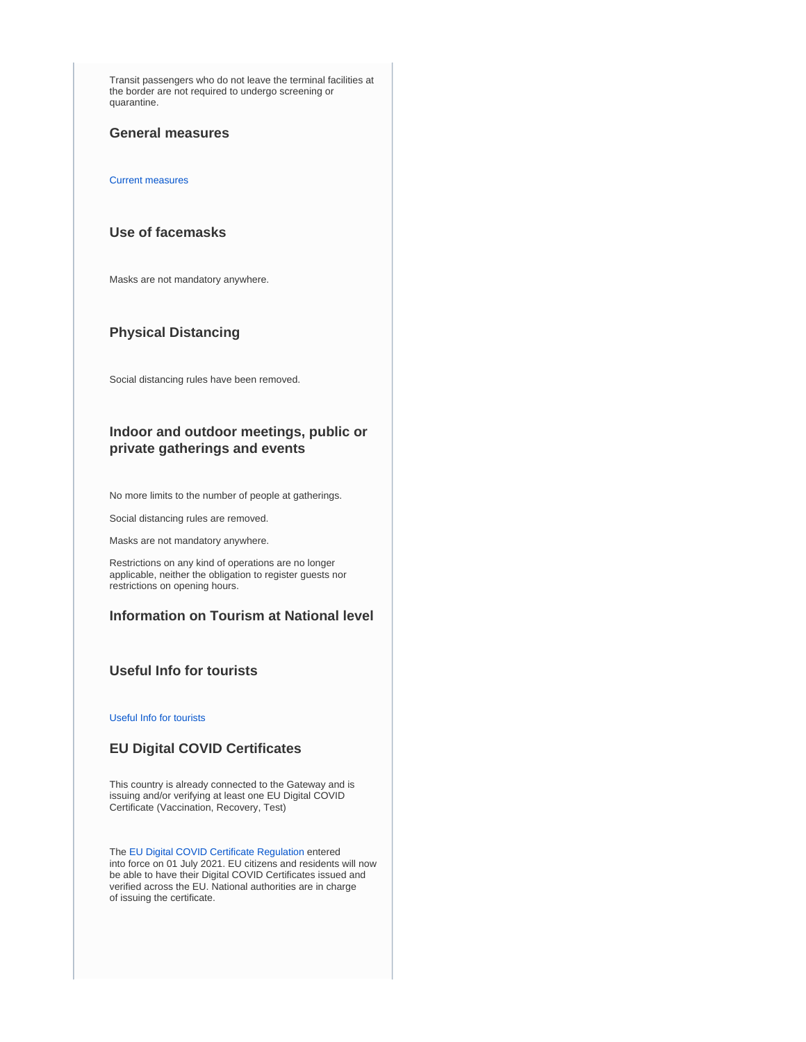Transit passengers who do not leave the terminal facilities at the border are not required to undergo screening or quarantine.

#### **General measures**

[Current measures](https://www.covid.is/english)

## **Use of facemasks**

Masks are not mandatory anywhere.

## **Physical Distancing**

Social distancing rules have been removed.

## **Indoor and outdoor meetings, public or private gatherings and events**

No more limits to the number of people at gatherings.

Social distancing rules are removed.

Masks are not mandatory anywhere.

Restrictions on any kind of operations are no longer applicable, neither the obligation to register guests nor restrictions on opening hours.

## **Information on Tourism at National level**

## **Useful Info for tourists**

#### [Useful Info for tourists](https://www.covid.is/categories/tourists-travelling-to-iceland)

## **EU Digital COVID Certificates**

This country is already connected to the Gateway and is issuing and/or verifying at least one EU Digital COVID Certificate (Vaccination, Recovery, Test)

The [EU Digital COVID Certificate Regulation](https://ec.europa.eu/info/live-work-travel-eu/coronavirus-response/safe-covid-19-vaccines-europeans/eu-digital-covid-certificate_en) entered into force on 01 July 2021. EU citizens and residents will now be able to have their Digital COVID Certificates issued and verified across the EU. National authorities are in charge of issuing the certificate.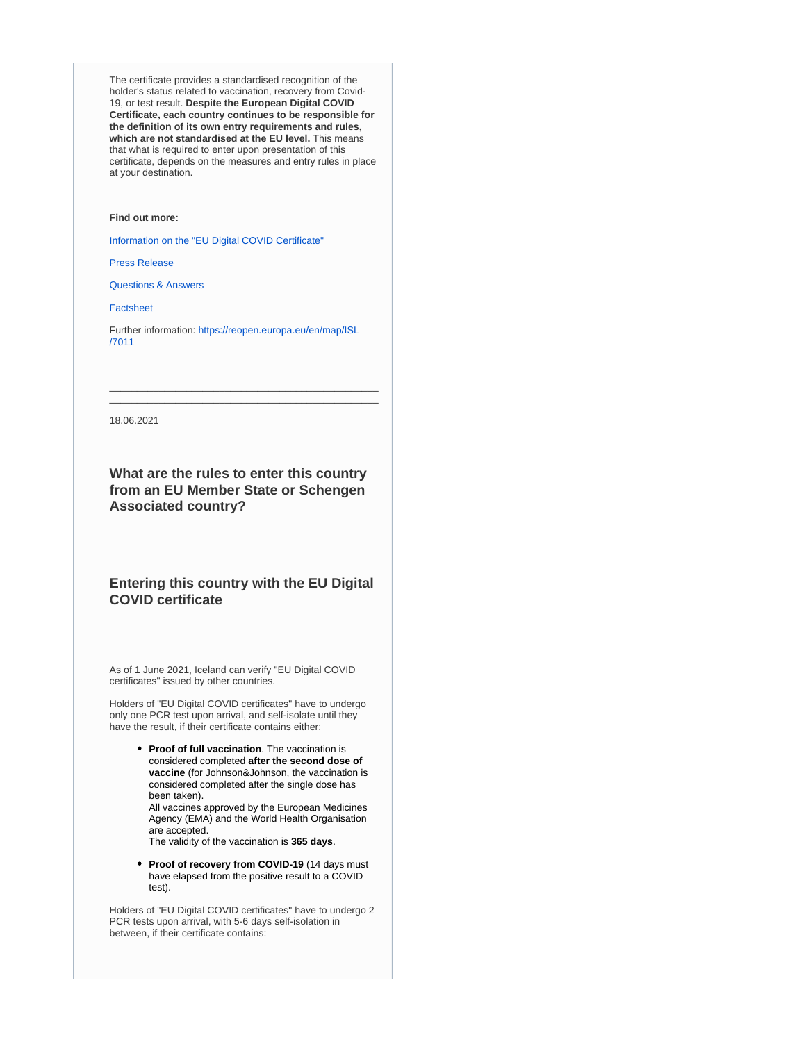The certificate provides a standardised recognition of the holder's status related to vaccination, recovery from Covid-19, or test result. **Despite the European Digital COVID Certificate, each country continues to be responsible for the definition of its own entry requirements and rules, which are not standardised at the EU level.** This means that what is required to enter upon presentation of this certificate, depends on the measures and entry rules in place at your destination.

#### **Find out more:**

[Information on the "EU Digital COVID Certificate"](https://ec.europa.eu/info/live-work-travel-eu/coronavirus-response/safe-covid-19-vaccines-europeans/eu-digital-covid-certificate_en)

[Press Release](https://ec.europa.eu/commission/presscorner/detail/en/IP_21_2721)

[Questions & Answers](https://ec.europa.eu/commission/presscorner/detail/en/QANDA_21_2781)

**[Factsheet](https://ec.europa.eu/commission/presscorner/detail/en/FS_21_2793)** 

Further information: [https://reopen.europa.eu/en/map/ISL](https://reopen.europa.eu/en/map/ISL/7011) [/7011](https://reopen.europa.eu/en/map/ISL/7011)

\_\_\_\_\_\_\_\_\_\_\_\_\_\_\_\_\_\_\_\_\_\_\_\_\_\_\_\_\_\_\_\_\_\_\_\_\_\_\_\_\_\_\_\_\_\_\_\_\_ \_\_\_\_\_\_\_\_\_\_\_\_\_\_\_\_\_\_\_\_\_\_\_\_\_\_\_\_\_\_\_\_\_\_\_\_\_\_\_\_\_\_\_\_\_\_\_\_\_

18.06.2021

**What are the rules to enter this country from an EU Member State or Schengen Associated country?**

## **Entering this country with the EU Digital COVID certificate**

As of 1 June 2021, Iceland can verify "EU Digital COVID certificates" issued by other countries.

Holders of "EU Digital COVID certificates" have to undergo only one PCR test upon arrival, and self-isolate until they have the result, if their certificate contains either:

> **Proof of full vaccination**. The vaccination is considered completed **after the second dose of vaccine** (for Johnson&Johnson, the vaccination is considered completed after the single dose has been taken).

All vaccines approved by the European Medicines Agency (EMA) and the World Health Organisation are accepted.

The validity of the vaccination is **365 days**.

**Proof of recovery from COVID-19** (14 days must have elapsed from the positive result to a COVID test).

Holders of "EU Digital COVID certificates" have to undergo 2 PCR tests upon arrival, with 5-6 days self-isolation in between, if their certificate contains: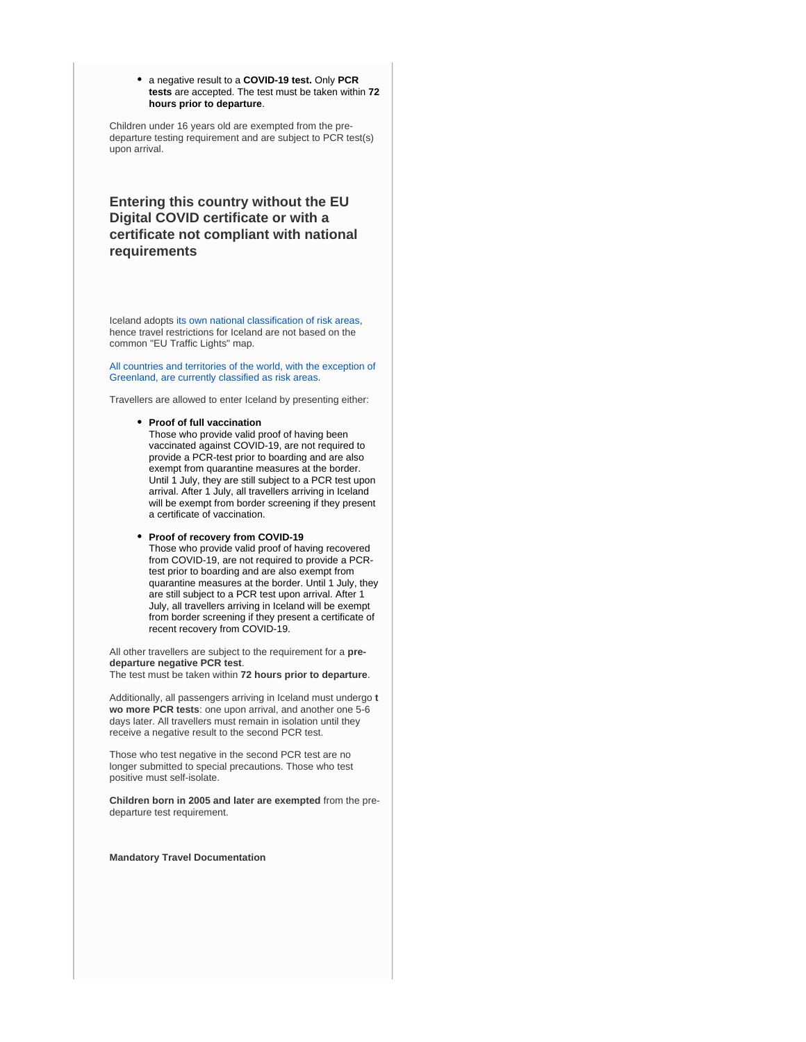a negative result to a **COVID-19 test.** Only **PCR tests** are accepted. The test must be taken within **72 hours prior to departure**.

Children under 16 years old are exempted from the predeparture testing requirement and are subject to PCR test(s) upon arrival.

## **Entering this country without the EU Digital COVID certificate or with a certificate not compliant with national requirements**

Iceland adopts [its own national classification of risk areas](https://www.landlaeknir.is/um-embaettid/greinar/grein/item39194/Skilgreind-svaedi-med-smitahaettu---Defined-areas-with-risk-of-infection-(27-02-2020)), hence travel restrictions for Iceland are not based on the common "EU Traffic Lights" map.

[All countries and territories of the world, with the exception of](https://www.landlaeknir.is/um-embaettid/greinar/grein/item39194/Skilgreind-svaedi-med-smitahaettu---Defined-areas-with-risk-of-infection-(27-02-2020))  [Greenland, are currently classified as risk areas.](https://www.landlaeknir.is/um-embaettid/greinar/grein/item39194/Skilgreind-svaedi-med-smitahaettu---Defined-areas-with-risk-of-infection-(27-02-2020))

Travellers are allowed to enter Iceland by presenting either:

#### **Proof of full vaccination**

Those who provide valid proof of having been vaccinated against COVID-19, are not required to provide a PCR-test prior to boarding and are also exempt from quarantine measures at the border. Until 1 July, they are still subject to a PCR test upon arrival. After 1 July, all travellers arriving in Iceland will be exempt from border screening if they present a certificate of vaccination.

**Proof of recovery from COVID-19**

Those who provide valid proof of having recovered from COVID-19, are not required to provide a PCRtest prior to boarding and are also exempt from quarantine measures at the border. Until 1 July, they are still subject to a PCR test upon arrival. After 1 July, all travellers arriving in Iceland will be exempt from border screening if they present a certificate of recent recovery from COVID-19.

All other travellers are subject to the requirement for a **predeparture negative PCR test**.

The test must be taken within **72 hours prior to departure**.

Additionally, all passengers arriving in Iceland must undergo **t wo more PCR tests**: one upon arrival, and another one 5-6 days later. All travellers must remain in isolation until they receive a negative result to the second PCR test.

Those who test negative in the second PCR test are no longer submitted to special precautions. Those who test positive must self-isolate.

**Children born in 2005 and later are exempted** from the predeparture test requirement.

**Mandatory Travel Documentation**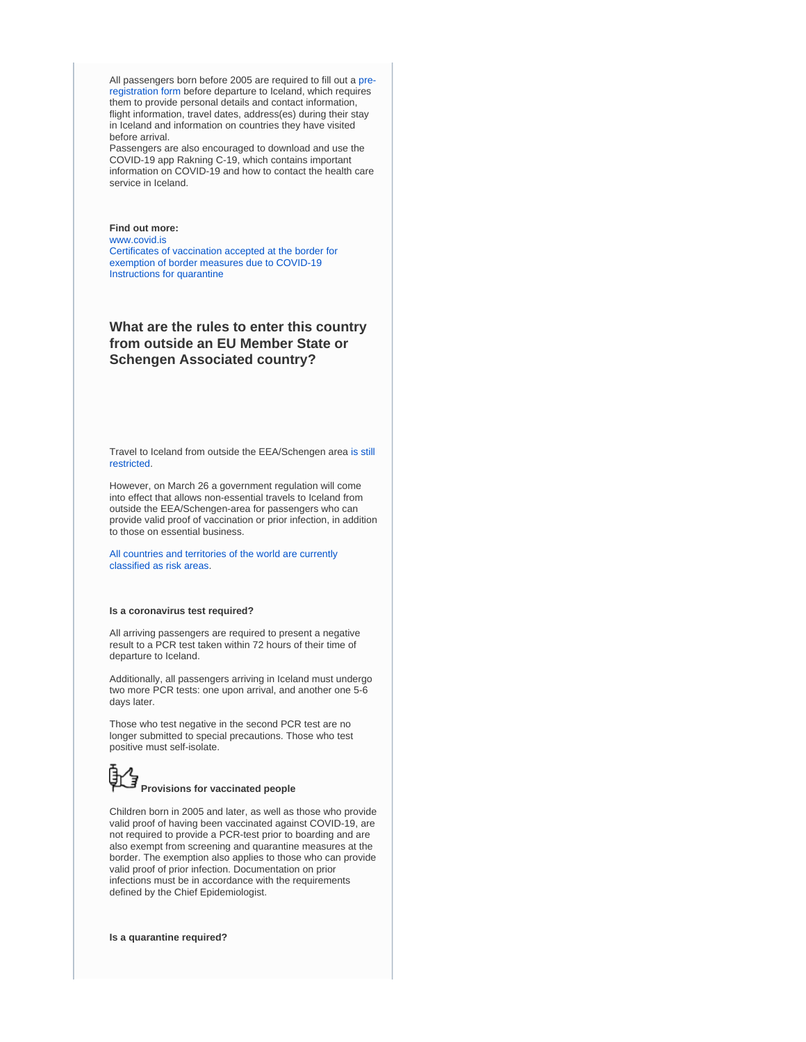All passengers born before 2005 are required to fill out a [pre](http://www.covid.is/english)[registration form](http://www.covid.is/english) before departure to Iceland, which requires them to provide personal details and contact information, flight information, travel dates, address(es) during their stay in Iceland and information on countries they have visited before arrival.

Passengers are also encouraged to download and use the COVID-19 app Rakning C-19, which contains important information on COVID-19 and how to contact the health care service in Iceland.

#### **Find out more:**

[www.covid.is](https://www.covid.is/categories/tourists-travelling-to-iceland) [Certificates of vaccination accepted at the border for](https://www.landlaeknir.is/um-embaettid/greinar/grein/item44162/Certificate-of-vaccination-against-COVID-19-accepted-at-the-border)  [exemption of border measures due to COVID-19](https://www.landlaeknir.is/um-embaettid/greinar/grein/item44162/Certificate-of-vaccination-against-COVID-19-accepted-at-the-border) [Instructions for quarantine](https://www.landlaeknir.is/servlet/file/store93/item42645/Instructions%20for%20travellers%20in%20quarantine%2015.08.2020.pdf)

## **What are the rules to enter this country from outside an EU Member State or Schengen Associated country?**

Travel to Iceland from outside the EEA/Schengen area [is still](https://www.logreglan.is/english/regarding-travel-restrictions-to-iceland-as-a-result-of-covid-19/)  [restricted](https://www.logreglan.is/english/regarding-travel-restrictions-to-iceland-as-a-result-of-covid-19/).

However, on March 26 a government regulation will come into effect that allows non-essential travels to Iceland from outside the EEA/Schengen-area for passengers who can provide valid proof of vaccination or prior infection, in addition to those on essential business.

[All countries and territories of the world are currently](https://www.landlaeknir.is/um-embaettid/greinar/grein/item39194/Skilgreind-svaedi-med-smitahaettu---Defined-areas-with-risk-of-infection-(27-02-2020))  [classified as risk areas.](https://www.landlaeknir.is/um-embaettid/greinar/grein/item39194/Skilgreind-svaedi-med-smitahaettu---Defined-areas-with-risk-of-infection-(27-02-2020))

#### **Is a coronavirus test required?**

All arriving passengers are required to present a negative result to a PCR test taken within 72 hours of their time of departure to Iceland.

Additionally, all passengers arriving in Iceland must undergo two more PCR tests: one upon arrival, and another one 5-6 days later.

Those who test negative in the second PCR test are no longer submitted to special precautions. Those who test positive must self-isolate.

## **Provisions for vaccinated people**

Children born in 2005 and later, as well as those who provide valid proof of having been vaccinated against COVID-19, are not required to provide a PCR-test prior to boarding and are also exempt from screening and quarantine measures at the border. The exemption also applies to those who can provide valid proof of prior infection. Documentation on prior infections must be in accordance with the requirements defined by the Chief Epidemiologist.

**Is a quarantine required?**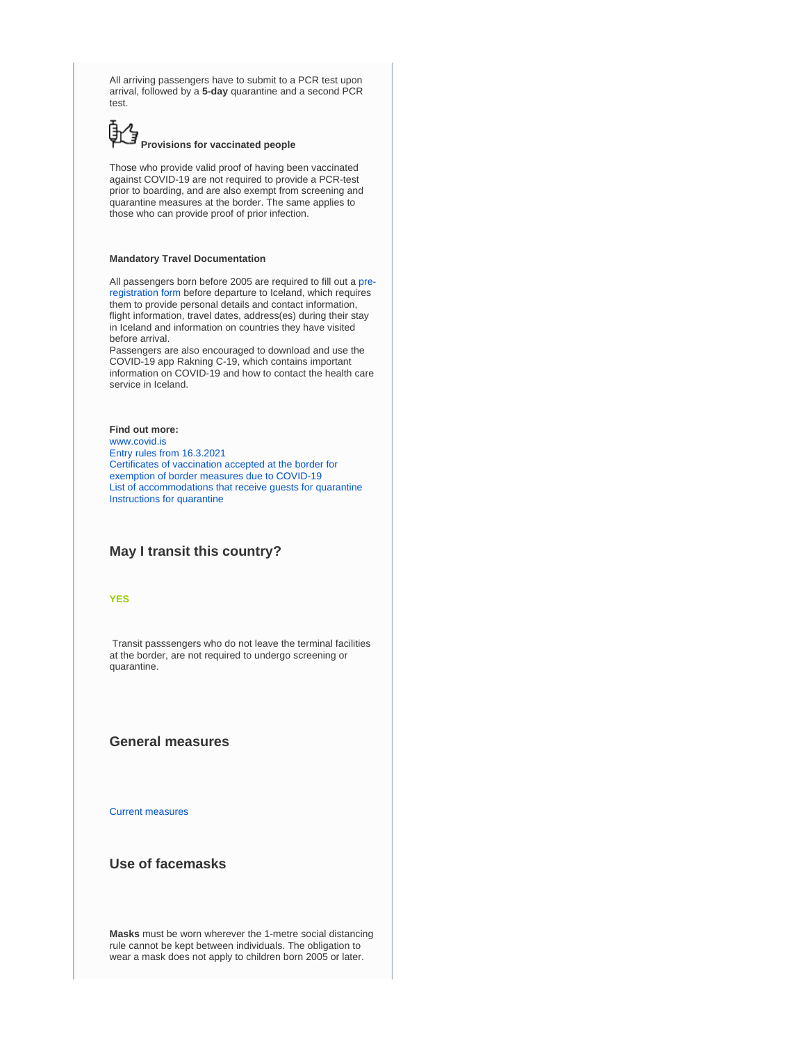All arriving passengers have to submit to a PCR test upon arrival, followed by a **5-day** quarantine and a second PCR test.

# **Provisions for vaccinated people**

Those who provide valid proof of having been vaccinated against COVID-19 are not required to provide a PCR-test prior to boarding, and are also exempt from screening and quarantine measures at the border. The same applies to those who can provide proof of prior infection.

#### **Mandatory Travel Documentation**

All passengers born before 2005 are required to fill out a [pre](http://www.covid.is/english)[registration form](http://www.covid.is/english) before departure to Iceland, which requires them to provide personal details and contact information, flight information, travel dates, address(es) during their stay in Iceland and information on countries they have visited before arrival.

Passengers are also encouraged to download and use the COVID-19 app Rakning C-19, which contains important information on COVID-19 and how to contact the health care service in Iceland.

#### **Find out more:**

[www.covid.is](https://www.covid.is/categories/tourists-travelling-to-iceland) [Entry rules from 16.3.2021](https://www.government.is/news/article/2021/03/16/Exemption-from-border-measures-for-vaccinated-individuals-to-be-extended-to-non-Schengen-countries/) [Certificates of vaccination accepted at the border for](https://www.landlaeknir.is/um-embaettid/greinar/grein/item44162/Certificate-of-vaccination-against-COVID-19-accepted-at-the-border)  [exemption of border measures due to COVID-19](https://www.landlaeknir.is/um-embaettid/greinar/grein/item44162/Certificate-of-vaccination-against-COVID-19-accepted-at-the-border) [List of accommodations that receive guests for quarantine](https://www.ferdamalastofa.is/is/um-ferdamalastofu/frettir/category/1/er-thinn-gististadur-tilbuinn-ad-taka-a-moti-gestum-i-sottkvi) [Instructions for quarantine](https://www.landlaeknir.is/servlet/file/store93/item42645/Instructions%20for%20travellers%20in%20quarantine%2015.08.2020.pdf)

## **May I transit this country?**

#### **YES**

 Transit passsengers who do not leave the terminal facilities at the border, are not required to undergo screening or quarantine.

### **General measures**

[Current measures](https://www.covid.is/english)

## **Use of facemasks**

**Masks** must be worn wherever the 1-metre social distancing rule cannot be kept between individuals. The obligation to wear a mask does not apply to children born 2005 or later.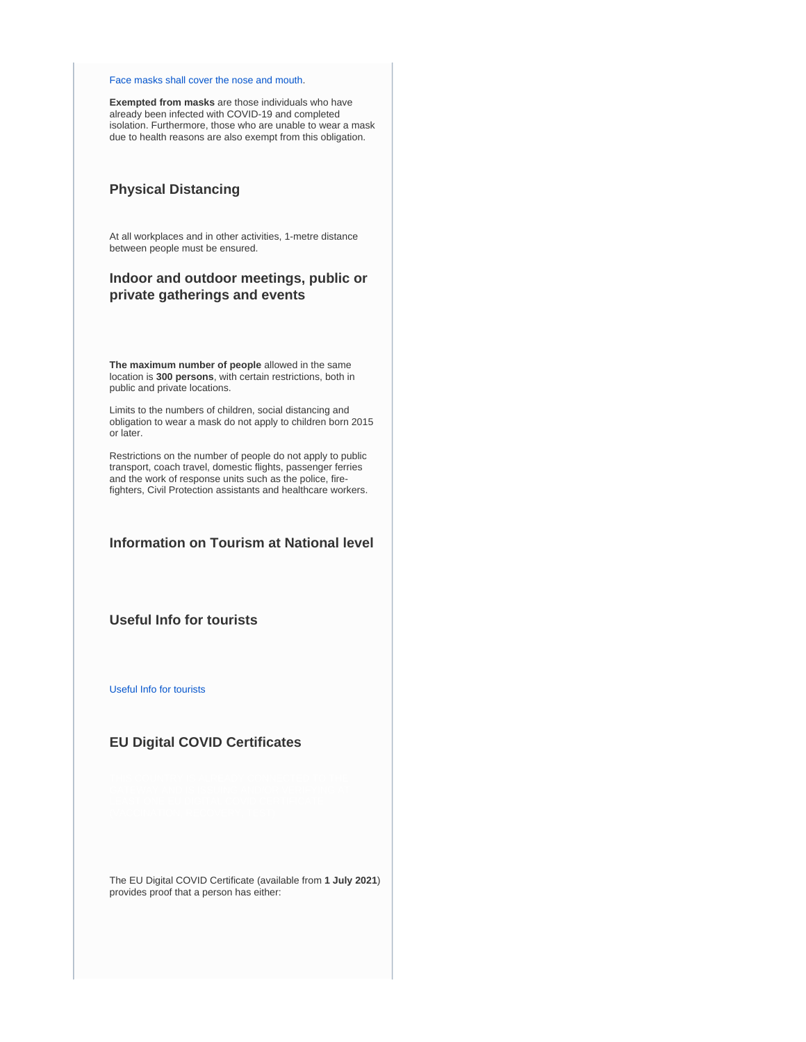#### [Face masks shall cover the nose and mouth.](https://www.covid.is/grimur-gera-gagn)

**Exempted from masks** are those individuals who have already been infected with COVID-19 and completed isolation. Furthermore, those who are unable to wear a mask due to health reasons are also exempt from this obligation.

## **Physical Distancing**

At all workplaces and in other activities, 1-metre distance between people must be ensured.

## **Indoor and outdoor meetings, public or private gatherings and events**

**The maximum number of people** allowed in the same location is **300 persons**, with certain restrictions, both in public and private locations.

Limits to the numbers of children, social distancing and obligation to wear a mask do not apply to children born 2015 or later.

Restrictions on the number of people do not apply to public transport, coach travel, domestic flights, passenger ferries and the work of response units such as the police, firefighters, Civil Protection assistants and healthcare workers.

## **Information on Tourism at National level**

## **Useful Info for tourists**

#### [Useful Info for tourists](https://www.covid.is/categories/tourists-travelling-to-iceland)

## **EU Digital COVID Certificates**

The EU Digital COVID Certificate (available from **1 July 2021**) provides proof that a person has either: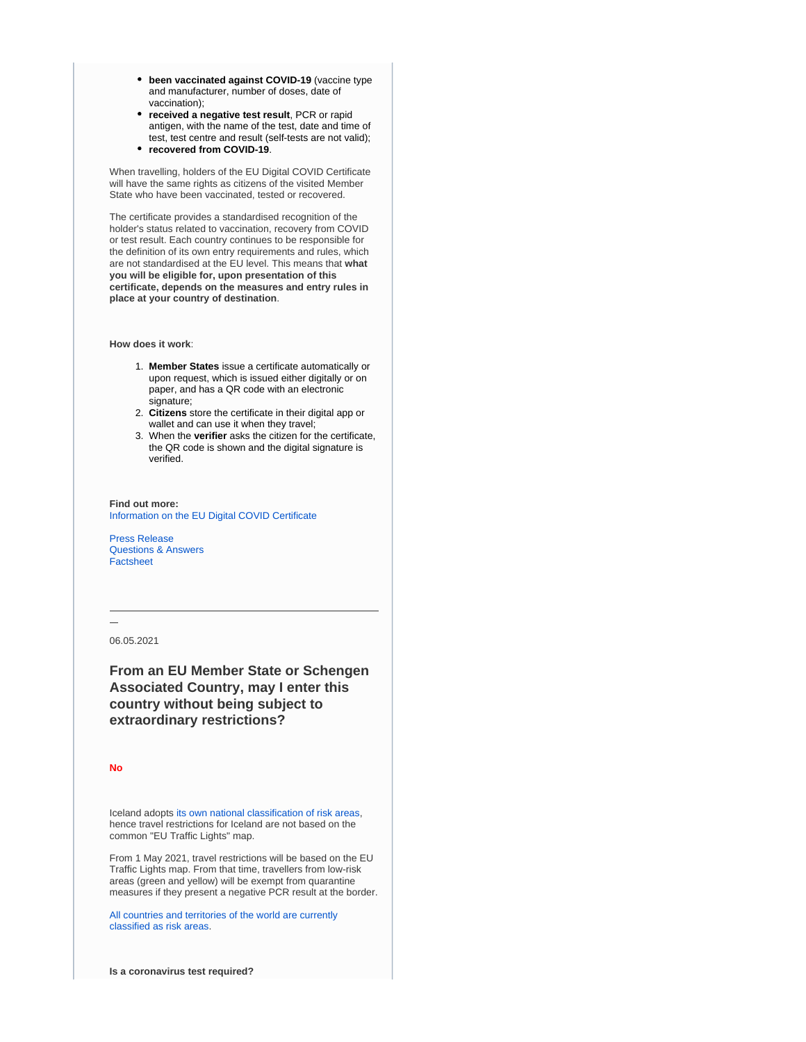- **been vaccinated against COVID-19** (vaccine type and manufacturer, number of doses, date of vaccination);
- **received a negative test result**, PCR or rapid antigen, with the name of the test, date and time of test, test centre and result (self-tests are not valid);
- **recovered from COVID-19**.

When travelling, holders of the EU Digital COVID Certificate will have the same rights as citizens of the visited Member State who have been vaccinated, tested or recovered.

The certificate provides a standardised recognition of the holder's status related to vaccination, recovery from COVID or test result. Each country continues to be responsible for the definition of its own entry requirements and rules, which are not standardised at the EU level. This means that **what you will be eligible for, upon presentation of this certificate, depends on the measures and entry rules in place at your country of destination**.

**How does it work**:

- 1. **Member States** issue a certificate automatically or upon request, which is issued either digitally or on paper, and has a QR code with an electronic signature:
- 2. **Citizens** store the certificate in their digital app or wallet and can use it when they travel;
- 3. When the **verifier** asks the citizen for the certificate, the QR code is shown and the digital signature is verified.

#### **Find out more:** [Information on the EU Digital COVID Certificate](https://ec.europa.eu/info/live-work-travel-eu/coronavirus-response/safe-covid-19-vaccines-europeans/eu-digital-covid-certificate_en)

[Press Release](https://ec.europa.eu/commission/presscorner/detail/en/IP_21_2721) [Questions & Answers](https://ec.europa.eu/commission/presscorner/detail/en/QANDA_21_2781) **[Factsheet](https://ec.europa.eu/commission/presscorner/detail/en/FS_21_2793)** 

06.05.2021

**From an EU Member State or Schengen Associated Country, may I enter this country without being subject to extraordinary restrictions?**

#### **No**

Iceland adopts [its own national classification of risk areas](https://www.landlaeknir.is/um-embaettid/greinar/grein/item39194/Skilgreind-svaedi-med-smitahaettu---Defined-areas-with-risk-of-infection-(27-02-2020)), hence travel restrictions for Iceland are not based on the common "EU Traffic Lights" map.

From 1 May 2021, travel restrictions will be based on the EU Traffic Lights map. From that time, travellers from low-risk areas (green and yellow) will be exempt from quarantine measures if they present a negative PCR result at the border.

[All countries and territories of the world are currently](https://www.landlaeknir.is/um-embaettid/greinar/grein/item39194/Skilgreind-svaedi-med-smitahaettu---Defined-areas-with-risk-of-infection-(27-02-2020))  [classified as risk areas.](https://www.landlaeknir.is/um-embaettid/greinar/grein/item39194/Skilgreind-svaedi-med-smitahaettu---Defined-areas-with-risk-of-infection-(27-02-2020))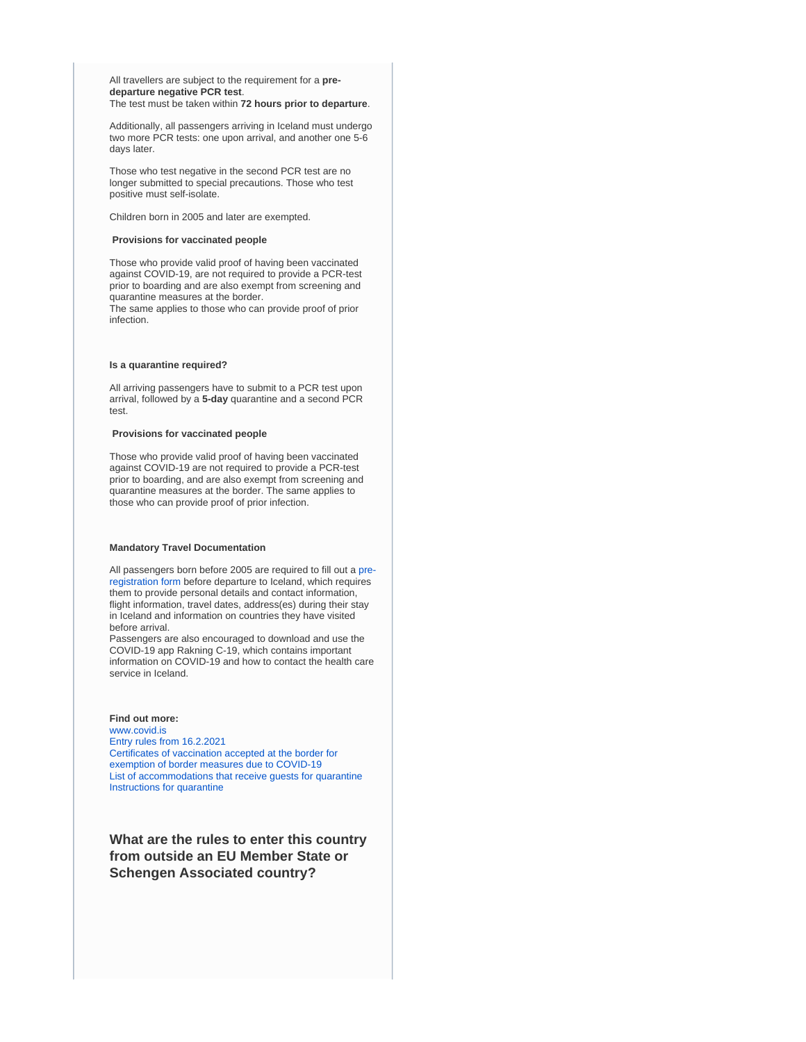All travellers are subject to the requirement for a **predeparture negative PCR test**. The test must be taken within **72 hours prior to departure**.

Additionally, all passengers arriving in Iceland must undergo two more PCR tests: one upon arrival, and another one 5-6 days later.

Those who test negative in the second PCR test are no longer submitted to special precautions. Those who test positive must self-isolate.

Children born in 2005 and later are exempted.

#### **Provisions for vaccinated people**

Those who provide valid proof of having been vaccinated against COVID-19, are not required to provide a PCR-test prior to boarding and are also exempt from screening and quarantine measures at the border.

The same applies to those who can provide proof of prior infection.

#### **Is a quarantine required?**

All arriving passengers have to submit to a PCR test upon arrival, followed by a **5-day** quarantine and a second PCR test.

#### **Provisions for vaccinated people**

Those who provide valid proof of having been vaccinated against COVID-19 are not required to provide a PCR-test prior to boarding, and are also exempt from screening and quarantine measures at the border. The same applies to those who can provide proof of prior infection.

#### **Mandatory Travel Documentation**

All passengers born before 2005 are required to fill out a [pre](http://www.covid.is/english)[registration form](http://www.covid.is/english) before departure to Iceland, which requires them to provide personal details and contact information, flight information, travel dates, address(es) during their stay in Iceland and information on countries they have visited before arrival.

Passengers are also encouraged to download and use the COVID-19 app Rakning C-19, which contains important information on COVID-19 and how to contact the health care service in Iceland.

**Find out more:** [www.covid.is](https://www.covid.is/categories/tourists-travelling-to-iceland) [Entry rules from 16.2.2021](https://www.government.is/news/article/2021/02/16/Travelers-required-to-present-negative-PCR-test-before-boarding-/) [Certificates of vaccination accepted at the border for](https://www.landlaeknir.is/um-embaettid/greinar/grein/item44162/Certificate-of-vaccination-against-COVID-19-accepted-at-the-border)  [exemption of border measures due to COVID-19](https://www.landlaeknir.is/um-embaettid/greinar/grein/item44162/Certificate-of-vaccination-against-COVID-19-accepted-at-the-border) [List of accommodations that receive guests for quarantine](https://www.ferdamalastofa.is/is/um-ferdamalastofu/frettir/category/1/er-thinn-gististadur-tilbuinn-ad-taka-a-moti-gestum-i-sottkvi) [Instructions for quarantine](https://www.landlaeknir.is/servlet/file/store93/item42645/Instructions%20for%20travellers%20in%20quarantine%2015.08.2020.pdf)

**What are the rules to enter this country from outside an EU Member State or Schengen Associated country?**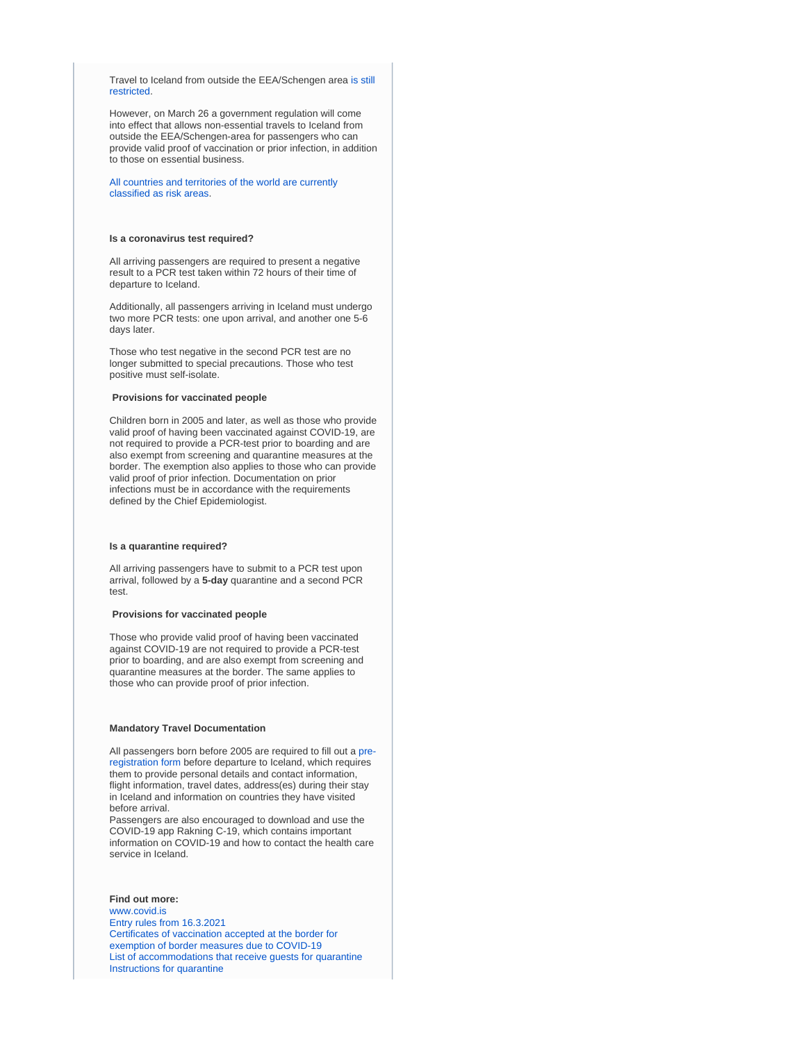Travel to Iceland from outside the EEA/Schengen area [is still](https://www.logreglan.is/english/regarding-travel-restrictions-to-iceland-as-a-result-of-covid-19/)  [restricted](https://www.logreglan.is/english/regarding-travel-restrictions-to-iceland-as-a-result-of-covid-19/).

However, on March 26 a government regulation will come into effect that allows non-essential travels to Iceland from outside the EEA/Schengen-area for passengers who can provide valid proof of vaccination or prior infection, in addition to those on essential business.

[All countries and territories of the world are currently](https://www.landlaeknir.is/um-embaettid/greinar/grein/item39194/Skilgreind-svaedi-med-smitahaettu---Defined-areas-with-risk-of-infection-(27-02-2020))  [classified as risk areas.](https://www.landlaeknir.is/um-embaettid/greinar/grein/item39194/Skilgreind-svaedi-med-smitahaettu---Defined-areas-with-risk-of-infection-(27-02-2020))

#### **Is a coronavirus test required?**

All arriving passengers are required to present a negative result to a PCR test taken within 72 hours of their time of departure to Iceland.

Additionally, all passengers arriving in Iceland must undergo two more PCR tests: one upon arrival, and another one 5-6 days later.

Those who test negative in the second PCR test are no longer submitted to special precautions. Those who test positive must self-isolate.

#### **Provisions for vaccinated people**

Children born in 2005 and later, as well as those who provide valid proof of having been vaccinated against COVID-19, are not required to provide a PCR-test prior to boarding and are also exempt from screening and quarantine measures at the border. The exemption also applies to those who can provide valid proof of prior infection. Documentation on prior infections must be in accordance with the requirements defined by the Chief Epidemiologist.

#### **Is a quarantine required?**

All arriving passengers have to submit to a PCR test upon arrival, followed by a **5-day** quarantine and a second PCR test.

#### **Provisions for vaccinated people**

Those who provide valid proof of having been vaccinated against COVID-19 are not required to provide a PCR-test prior to boarding, and are also exempt from screening and quarantine measures at the border. The same applies to those who can provide proof of prior infection.

#### **Mandatory Travel Documentation**

All passengers born before 2005 are required to fill out a [pre](http://www.covid.is/english)[registration form](http://www.covid.is/english) before departure to Iceland, which requires them to provide personal details and contact information, flight information, travel dates, address(es) during their stay in Iceland and information on countries they have visited before arrival.

Passengers are also encouraged to download and use the COVID-19 app Rakning C-19, which contains important information on COVID-19 and how to contact the health care service in Iceland.

#### **Find out more:**

[www.covid.is](https://www.covid.is/categories/tourists-travelling-to-iceland) [Entry rules from 16.3.2021](https://www.government.is/news/article/2021/03/16/Exemption-from-border-measures-for-vaccinated-individuals-to-be-extended-to-non-Schengen-countries/) [Certificates of vaccination accepted at the border for](https://www.landlaeknir.is/um-embaettid/greinar/grein/item44162/Certificate-of-vaccination-against-COVID-19-accepted-at-the-border)  [exemption of border measures due to COVID-19](https://www.landlaeknir.is/um-embaettid/greinar/grein/item44162/Certificate-of-vaccination-against-COVID-19-accepted-at-the-border) [List of accommodations that receive guests for quarantine](https://www.ferdamalastofa.is/is/um-ferdamalastofu/frettir/category/1/er-thinn-gististadur-tilbuinn-ad-taka-a-moti-gestum-i-sottkvi) [Instructions for quarantine](https://www.landlaeknir.is/servlet/file/store93/item42645/Instructions%20for%20travellers%20in%20quarantine%2015.08.2020.pdf)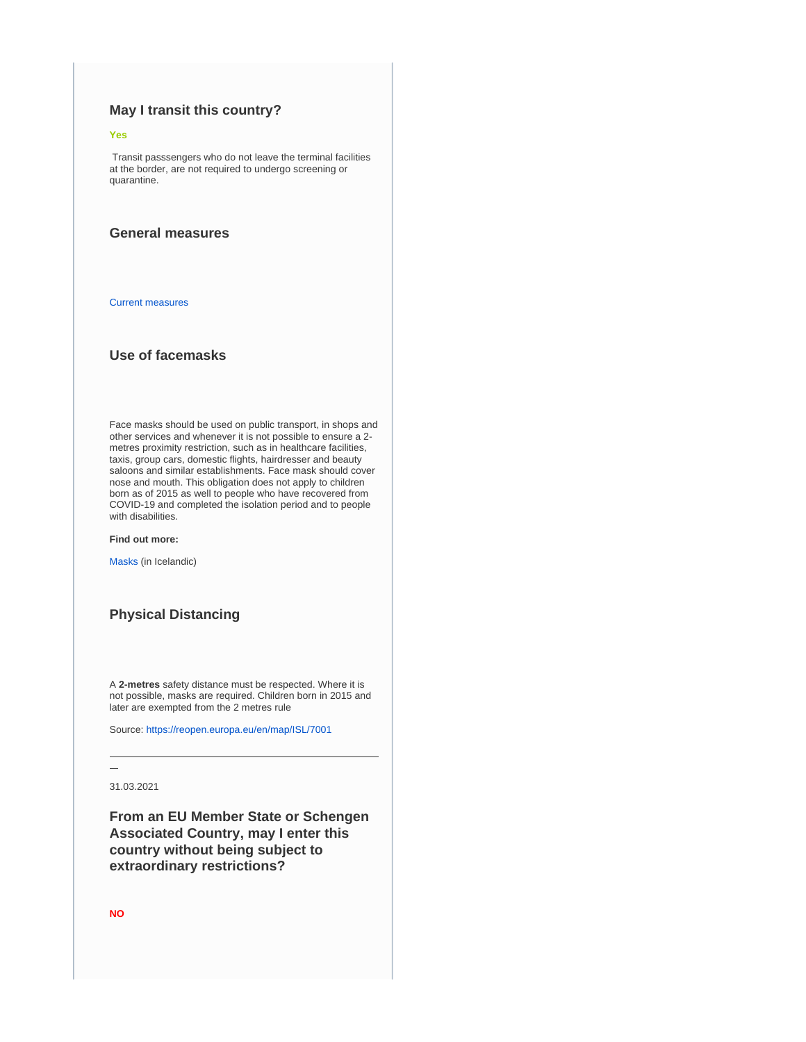## **May I transit this country?**

#### **Yes**

 Transit passsengers who do not leave the terminal facilities at the border, are not required to undergo screening or quarantine.

## **General measures**

#### [Current measures](https://www.covid.is/english)

## **Use of facemasks**

Face masks should be used on public transport, in shops and other services and whenever it is not possible to ensure a 2 metres proximity restriction, such as in healthcare facilities, taxis, group cars, domestic flights, hairdresser and beauty saloons and similar establishments. Face mask should cover nose and mouth. This obligation does not apply to children born as of 2015 as well to people who have recovered from COVID-19 and completed the isolation period and to people with disabilities.

#### **Find out more:**

[Masks](https://www.covid.is/grimur-gera-gagn) (in Icelandic)

## **Physical Distancing**

A **2-metres** safety distance must be respected. Where it is not possible, masks are required. Children born in 2015 and later are exempted from the 2 metres rule

Source:<https://reopen.europa.eu/en/map/ISL/7001>

## 

31.03.2021

**From an EU Member State or Schengen Associated Country, may I enter this country without being subject to extraordinary restrictions?**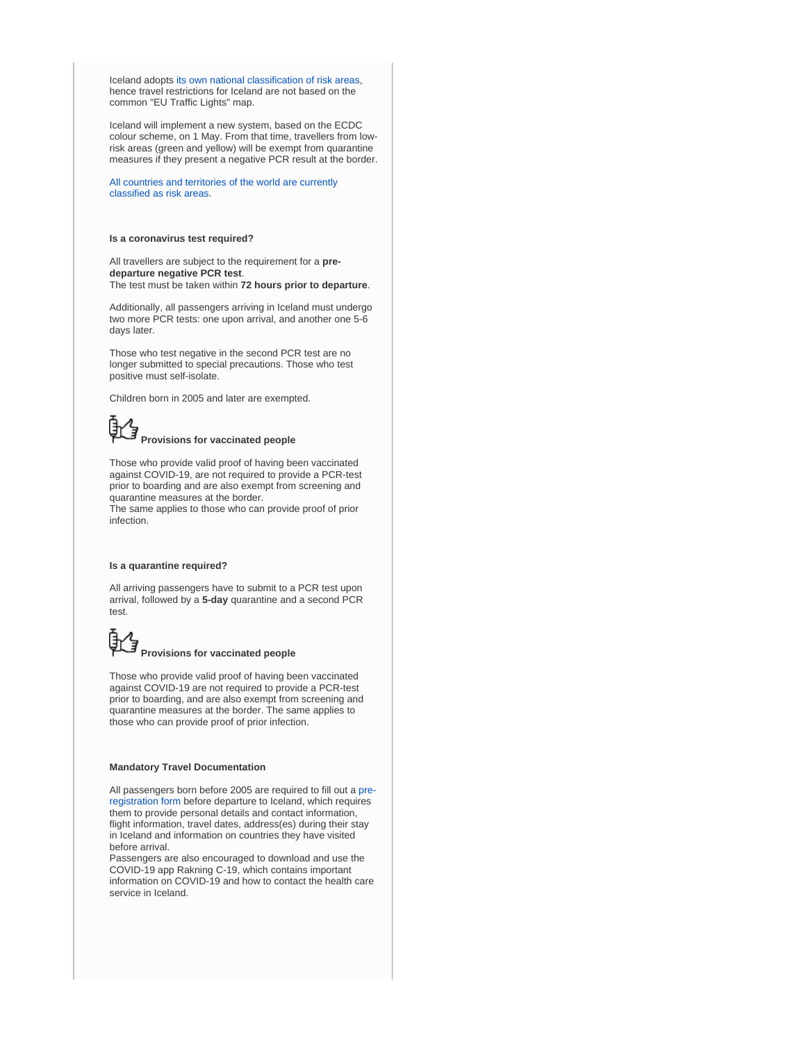Iceland adopts [its own national classification of risk areas](https://www.landlaeknir.is/um-embaettid/greinar/grein/item39194/Skilgreind-svaedi-med-smitahaettu---Defined-areas-with-risk-of-infection-(27-02-2020)), hence travel restrictions for Iceland are not based on the common "EU Traffic Lights" map.

Iceland will implement a new system, based on the ECDC colour scheme, on 1 May. From that time, travellers from lowrisk areas (green and yellow) will be exempt from quarantine measures if they present a negative PCR result at the border.

[All countries and territories of the world are currently](https://www.landlaeknir.is/um-embaettid/greinar/grein/item39194/Skilgreind-svaedi-med-smitahaettu---Defined-areas-with-risk-of-infection-(27-02-2020))  [classified as risk areas.](https://www.landlaeknir.is/um-embaettid/greinar/grein/item39194/Skilgreind-svaedi-med-smitahaettu---Defined-areas-with-risk-of-infection-(27-02-2020))

#### **Is a coronavirus test required?**

All travellers are subject to the requirement for a **predeparture negative PCR test**. The test must be taken within **72 hours prior to departure**.

Additionally, all passengers arriving in Iceland must undergo two more PCR tests: one upon arrival, and another one 5-6 days later.

Those who test negative in the second PCR test are no longer submitted to special precautions. Those who test positive must self-isolate.

Children born in 2005 and later are exempted.

## **Provisions for vaccinated people**

Those who provide valid proof of having been vaccinated against COVID-19, are not required to provide a PCR-test prior to boarding and are also exempt from screening and quarantine measures at the border.

The same applies to those who can provide proof of prior infection.

#### **Is a quarantine required?**

All arriving passengers have to submit to a PCR test upon arrival, followed by a **5-day** quarantine and a second PCR test.

# **Provisions for vaccinated people**

Those who provide valid proof of having been vaccinated against COVID-19 are not required to provide a PCR-test prior to boarding, and are also exempt from screening and quarantine measures at the border. The same applies to those who can provide proof of prior infection.

#### **Mandatory Travel Documentation**

All passengers born before 2005 are required to fill out a [pre](http://www.covid.is/english)[registration form](http://www.covid.is/english) before departure to Iceland, which requires them to provide personal details and contact information, flight information, travel dates, address(es) during their stay in Iceland and information on countries they have visited before arrival.

Passengers are also encouraged to download and use the COVID-19 app Rakning C-19, which contains important information on COVID-19 and how to contact the health care service in Iceland.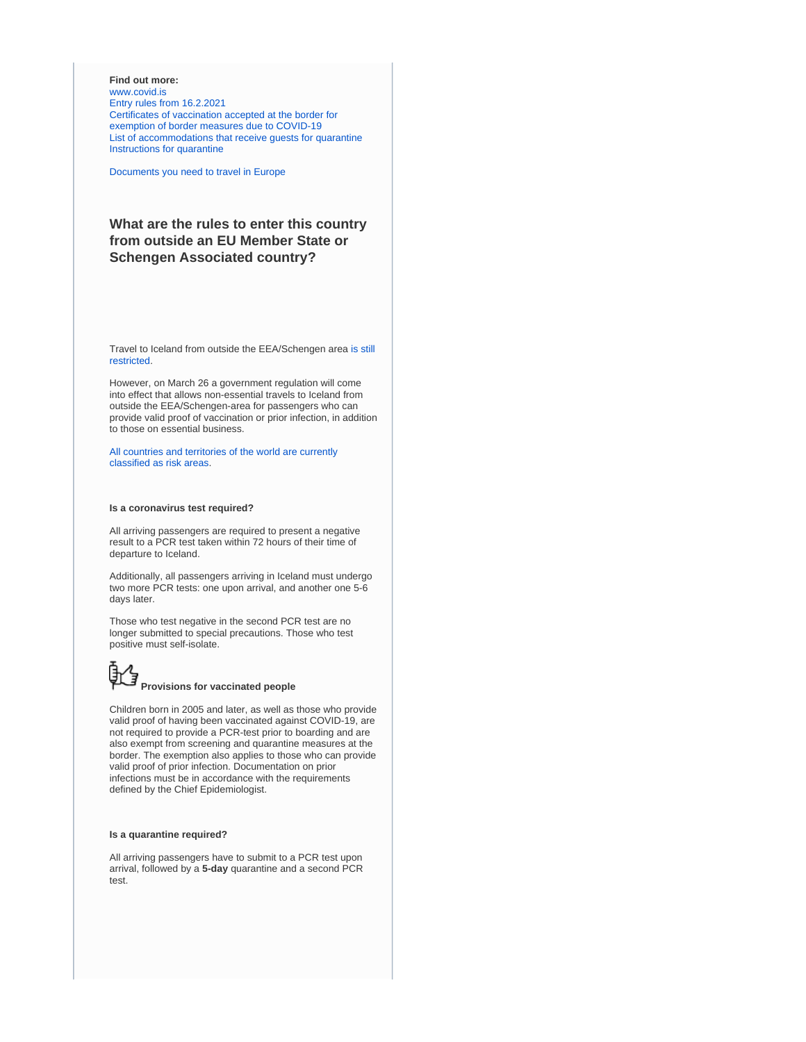#### **Find out more:**

[www.covid.is](https://www.covid.is/categories/tourists-travelling-to-iceland) [Entry rules from 16.2.2021](https://www.government.is/news/article/2021/02/16/Travelers-required-to-present-negative-PCR-test-before-boarding-/) [Certificates of vaccination accepted at the border for](https://www.landlaeknir.is/um-embaettid/greinar/grein/item44162/Certificate-of-vaccination-against-COVID-19-accepted-at-the-border)  [exemption of border measures due to COVID-19](https://www.landlaeknir.is/um-embaettid/greinar/grein/item44162/Certificate-of-vaccination-against-COVID-19-accepted-at-the-border) [List of accommodations that receive guests for quarantine](https://www.ferdamalastofa.is/is/um-ferdamalastofu/frettir/category/1/er-thinn-gististadur-tilbuinn-ad-taka-a-moti-gestum-i-sottkvi) [Instructions for quarantine](https://www.landlaeknir.is/servlet/file/store93/item42645/Instructions%20for%20travellers%20in%20quarantine%2015.08.2020.pdf)

[Documents you need to travel in Europe](https://europa.eu/youreurope/citizens/travel/entry-exit/index_en.htm)

## **What are the rules to enter this country from outside an EU Member State or Schengen Associated country?**

Travel to Iceland from outside the EEA/Schengen area [is still](https://www.logreglan.is/english/regarding-travel-restrictions-to-iceland-as-a-result-of-covid-19/)  [restricted](https://www.logreglan.is/english/regarding-travel-restrictions-to-iceland-as-a-result-of-covid-19/).

However, on March 26 a government regulation will come into effect that allows non-essential travels to Iceland from outside the EEA/Schengen-area for passengers who can provide valid proof of vaccination or prior infection, in addition to those on essential business.

[All countries and territories of the world are currently](https://www.landlaeknir.is/um-embaettid/greinar/grein/item39194/Skilgreind-svaedi-med-smitahaettu---Defined-areas-with-risk-of-infection-(27-02-2020))  [classified as risk areas.](https://www.landlaeknir.is/um-embaettid/greinar/grein/item39194/Skilgreind-svaedi-med-smitahaettu---Defined-areas-with-risk-of-infection-(27-02-2020))

#### **Is a coronavirus test required?**

All arriving passengers are required to present a negative result to a PCR test taken within 72 hours of their time of departure to Iceland.

Additionally, all passengers arriving in Iceland must undergo two more PCR tests: one upon arrival, and another one 5-6 days later.

Those who test negative in the second PCR test are no longer submitted to special precautions. Those who test positive must self-isolate.



Children born in 2005 and later, as well as those who provide valid proof of having been vaccinated against COVID-19, are not required to provide a PCR-test prior to boarding and are also exempt from screening and quarantine measures at the border. The exemption also applies to those who can provide valid proof of prior infection. Documentation on prior infections must be in accordance with the requirements defined by the Chief Epidemiologist.

#### **Is a quarantine required?**

All arriving passengers have to submit to a PCR test upon arrival, followed by a **5-day** quarantine and a second PCR test.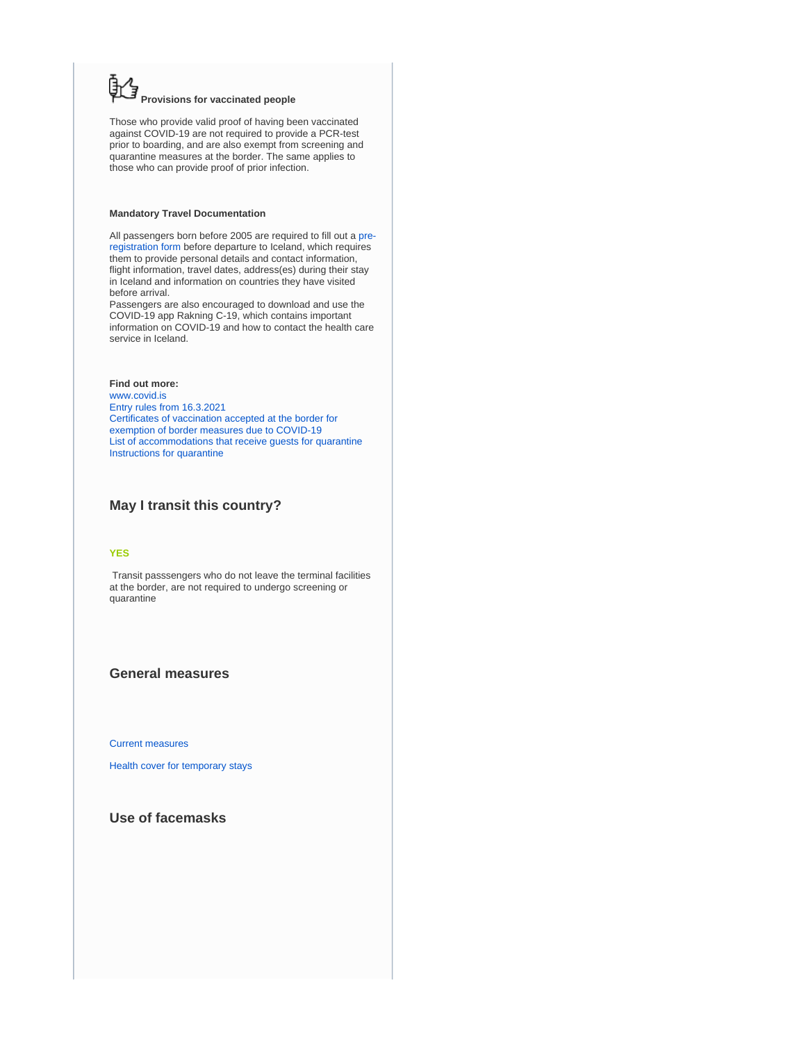# **Provisions for vaccinated people**

Those who provide valid proof of having been vaccinated against COVID-19 are not required to provide a PCR-test prior to boarding, and are also exempt from screening and quarantine measures at the border. The same applies to those who can provide proof of prior infection.

#### **Mandatory Travel Documentation**

All passengers born before 2005 are required to fill out a [pre](http://www.covid.is/english)[registration form](http://www.covid.is/english) before departure to Iceland, which requires them to provide personal details and contact information, flight information, travel dates, address(es) during their stay in Iceland and information on countries they have visited before arrival.

Passengers are also encouraged to download and use the COVID-19 app Rakning C-19, which contains important information on COVID-19 and how to contact the health care service in Iceland.

**Find out more:** [www.covid.is](https://www.covid.is/categories/tourists-travelling-to-iceland) [Entry rules from 16.3.2021](https://www.government.is/news/article/2021/03/16/Exemption-from-border-measures-for-vaccinated-individuals-to-be-extended-to-non-Schengen-countries/) [Certificates of vaccination accepted at the border for](https://www.landlaeknir.is/um-embaettid/greinar/grein/item44162/Certificate-of-vaccination-against-COVID-19-accepted-at-the-border)  [exemption of border measures due to COVID-19](https://www.landlaeknir.is/um-embaettid/greinar/grein/item44162/Certificate-of-vaccination-against-COVID-19-accepted-at-the-border) [List of accommodations that receive guests for quarantine](https://www.ferdamalastofa.is/is/um-ferdamalastofu/frettir/category/1/er-thinn-gististadur-tilbuinn-ad-taka-a-moti-gestum-i-sottkvi) [Instructions for quarantine](https://www.landlaeknir.is/servlet/file/store93/item42645/Instructions%20for%20travellers%20in%20quarantine%2015.08.2020.pdf)

## **May I transit this country?**

#### **YES**

 Transit passsengers who do not leave the terminal facilities at the border, are not required to undergo screening or quarantine

## **General measures**

#### [Current measures](https://www.covid.is/english)

[Health cover for temporary stays](https://europa.eu/youreurope/citizens/health/unplanned-healthcare/temporary-stays/index_en.htm)

## **Use of facemasks**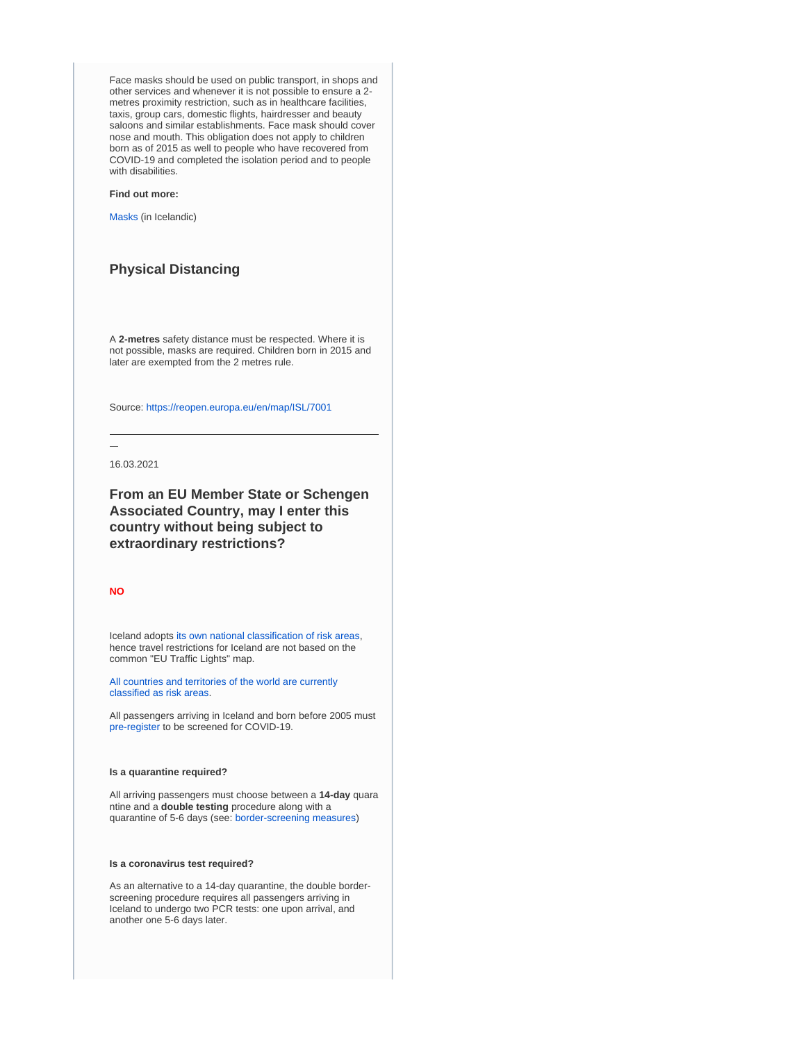Face masks should be used on public transport, in shops and other services and whenever it is not possible to ensure a 2 metres proximity restriction, such as in healthcare facilities, taxis, group cars, domestic flights, hairdresser and beauty saloons and similar establishments. Face mask should cover nose and mouth. This obligation does not apply to children born as of 2015 as well to people who have recovered from COVID-19 and completed the isolation period and to people with disabilities.

#### **Find out more:**

[Masks](https://www.covid.is/grimur-gera-gagn) (in Icelandic)

## **Physical Distancing**

A **2-metres** safety distance must be respected. Where it is not possible, masks are required. Children born in 2015 and later are exempted from the 2 metres rule.

Source:<https://reopen.europa.eu/en/map/ISL/7001>

16.03.2021

**From an EU Member State or Schengen Associated Country, may I enter this country without being subject to extraordinary restrictions?**

#### **NO**

Iceland adopts [its own national classification of risk areas](https://www.landlaeknir.is/um-embaettid/greinar/grein/item39194/Skilgreind-svaedi-med-smitahaettu---Defined-areas-with-risk-of-infection-(27-02-2020)), hence travel restrictions for Iceland are not based on the common "EU Traffic Lights" map.

[All countries and territories of the world are currently](https://www.landlaeknir.is/um-embaettid/greinar/grein/item39194/Skilgreind-svaedi-med-smitahaettu---Defined-areas-with-risk-of-infection-(27-02-2020))  [classified as risk areas.](https://www.landlaeknir.is/um-embaettid/greinar/grein/item39194/Skilgreind-svaedi-med-smitahaettu---Defined-areas-with-risk-of-infection-(27-02-2020))

All passengers arriving in Iceland and born before 2005 must [pre-register](https://visit.covid.is/) to be screened for COVID-19.

#### **Is a quarantine required?**

All arriving passengers must choose between a **14-day** quara ntine and a **double testing** procedure along with a quarantine of 5-6 days (see: [border-screening measures](https://www.government.is/news/article/2020/08/14/Double-border-screening-for-all-arriving-passengers/))

#### **Is a coronavirus test required?**

As an alternative to a 14-day quarantine, the double borderscreening procedure requires all passengers arriving in Iceland to undergo two PCR tests: one upon arrival, and another one 5-6 days later.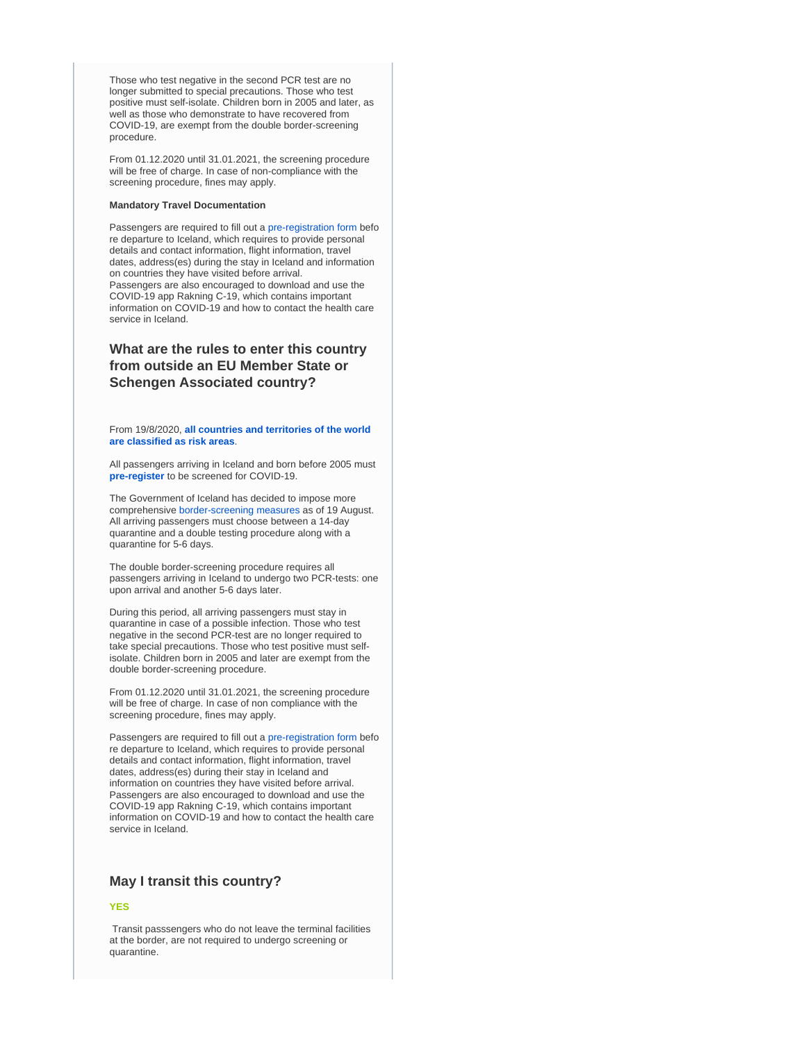Those who test negative in the second PCR test are no longer submitted to special precautions. Those who test positive must self-isolate. Children born in 2005 and later, as well as those who demonstrate to have recovered from COVID-19, are exempt from the double border-screening procedure.

From 01.12.2020 until 31.01.2021, the screening procedure will be free of charge. In case of non-compliance with the screening procedure, fines may apply.

#### **Mandatory Travel Documentation**

Passengers are required to fill out a [pre-registration form](http://www.covid.is/english) befo re departure to Iceland, which requires to provide personal details and contact information, flight information, travel dates, address(es) during the stay in Iceland and information on countries they have visited before arrival. Passengers are also encouraged to download and use the COVID-19 app Rakning C-19, which contains important information on COVID-19 and how to contact the health care service in Iceland.

## **What are the rules to enter this country from outside an EU Member State or Schengen Associated country?**

From 19/8/2020, **[all countries and territories of the world](https://www.landlaeknir.is/um-embaettid/greinar/grein/item39194/Skilgreind-svaedi-med-smitahaettu---Defined-areas-with-risk-of-infection-(27-02-2020))  [are classified as risk areas](https://www.landlaeknir.is/um-embaettid/greinar/grein/item39194/Skilgreind-svaedi-med-smitahaettu---Defined-areas-with-risk-of-infection-(27-02-2020))**.

All passengers arriving in Iceland and born before 2005 must **[pre-register](https://visit.covid.is/)** to be screened for COVID-19.

The Government of Iceland has decided to impose more comprehensive [border-screening measures](https://www.government.is/news/article/2020/08/14/Double-border-screening-for-all-arriving-passengers/) as of 19 August. All arriving passengers must choose between a 14-day quarantine and a double testing procedure along with a quarantine for 5-6 days.

The double border-screening procedure requires all passengers arriving in Iceland to undergo two PCR-tests: one upon arrival and another 5-6 days later.

During this period, all arriving passengers must stay in quarantine in case of a possible infection. Those who test negative in the second PCR-test are no longer required to take special precautions. Those who test positive must selfisolate. Children born in 2005 and later are exempt from the double border-screening procedure.

From 01.12.2020 until 31.01.2021, the screening procedure will be free of charge. In case of non compliance with the screening procedure, fines may apply.

Passengers are required to fill out a [pre-registration form](http://www.covid.is/english) befo re departure to Iceland, which requires to provide personal details and contact information, flight information, travel dates, address(es) during their stay in Iceland and information on countries they have visited before arrival. Passengers are also encouraged to download and use the COVID-19 app Rakning C-19, which contains important information on COVID-19 and how to contact the health care service in Iceland.

## **May I transit this country?**

#### **YES**

 Transit passsengers who do not leave the terminal facilities at the border, are not required to undergo screening or quarantine.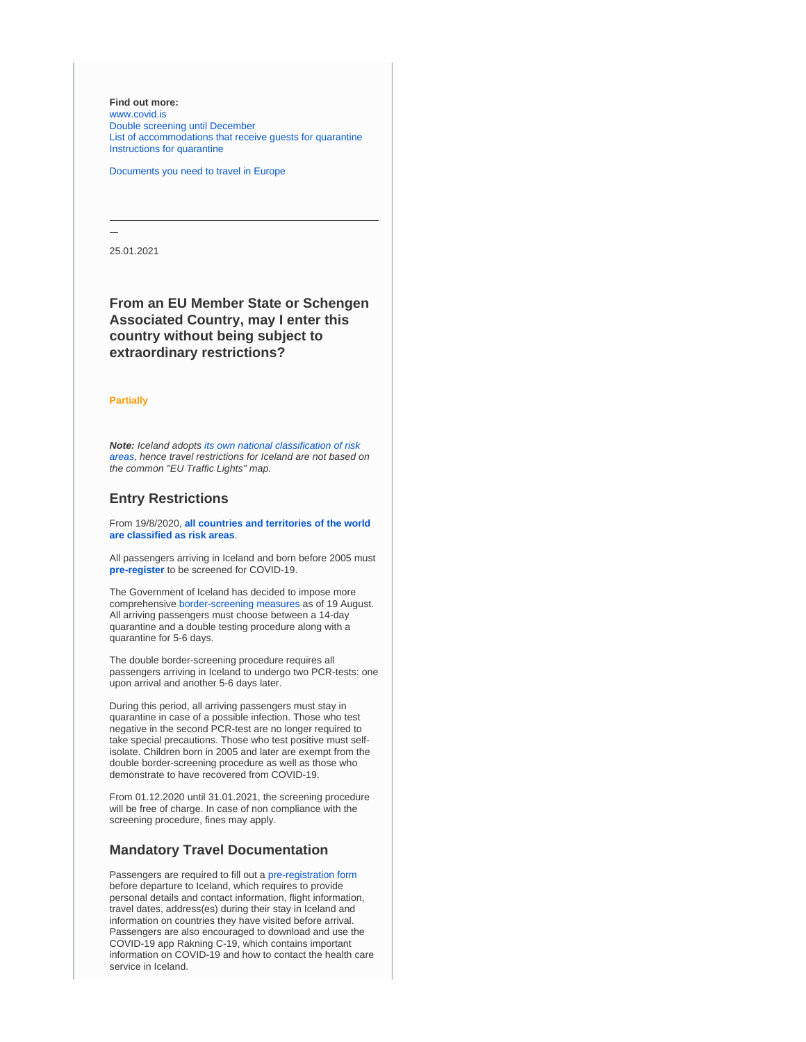**Find out more:** [www.covid.is](https://www.covid.is/categories/tourists-travelling-to-iceland) [Double screening until December](https://www.government.is/news/article/2020/10/07/Double-screening-until-December/) [List of accommodations that receive guests for quarantine](https://www.ferdamalastofa.is/is/um-ferdamalastofu/frettir/category/1/er-thinn-gististadur-tilbuinn-ad-taka-a-moti-gestum-i-sottkvi) [Instructions for quarantine](https://www.landlaeknir.is/servlet/file/store93/item42645/Instructions%20for%20travellers%20in%20quarantine%2015.08.2020.pdf)

[Documents you need to travel in Europe](https://europa.eu/youreurope/citizens/travel/entry-exit/index_en.htm)

25.01.2021

**From an EU Member State or Schengen Associated Country, may I enter this country without being subject to extraordinary restrictions?**

#### **Partially**

**Note:** Iceland adopts [its own national classification of risk](https://www.landlaeknir.is/um-embaettid/greinar/grein/item39194/Skilgreind-svaedi-med-smitahaettu---Defined-areas-with-risk-of-infection-(27-02-2020))  [areas](https://www.landlaeknir.is/um-embaettid/greinar/grein/item39194/Skilgreind-svaedi-med-smitahaettu---Defined-areas-with-risk-of-infection-(27-02-2020)), hence travel restrictions for Iceland are not based on the common "EU Traffic Lights" map.

## **Entry Restrictions**

From 19/8/2020, **[all countries and territories of the world](https://www.landlaeknir.is/um-embaettid/greinar/grein/item39194/Skilgreind-svaedi-med-smitahaettu---Defined-areas-with-risk-of-infection-(27-02-2020))  [are classified as risk areas](https://www.landlaeknir.is/um-embaettid/greinar/grein/item39194/Skilgreind-svaedi-med-smitahaettu---Defined-areas-with-risk-of-infection-(27-02-2020))**.

All passengers arriving in Iceland and born before 2005 must **[pre-register](https://visit.covid.is/)** to be screened for COVID-19.

The Government of Iceland has decided to impose more comprehensive [border-screening measures](https://www.government.is/news/article/2020/08/14/Double-border-screening-for-all-arriving-passengers/) as of 19 August. All arriving passengers must choose between a 14-day quarantine and a double testing procedure along with a quarantine for 5-6 days.

The double border-screening procedure requires all passengers arriving in Iceland to undergo two PCR-tests: one upon arrival and another 5-6 days later.

During this period, all arriving passengers must stay in quarantine in case of a possible infection. Those who test negative in the second PCR-test are no longer required to take special precautions. Those who test positive must selfisolate. Children born in 2005 and later are exempt from the double border-screening procedure as well as those who demonstrate to have recovered from COVID-19.

From 01.12.2020 until 31.01.2021, the screening procedure will be free of charge. In case of non compliance with the screening procedure, fines may apply.

### **Mandatory Travel Documentation**

Passengers are required to fill out a [pre-registration form](http://www.covid.is/english) before departure to Iceland, which requires to provide personal details and contact information, flight information, travel dates, address(es) during their stay in Iceland and information on countries they have visited before arrival. Passengers are also encouraged to download and use the COVID-19 app Rakning C-19, which contains important information on COVID-19 and how to contact the health care service in Iceland.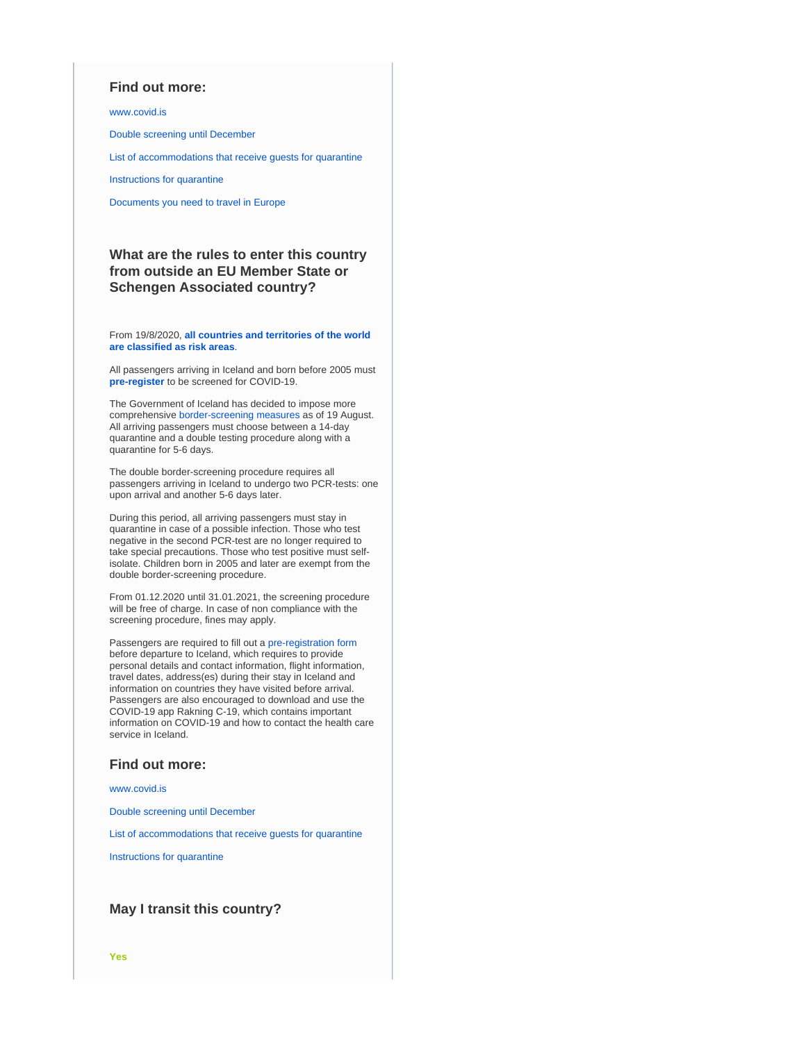## **Find out more:**

[www.covid.is](https://www.covid.is/categories/tourists-travelling-to-iceland)

[Double screening until December](https://www.government.is/news/article/2020/10/07/Double-screening-until-December/)

[List of accommodations that receive guests for quarantine](https://www.ferdamalastofa.is/is/um-ferdamalastofu/frettir/category/1/er-thinn-gististadur-tilbuinn-ad-taka-a-moti-gestum-i-sottkvi)

[Instructions for quarantine](https://www.landlaeknir.is/servlet/file/store93/item42645/Instructions%20for%20travellers%20in%20quarantine%2015.08.2020.pdf)

[Documents you need to travel in Europe](https://europa.eu/youreurope/citizens/travel/entry-exit/index_en.htm)

## **What are the rules to enter this country from outside an EU Member State or Schengen Associated country?**

From 19/8/2020, **[all countries and territories of the world](https://www.landlaeknir.is/um-embaettid/greinar/grein/item39194/Skilgreind-svaedi-med-smitahaettu---Defined-areas-with-risk-of-infection-(27-02-2020))  [are classified as risk areas](https://www.landlaeknir.is/um-embaettid/greinar/grein/item39194/Skilgreind-svaedi-med-smitahaettu---Defined-areas-with-risk-of-infection-(27-02-2020))**.

All passengers arriving in Iceland and born before 2005 must **[pre-register](https://visit.covid.is/)** to be screened for COVID-19.

The Government of Iceland has decided to impose more comprehensive [border-screening measures](https://www.government.is/news/article/2020/08/14/Double-border-screening-for-all-arriving-passengers/) as of 19 August. All arriving passengers must choose between a 14-day quarantine and a double testing procedure along with a quarantine for 5-6 days.

The double border-screening procedure requires all passengers arriving in Iceland to undergo two PCR-tests: one upon arrival and another 5-6 days later.

During this period, all arriving passengers must stay in quarantine in case of a possible infection. Those who test negative in the second PCR-test are no longer required to take special precautions. Those who test positive must selfisolate. Children born in 2005 and later are exempt from the double border-screening procedure.

From 01.12.2020 until 31.01.2021, the screening procedure will be free of charge. In case of non compliance with the screening procedure, fines may apply.

Passengers are required to fill out a [pre-registration form](http://www.covid.is/english) before departure to Iceland, which requires to provide personal details and contact information, flight information, travel dates, address(es) during their stay in Iceland and information on countries they have visited before arrival. Passengers are also encouraged to download and use the COVID-19 app Rakning C-19, which contains important information on COVID-19 and how to contact the health care service in Iceland.

## **Find out more:**

[www.covid.is](https://www.covid.is/categories/tourists-travelling-to-iceland)

[Double screening until December](https://www.government.is/news/article/2020/10/07/Double-screening-until-December/)

[List of accommodations that receive guests for quarantine](https://www.ferdamalastofa.is/is/um-ferdamalastofu/frettir/category/1/er-thinn-gististadur-tilbuinn-ad-taka-a-moti-gestum-i-sottkvi)

[Instructions for quarantine](https://www.landlaeknir.is/servlet/file/store93/item42645/Instructions%20for%20travellers%20in%20quarantine%2015.08.2020.pdf)

## **May I transit this country?**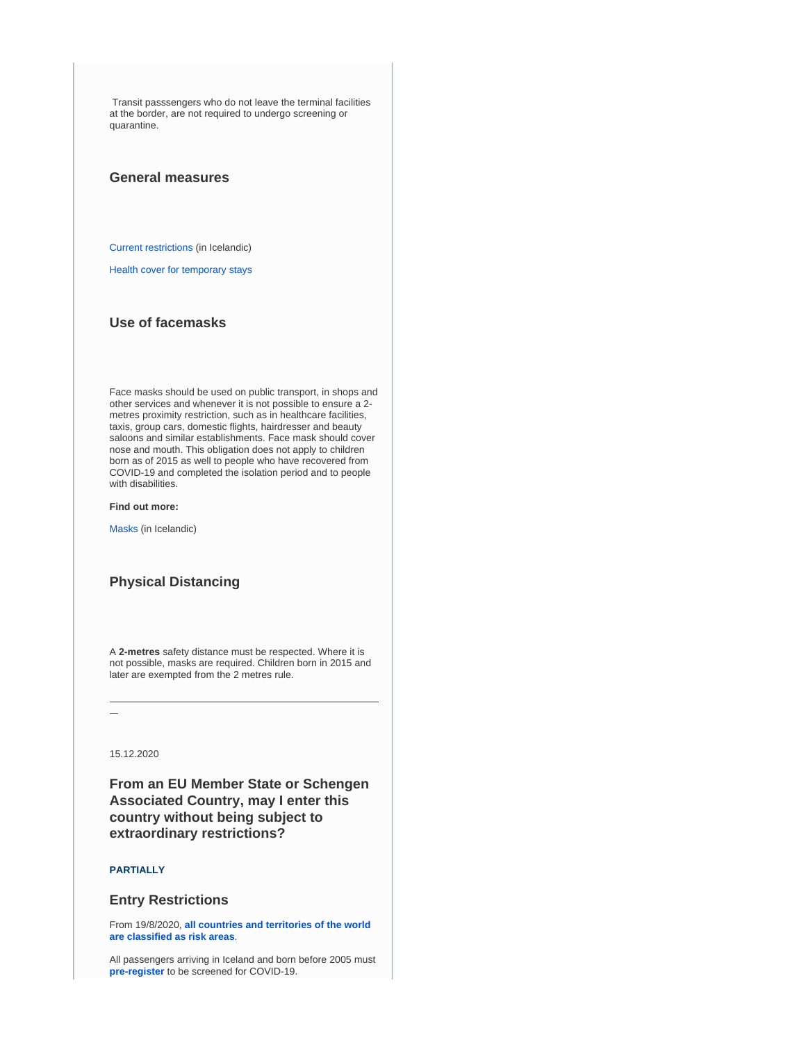Transit passsengers who do not leave the terminal facilities at the border, are not required to undergo screening or quarantine.

## **General measures**

[Current restrictions](https://www.covid.is/flokkar/gildandi-takmarkanir-i-samkomubanni) (in Icelandic)

[Health cover for temporary stays](https://europa.eu/youreurope/citizens/health/unplanned-healthcare/temporary-stays/index_en.htm)

## **Use of facemasks**

Face masks should be used on public transport, in shops and other services and whenever it is not possible to ensure a 2 metres proximity restriction, such as in healthcare facilities, taxis, group cars, domestic flights, hairdresser and beauty saloons and similar establishments. Face mask should cover nose and mouth. This obligation does not apply to children born as of 2015 as well to people who have recovered from COVID-19 and completed the isolation period and to people with disabilities.

**Find out more:**

[Masks](https://www.covid.is/grimur-gera-gagn) (in Icelandic)

## **Physical Distancing**

A **2-metres** safety distance must be respected. Where it is not possible, masks are required. Children born in 2015 and later are exempted from the 2 metres rule.

15.12.2020

**From an EU Member State or Schengen Associated Country, may I enter this country without being subject to extraordinary restrictions?**

## **PARTIALLY**

## **Entry Restrictions**

From 19/8/2020, **[all countries and territories of the world](https://www.landlaeknir.is/um-embaettid/greinar/grein/item39194/Skilgreind-svaedi-med-smitahaettu---Defined-areas-with-risk-of-infection-(27-02-2020))  [are classified as risk areas](https://www.landlaeknir.is/um-embaettid/greinar/grein/item39194/Skilgreind-svaedi-med-smitahaettu---Defined-areas-with-risk-of-infection-(27-02-2020))**.

All passengers arriving in Iceland and born before 2005 must **[pre-register](https://visit.covid.is/)** to be screened for COVID-19.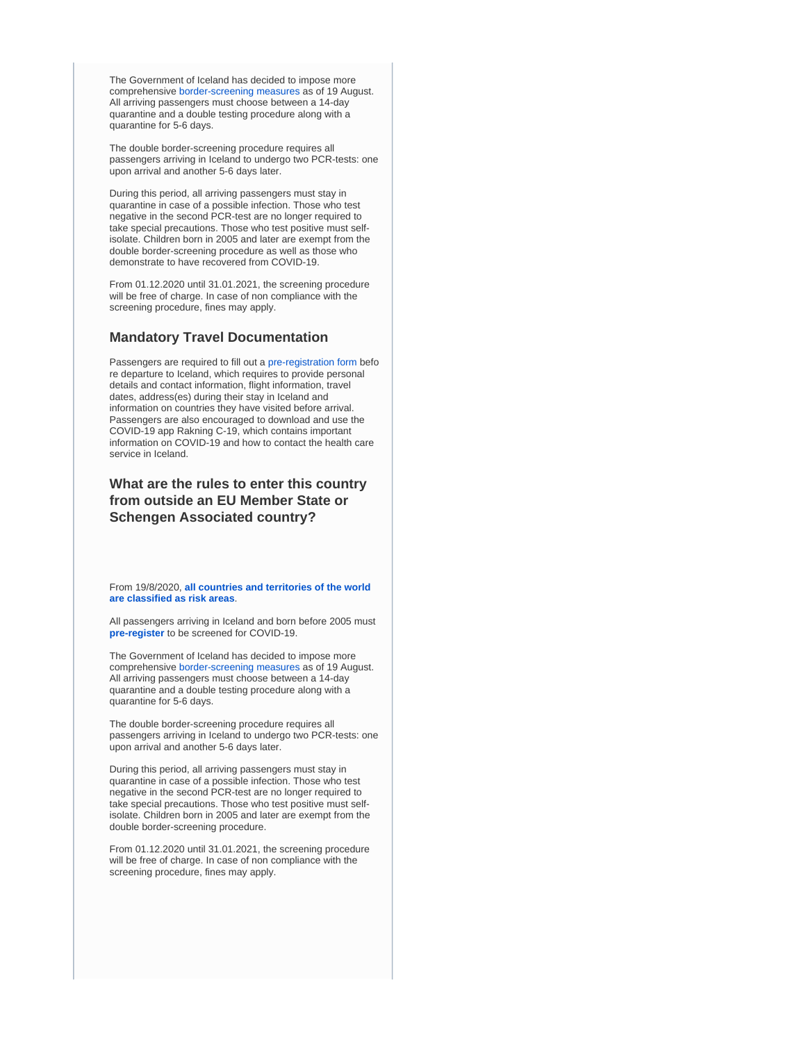The Government of Iceland has decided to impose more comprehensive [border-screening measures](https://www.government.is/news/article/2020/08/14/Double-border-screening-for-all-arriving-passengers/) as of 19 August. All arriving passengers must choose between a 14-day quarantine and a double testing procedure along with a quarantine for 5-6 days.

The double border-screening procedure requires all passengers arriving in Iceland to undergo two PCR-tests: one upon arrival and another 5-6 days later.

During this period, all arriving passengers must stay in quarantine in case of a possible infection. Those who test negative in the second PCR-test are no longer required to take special precautions. Those who test positive must selfisolate. Children born in 2005 and later are exempt from the double border-screening procedure as well as those who demonstrate to have recovered from COVID-19.

From 01.12.2020 until 31.01.2021, the screening procedure will be free of charge. In case of non compliance with the screening procedure, fines may apply.

## **Mandatory Travel Documentation**

Passengers are required to fill out a [pre-registration form](http://www.covid.is/english) befo re departure to Iceland, which requires to provide personal details and contact information, flight information, travel dates, address(es) during their stay in Iceland and information on countries they have visited before arrival. Passengers are also encouraged to download and use the COVID-19 app Rakning C-19, which contains important information on COVID-19 and how to contact the health care service in Iceland.

## **What are the rules to enter this country from outside an EU Member State or Schengen Associated country?**

From 19/8/2020, **[all countries and territories of the world](https://www.landlaeknir.is/um-embaettid/greinar/grein/item39194/Skilgreind-svaedi-med-smitahaettu---Defined-areas-with-risk-of-infection-(27-02-2020))  [are classified as risk areas](https://www.landlaeknir.is/um-embaettid/greinar/grein/item39194/Skilgreind-svaedi-med-smitahaettu---Defined-areas-with-risk-of-infection-(27-02-2020))**.

All passengers arriving in Iceland and born before 2005 must **[pre-register](https://visit.covid.is/)** to be screened for COVID-19.

The Government of Iceland has decided to impose more comprehensive [border-screening measures](https://www.government.is/news/article/2020/08/14/Double-border-screening-for-all-arriving-passengers/) as of 19 August. All arriving passengers must choose between a 14-day quarantine and a double testing procedure along with a quarantine for 5-6 days.

The double border-screening procedure requires all passengers arriving in Iceland to undergo two PCR-tests: one upon arrival and another 5-6 days later.

During this period, all arriving passengers must stay in quarantine in case of a possible infection. Those who test negative in the second PCR-test are no longer required to take special precautions. Those who test positive must selfisolate. Children born in 2005 and later are exempt from the double border-screening procedure.

From 01.12.2020 until 31.01.2021, the screening procedure will be free of charge. In case of non compliance with the screening procedure, fines may apply.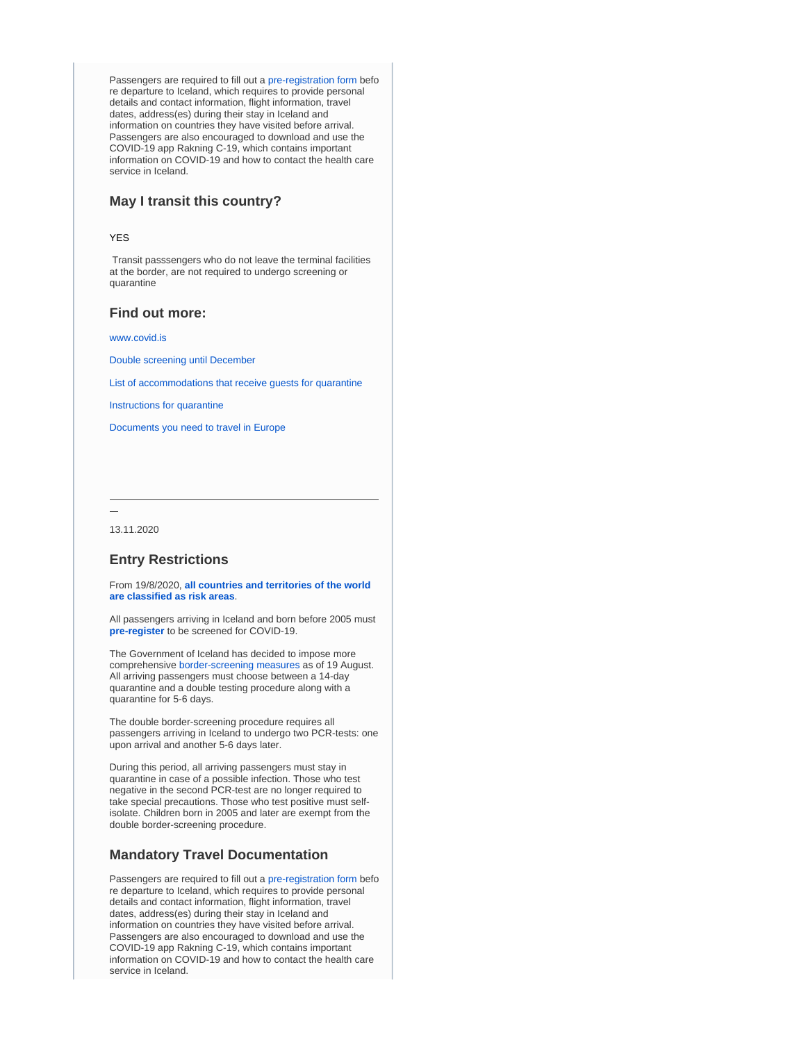Passengers are required to fill out a [pre-registration form](http://www.covid.is/english) befo re departure to Iceland, which requires to provide personal details and contact information, flight information, travel dates, address(es) during their stay in Iceland and information on countries they have visited before arrival. Passengers are also encouraged to download and use the COVID-19 app Rakning C-19, which contains important information on COVID-19 and how to contact the health care service in Iceland.

## **May I transit this country?**

#### YES

 Transit passsengers who do not leave the terminal facilities at the border, are not required to undergo screening or quarantine

### **Find out more:**

[www.covid.is](https://www.covid.is/categories/tourists-travelling-to-iceland)

[Double screening until December](https://www.government.is/news/article/2020/10/07/Double-screening-until-December/)

[List of accommodations that receive guests for quarantine](https://www.ferdamalastofa.is/is/um-ferdamalastofu/frettir/category/1/er-thinn-gististadur-tilbuinn-ad-taka-a-moti-gestum-i-sottkvi)

[Instructions for quarantine](https://www.landlaeknir.is/servlet/file/store93/item42645/Instructions%20for%20travellers%20in%20quarantine%2015.08.2020.pdf)

[Documents you need to travel in Europe](https://europa.eu/youreurope/citizens/travel/entry-exit/index_en.htm)

13.11.2020

### **Entry Restrictions**

From 19/8/2020, **[all countries and territories of the world](https://www.landlaeknir.is/um-embaettid/greinar/grein/item39194/Skilgreind-svaedi-med-smitahaettu---Defined-areas-with-risk-of-infection-(27-02-2020))  [are classified as risk areas](https://www.landlaeknir.is/um-embaettid/greinar/grein/item39194/Skilgreind-svaedi-med-smitahaettu---Defined-areas-with-risk-of-infection-(27-02-2020))**.

All passengers arriving in Iceland and born before 2005 must **[pre-register](https://visit.covid.is/)** to be screened for COVID-19.

The Government of Iceland has decided to impose more comprehensive [border-screening measures](https://www.government.is/news/article/2020/08/14/Double-border-screening-for-all-arriving-passengers/) as of 19 August. All arriving passengers must choose between a 14-day quarantine and a double testing procedure along with a quarantine for 5-6 days.

The double border-screening procedure requires all passengers arriving in Iceland to undergo two PCR-tests: one upon arrival and another 5-6 days later.

During this period, all arriving passengers must stay in quarantine in case of a possible infection. Those who test negative in the second PCR-test are no longer required to take special precautions. Those who test positive must selfisolate. Children born in 2005 and later are exempt from the double border-screening procedure.

## **Mandatory Travel Documentation**

Passengers are required to fill out a [pre-registration form](http://www.covid.is/english) befo re departure to Iceland, which requires to provide personal details and contact information, flight information, travel dates, address(es) during their stay in Iceland and information on countries they have visited before arrival. Passengers are also encouraged to download and use the COVID-19 app Rakning C-19, which contains important information on COVID-19 and how to contact the health care service in Iceland.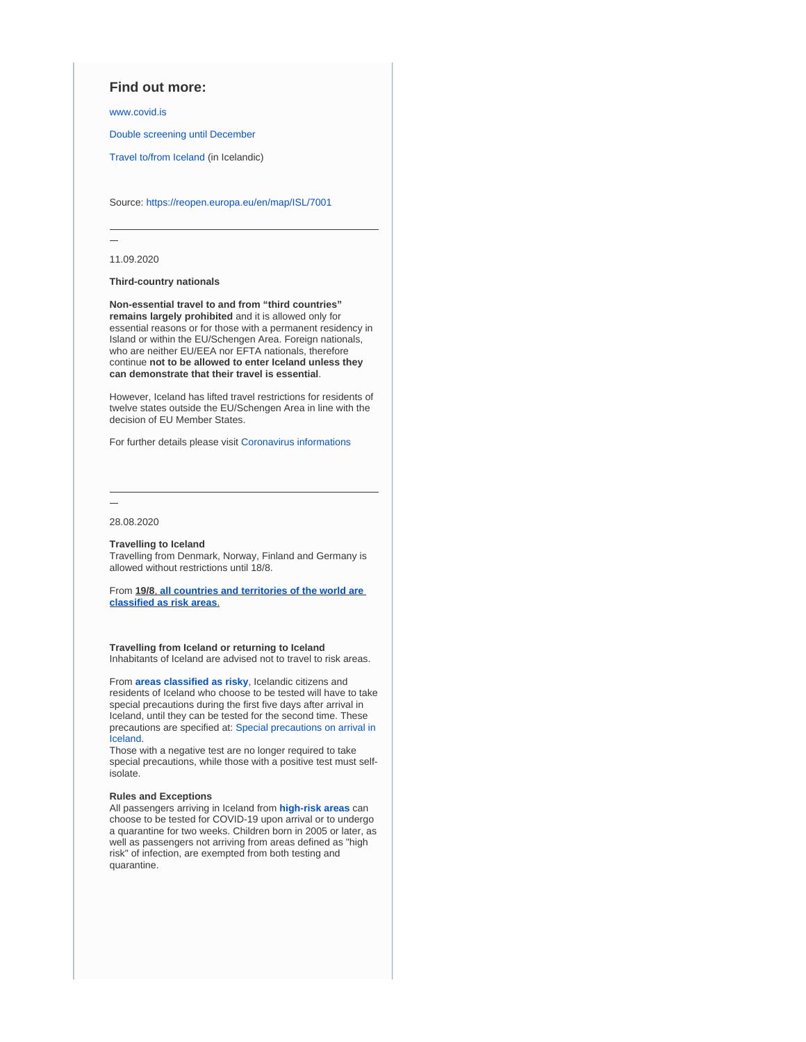## **Find out more:**

[www.covid.is](https://www.covid.is/categories/tourists-travelling-to-iceland)

[Double screening until December](https://www.government.is/news/article/2020/10/07/Double-screening-until-December/)

[Travel to/from Iceland](https://www.covid.is/flokkar/ferdalog) (in Icelandic)

Source:<https://reopen.europa.eu/en/map/ISL/7001>

11.09.2020

**Third-country nationals**

**Non-essential travel to and from "third countries" remains largely prohibited** and it is allowed only for essential reasons or for those with a permanent residency in Island or within the EU/Schengen Area. Foreign nationals, who are neither EU/EEA nor EFTA nationals, therefore continue **not to be allowed to enter Iceland unless they can demonstrate that their travel is essential**.

However, Iceland has lifted travel restrictions for residents of twelve states outside the EU/Schengen Area in line with the decision of EU Member States.

For further details please visit [Coronavirus informations](https://www.utl.is/index.php/en/)

28.08.2020

#### **Travelling to Iceland**

Travelling from Denmark, Norway, Finland and Germany is allowed without restrictions until 18/8.

From **19/8**, **[all countries and territories of the world are](https://www.landlaeknir.is/um-embaettid/greinar/grein/item39194/Skilgreind-svaedi-med-smitahaettu---Defined-areas-with-risk-of-infection-(27-02-2020))  [classified as risk areas](https://www.landlaeknir.is/um-embaettid/greinar/grein/item39194/Skilgreind-svaedi-med-smitahaettu---Defined-areas-with-risk-of-infection-(27-02-2020))**.

#### **Travelling from Iceland or returning to Iceland** Inhabitants of Iceland are advised not to travel to risk areas.

From **[areas classified as risky](https://www.landlaeknir.is/um-embaettid/greinar/grein/item39194/Skilgreind-svaedi-med-smitahaettu---Defined-areas-with-risk-of-infection-(27-02-2020))**, Icelandic citizens and residents of Iceland who choose to be tested will have to take special precautions during the first five days after arrival in Iceland, until they can be tested for the second time. These precautions are specified at: [Special precautions on arrival in](https://www.government.is/news/article/2020/07/10/Icelanders-and-residents-in-Iceland-to-take-special-precautions-on-arrival-in-Iceland)  [Iceland](https://www.government.is/news/article/2020/07/10/Icelanders-and-residents-in-Iceland-to-take-special-precautions-on-arrival-in-Iceland).

Those with a negative test are no longer required to take special precautions, while those with a positive test must selfisolate.

#### **Rules and Exceptions**

All passengers arriving in Iceland from **[high-risk areas](https://www.landlaeknir.is/um-embaettid/greinar/grein/item39194/Skilgreind-svaedi-med-smitahaettu---Defined-areas-with-risk-of-infection-(27-02-2020))** can choose to be tested for COVID-19 upon arrival or to undergo a quarantine for two weeks. Children born in 2005 or later, as well as passengers not arriving from areas defined as "high risk" of infection, are exempted from both testing and quarantine.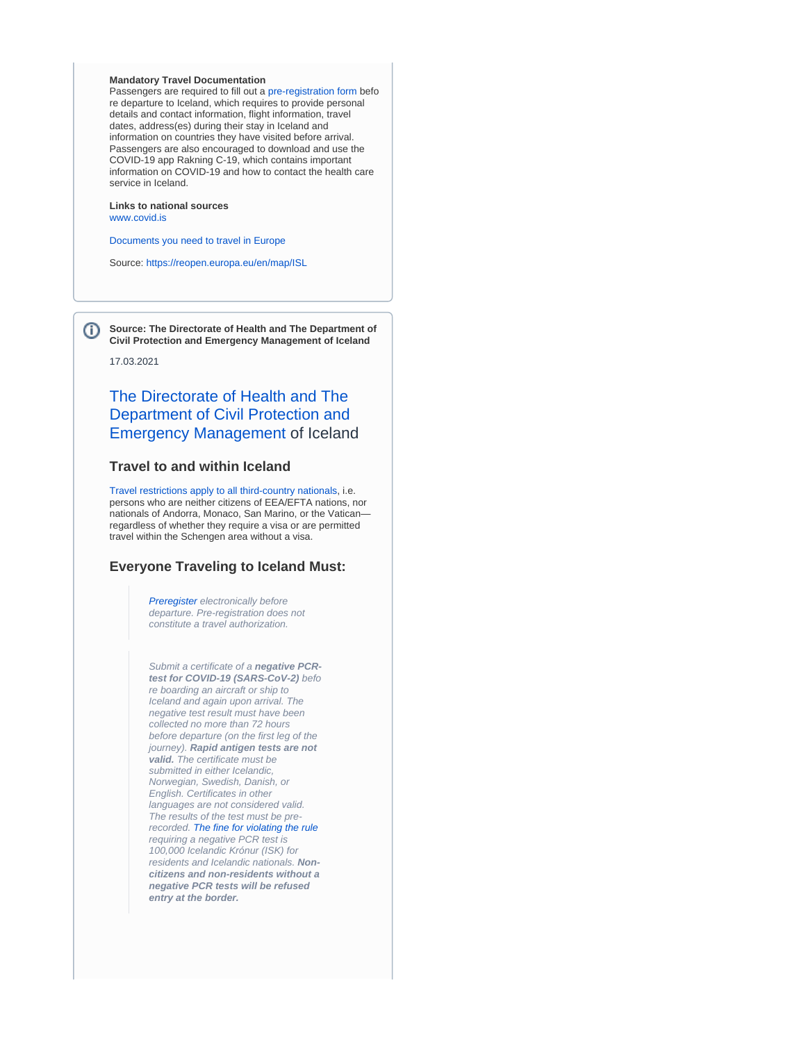#### **Mandatory Travel Documentation**

Passengers are required to fill out a [pre-registration form](https://reopen.europa.eu/www.covid.is/english) befo re departure to Iceland, which requires to provide personal details and contact information, flight information, travel dates, address(es) during their stay in Iceland and information on countries they have visited before arrival. Passengers are also encouraged to download and use the COVID-19 app Rakning C-19, which contains important information on COVID-19 and how to contact the health care service in Iceland.

**Links to national sources** [www.covid.is](https://www.covid.is/categories/tourists-travelling-to-iceland)

[Documents you need to travel in Europe](https://europa.eu/youreurope/citizens/travel/entry-exit/index_en.htm)

Source:<https://reopen.europa.eu/en/map/ISL>

**Source: The Directorate of Health and The Department of Civil Protection and Emergency Management of Iceland**

17.03.2021

## [The Directorate of Health and The](https://www.covid.is/sub-categories/visiting-iceland)  [Department of Civil Protection and](https://www.covid.is/sub-categories/visiting-iceland)  [Emergency Management](https://www.covid.is/sub-categories/visiting-iceland) of Iceland

## **Travel to and within Iceland**

[Travel restrictions apply to all third-country nationals](https://www.logreglan.is/english/regarding-travel-restrictions-to-iceland-as-a-result-of-covid-19/), i.e. persons who are neither citizens of EEA/EFTA nations, nor nationals of Andorra, Monaco, San Marino, or the Vatican regardless of whether they require a visa or are permitted travel within the Schengen area without a visa.

## **Everyone Traveling to Iceland Must:**

[Preregister](https://visit.covid.is/) electronically before departure. Pre-registration does not constitute a travel authorization.

Submit a certificate of a **negative PCRtest for COVID-19 (SARS-CoV-2)** befo re boarding an aircraft or ship to Iceland and again upon arrival. The negative test result must have been collected no more than 72 hours before departure (on the first leg of the journey). **Rapid antigen tests are not valid.** The certificate must be submitted in either Icelandic, Norwegian, Swedish, Danish, or English. Certificates in other languages are not considered valid. The results of the test must be prerecorded. [The fine for violating the rule](https://www.rikissaksoknari.is/english/covid-19/) requiring a negative PCR test is 100,000 Icelandic Krónur (ISK) for residents and Icelandic nationals. **Noncitizens and non-residents without a negative PCR tests will be refused entry at the border.**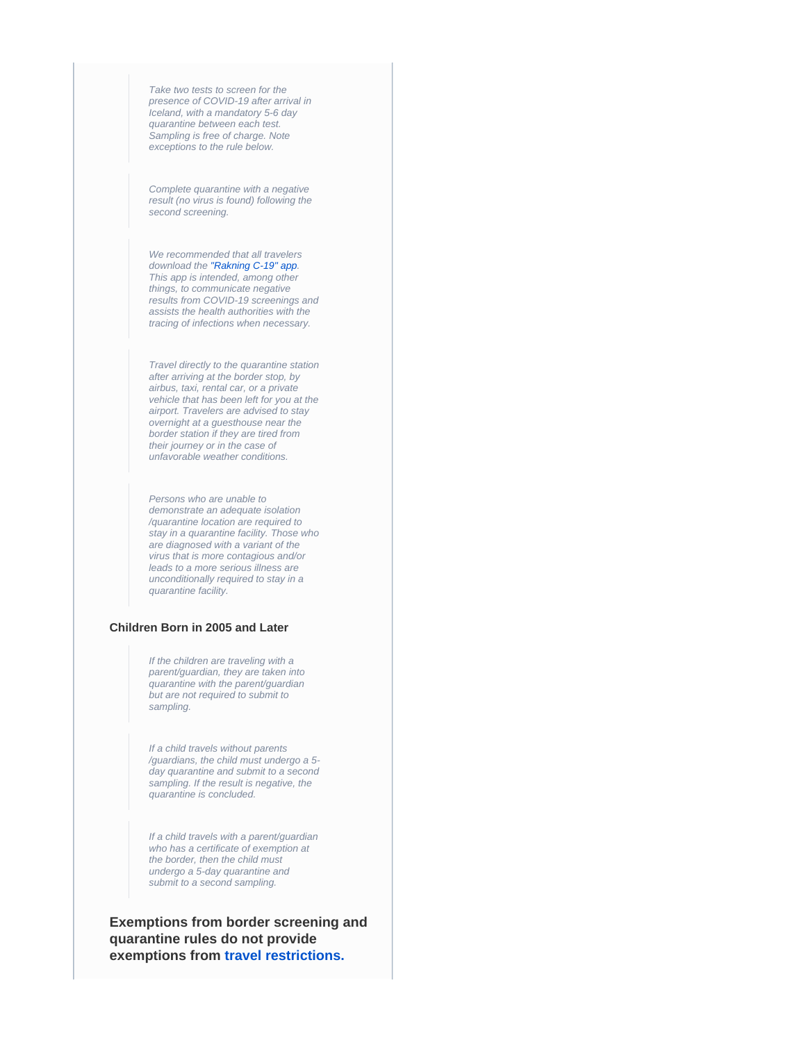Take two tests to screen for the presence of COVID-19 after arrival in Iceland, with a mandatory 5-6 day quarantine between each test. Sampling is free of charge. Note exceptions to the rule below.

Complete quarantine with a negative result (no virus is found) following the second screening.

We recommended that all travelers download the ["Rakning C-19" app.](https://www.covid.en/app/is) This app is intended, among other things, to communicate negative results from COVID-19 screenings and assists the health authorities with the tracing of infections when necessary.

Travel directly to the quarantine station after arriving at the border stop, by airbus, taxi, rental car, or a private vehicle that has been left for you at the airport. Travelers are advised to stay overnight at a guesthouse near the border station if they are tired from their journey or in the case of unfavorable weather conditions.

Persons who are unable to demonstrate an adequate isolation /quarantine location are required to stay in a quarantine facility. Those who are diagnosed with a variant of the virus that is more contagious and/or leads to a more serious illness are unconditionally required to stay in a quarantine facility.

#### **Children Born in 2005 and Later**

If the children are traveling with a parent/guardian, they are taken into quarantine with the parent/guardian but are not required to submit to sampling.

If a child travels without parents /guardians, the child must undergo a 5 day quarantine and submit to a second sampling. If the result is negative, the quarantine is concluded.

If a child travels with a parent/guardian who has a certificate of exemption at the border, then the child must undergo a 5-day quarantine and submit to a second sampling.

**Exemptions from border screening and quarantine rules do not provide exemptions from [travel restrictions.](https://www.logreglan.is/english/regarding-travel-restrictions-to-iceland-as-a-result-of-covid-19/)**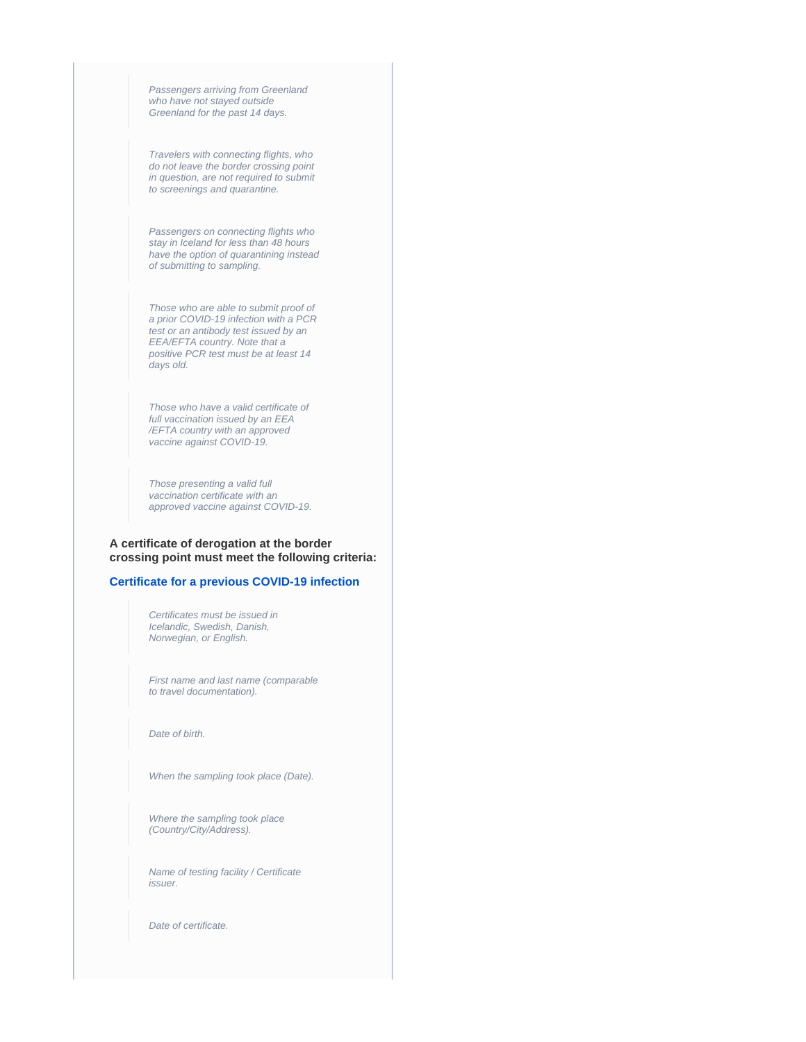Passengers arriving from Greenland who have not stayed outside Greenland for the past 14 days.

Travelers with connecting flights, who do not leave the border crossing point in question, are not required to submit to screenings and quarantine.

Passengers on connecting flights who stay in Iceland for less than 48 hours have the option of quarantining instead of submitting to sampling.

Those who are able to submit proof of a prior COVID-19 infection with a PCR test or an antibody test issued by an EEA/EFTA country. Note that a positive PCR test must be at least 14 days old.

Those who have a valid certificate of full vaccination issued by an EEA /EFTA country with an approved vaccine against COVID-19.

Those presenting a valid full vaccination certificate with an approved vaccine against COVID-19.

**A certificate of derogation at the border crossing point must meet the following criteria:**

## **[Certificate for a previous COVID-19 infection](https://www.landlaeknir.is/um-embaettid/greinar/grein/item43709/certificates-regarding-previous-covid-19-infection-that-are-accepted-at-the-border-in-iceland-from-10-december-2020)**

Certificates must be issued in Icelandic, Swedish, Danish, Norwegian, or English.

First name and last name (comparable to travel documentation).

Date of birth.

When the sampling took place (Date).

Where the sampling took place (Country/City/Address).

Name of testing facility / Certificate issuer.

Date of certificate.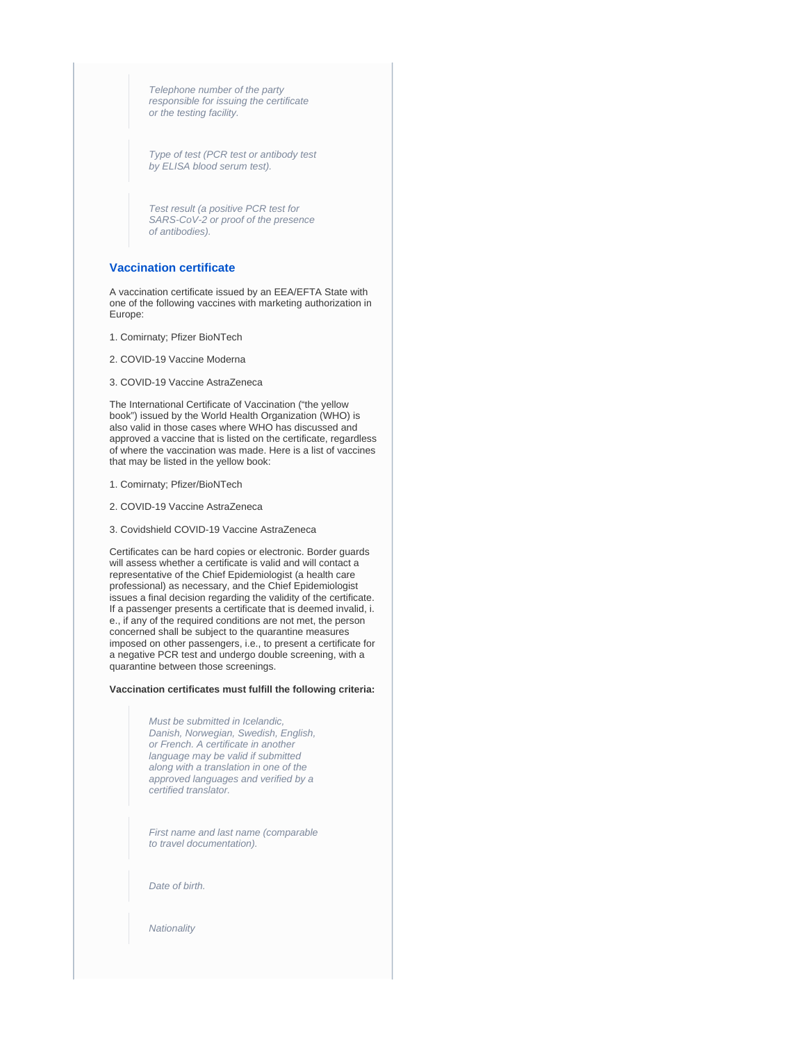Telephone number of the party responsible for issuing the certificate or the testing facility.

Type of test (PCR test or antibody test by ELISA blood serum test).

Test result (a positive PCR test for SARS-CoV-2 or proof of the presence of antibodies).

## **[Vaccination certificate](https://www.landlaeknir.is/um-embaettid/greinar/grein/item44162/certificate-of-vaccination-against-covid-19-accepted-at-the-border)**

A vaccination certificate issued by an EEA/EFTA State with one of the following vaccines with marketing authorization in Europe:

1. Comirnaty; Pfizer BioNTech

2. COVID-19 Vaccine Moderna

3. COVID-19 Vaccine AstraZeneca

The International Certificate of Vaccination ("the yellow book") issued by the World Health Organization (WHO) is also valid in those cases where WHO has discussed and approved a vaccine that is listed on the certificate, regardless of where the vaccination was made. Here is a list of vaccines that may be listed in the yellow book:

1. Comirnaty; Pfizer/BioNTech

2. COVID-19 Vaccine AstraZeneca

3. Covidshield COVID-19 Vaccine AstraZeneca

Certificates can be hard copies or electronic. Border guards will assess whether a certificate is valid and will contact a representative of the Chief Epidemiologist (a health care professional) as necessary, and the Chief Epidemiologist issues a final decision regarding the validity of the certificate. If a passenger presents a certificate that is deemed invalid, i. e., if any of the required conditions are not met, the person concerned shall be subject to the quarantine measures imposed on other passengers, i.e., to present a certificate for a negative PCR test and undergo double screening, with a quarantine between those screenings.

#### **Vaccination certificates must fulfill the following criteria:**

Must be submitted in Icelandic, Danish, Norwegian, Swedish, English, or French. A certificate in another language may be valid if submitted along with a translation in one of the approved languages and verified by a certified translator.

First name and last name (comparable to travel documentation).

Date of birth.

**Nationality**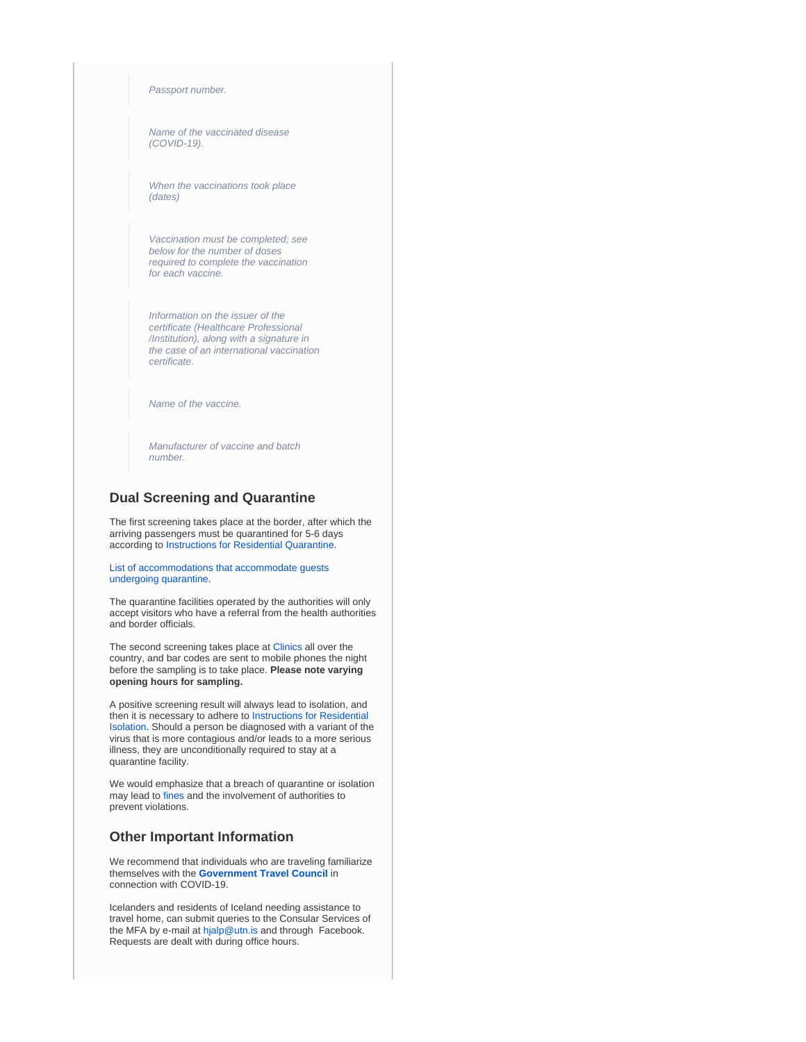#### Passport number.

Name of the vaccinated disease (COVID-19).

When the vaccinations took place (dates)

Vaccination must be completed; see below for the number of doses required to complete the vaccination for each vaccine.

Information on the issuer of the certificate (Healthcare Professional /Institution), along with a signature in the case of an international vaccination certificate.

Name of the vaccine.

Manufacturer of vaccine and batch number.

## **Dual Screening and Quarantine**

The first screening takes place at the border, after which the arriving passengers must be quarantined for 5-6 days according to [Instructions for Residential Quarantine.](https://www.landlaeknir.is/um-embaettid/greinar/grein/item43539/Instructions-for-persons-under-home-based-quarantine)

[List of accommodations that accommodate guests](https://www.ferdamalastofa.is/en/about-us/novel-coronavirus-covid-19-general-info/accommodations-that-welcome-guests-in-quarantine)  [undergoing quarantine.](https://www.ferdamalastofa.is/en/about-us/novel-coronavirus-covid-19-general-info/accommodations-that-welcome-guests-in-quarantine)

The quarantine facilities operated by the authorities will only accept visitors who have a referral from the health authorities and border officials.

The second screening takes place at [Clinics](https://www.landlaeknir.is/covid19-screening) all over the country, and bar codes are sent to mobile phones the night before the sampling is to take place. **Please note varying opening hours for sampling.**

A positive screening result will always lead to isolation, and then it is necessary to adhere to [Instructions for Residential](https://www.landlaeknir.is/servlet/file/store93/item39066/KSJ%20Instructions%20for%20the%20general%20public%20on%20home-based%20isolation%2004042020.pdf)  [Isolation](https://www.landlaeknir.is/servlet/file/store93/item39066/KSJ%20Instructions%20for%20the%20general%20public%20on%20home-based%20isolation%2004042020.pdf). Should a person be diagnosed with a variant of the virus that is more contagious and/or leads to a more serious illness, they are unconditionally required to stay at a quarantine facility.

We would emphasize that a breach of quarantine or isolation may lead to [fines](https://www.rikissaksoknari.is/english/covid-19/) and the involvement of authorities to prevent violations.

#### **Other Important Information**

We recommend that individuals who are traveling familiarize themselves with the **[Government Travel Council](https://www.stjornarradid.is/verkefni/utanrikismal/adstod-erlendis/ferdarad-vegna-covid-19/)** in connection with COVID-19.

Icelanders and residents of Iceland needing assistance to travel home, can submit queries to the Consular Services of the MFA by e-mail at [hjalp@utn.is](mailto:hjalp@utn.is) and through Facebook. Requests are dealt with during office hours.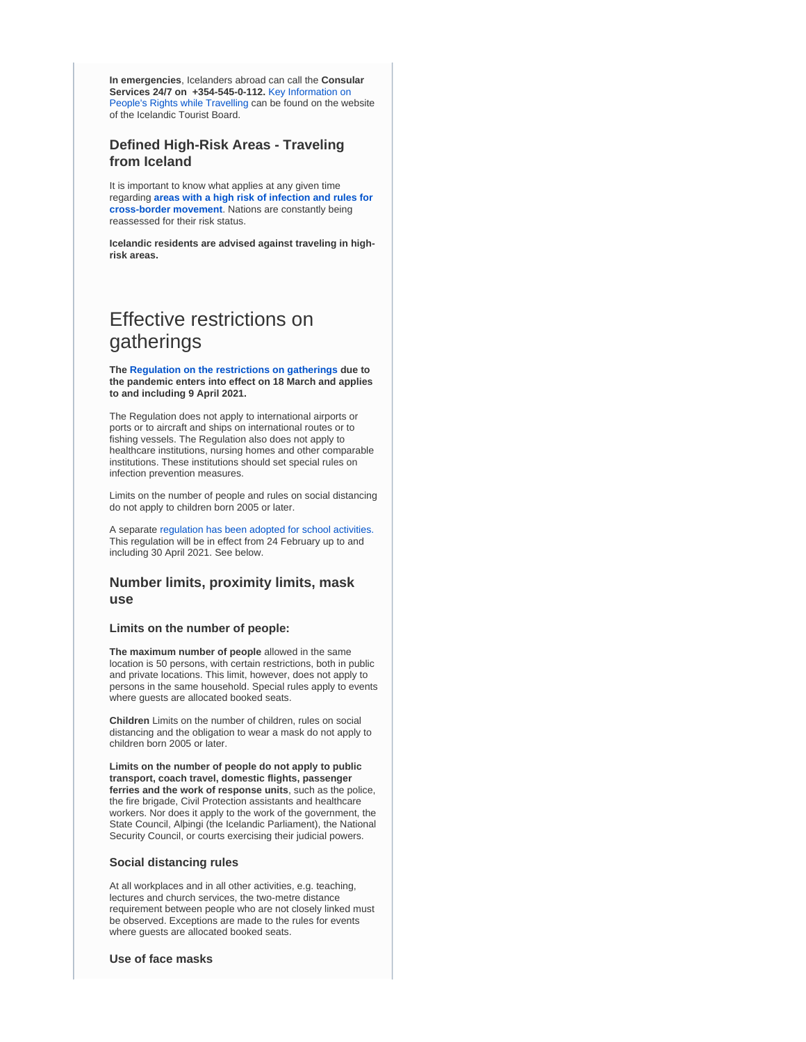**In emergencies**, Icelanders abroad can call the **Consular Services 24/7 on +354-545-0-112.** [Key Information on](https://www.ferdamalastofa.is/is/um-ferdamalastofu/frettir/category/1/upplysingar-um-rettindi-ferdafolks-vegna-covid-19)  [People's Rights while Travelling](https://www.ferdamalastofa.is/is/um-ferdamalastofu/frettir/category/1/upplysingar-um-rettindi-ferdafolks-vegna-covid-19) can be found on the website of the Icelandic Tourist Board.

## **Defined High-Risk Areas - Traveling from Iceland**

It is important to know what applies at any given time regarding **[areas with a high risk of infection and rules for](https://www.landlaeknir.is/um-embaettid/greinar/grein/item39194/Skilgreind-ahaettusvaedi---Defined-high-risk-areas)  [cross-border movement](https://www.landlaeknir.is/um-embaettid/greinar/grein/item39194/Skilgreind-ahaettusvaedi---Defined-high-risk-areas)**. Nations are constantly being reassessed for their risk status.

**Icelandic residents are advised against traveling in highrisk areas.**

## Effective restrictions on gatherings

**The [Regulation on the restrictions on gatherings](https://www.stjornarradid.is/default.aspx?pageid=e5cf150d-33a7-11e6-80c7-005056bc217f&newsid=45fdfd1d-864f-11eb-8134-005056bc8c60) due to the pandemic enters into effect on 18 March and applies to and including 9 April 2021.**

The Regulation does not apply to international airports or ports or to aircraft and ships on international routes or to fishing vessels. The Regulation also does not apply to healthcare institutions, nursing homes and other comparable institutions. These institutions should set special rules on infection prevention measures.

Limits on the number of people and rules on social distancing do not apply to children born 2005 or later.

A separate [regulation has been adopted for school activities.](https://www.government.is/news/article/2021/02/23/Significant-easing-of-domestic-restrictions-in-Iceland-to-take-effect-tomorrow-/) This regulation will be in effect from 24 February up to and including 30 April 2021. See below.

## **Number limits, proximity limits, mask use**

#### **Limits on the number of people:**

**The maximum number of people** allowed in the same location is 50 persons, with certain restrictions, both in public and private locations. This limit, however, does not apply to persons in the same household. Special rules apply to events where guests are allocated booked seats.

**Children** Limits on the number of children, rules on social distancing and the obligation to wear a mask do not apply to children born 2005 or later.

**Limits on the number of people do not apply to public transport, coach travel, domestic flights, passenger ferries and the work of response units**, such as the police, the fire brigade, Civil Protection assistants and healthcare workers. Nor does it apply to the work of the government, the State Council, Alþingi (the Icelandic Parliament), the National Security Council, or courts exercising their judicial powers.

#### **Social distancing rules**

At all workplaces and in all other activities, e.g. teaching, lectures and church services, the two-metre distance requirement between people who are not closely linked must be observed. Exceptions are made to the rules for events where guests are allocated booked seats.

**Use of face masks**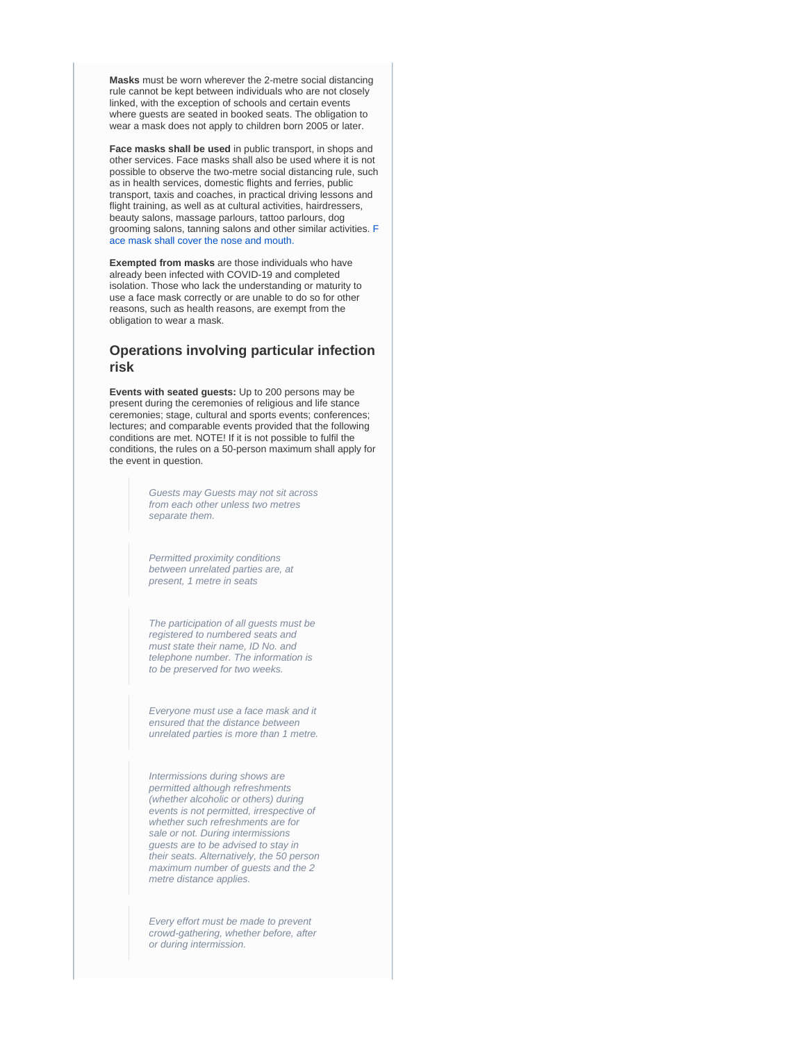**Masks** must be worn wherever the 2-metre social distancing rule cannot be kept between individuals who are not closely linked, with the exception of schools and certain events where guests are seated in booked seats. The obligation to wear a mask does not apply to children born 2005 or later.

**Face masks shall be used** in public transport, in shops and other services. Face masks shall also be used where it is not possible to observe the two-metre social distancing rule, such as in health services, domestic flights and ferries, public transport, taxis and coaches, in practical driving lessons and flight training, as well as at cultural activities, hairdressers. beauty salons, massage parlours, tattoo parlours, dog grooming salons, tanning salons and other similar activities. [F](https://www.covid.is/grimur-gera-gagn) [ace mask shall cover the nose and mouth.](https://www.covid.is/grimur-gera-gagn)

**Exempted from masks** are those individuals who have already been infected with COVID-19 and completed isolation. Those who lack the understanding or maturity to use a face mask correctly or are unable to do so for other reasons, such as health reasons, are exempt from the obligation to wear a mask.

## **Operations involving particular infection risk**

**Events with seated guests:** Up to 200 persons may be present during the ceremonies of religious and life stance ceremonies; stage, cultural and sports events; conferences; lectures; and comparable events provided that the following conditions are met. NOTE! If it is not possible to fulfil the conditions, the rules on a 50-person maximum shall apply for the event in question.

> Guests may Guests may not sit across from each other unless two metres separate them.

Permitted proximity conditions between unrelated parties are, at present, 1 metre in seats

The participation of all guests must be registered to numbered seats and must state their name, ID No. and telephone number. The information is to be preserved for two weeks.

Everyone must use a face mask and it ensured that the distance between unrelated parties is more than 1 metre.

Intermissions during shows are permitted although refreshments (whether alcoholic or others) during events is not permitted, irrespective of whether such refreshments are for sale or not. During intermissions guests are to be advised to stay in their seats. Alternatively, the 50 person maximum number of guests and the 2 metre distance applies.

Every effort must be made to prevent crowd-gathering, whether before, after or during intermission.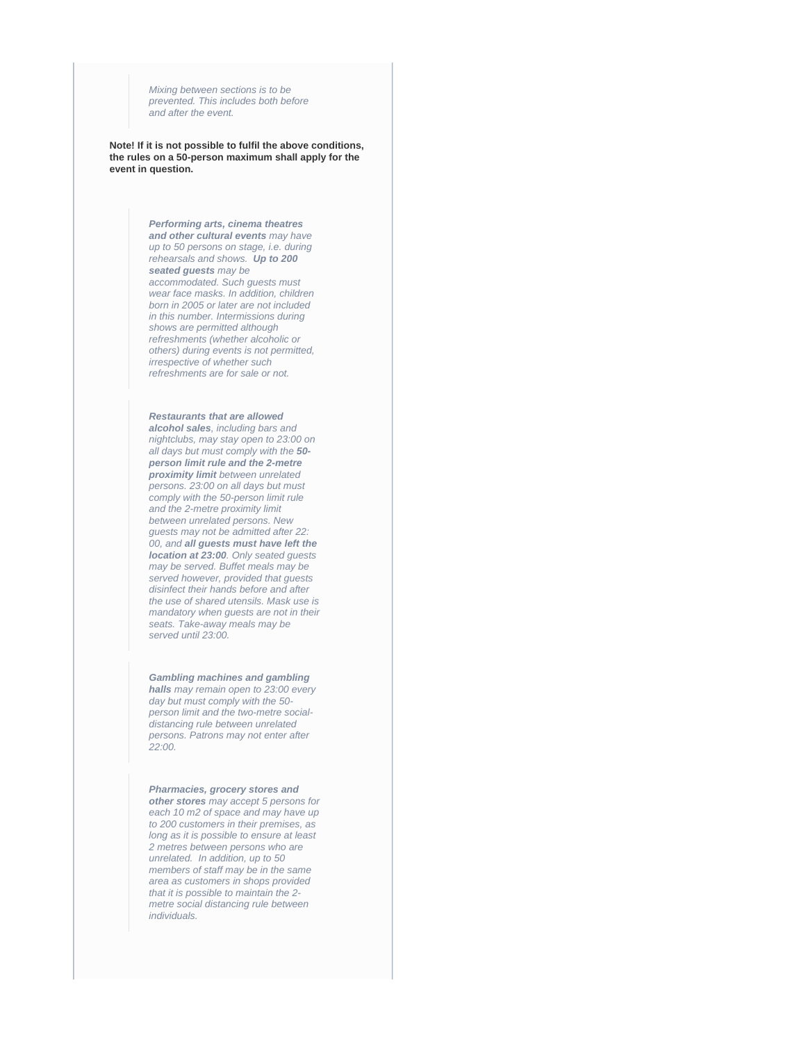Mixing between sections is to be prevented. This includes both before and after the event.

**Note! If it is not possible to fulfil the above conditions, the rules on a 50-person maximum shall apply for the event in question.**

> **Performing arts, cinema theatres and other cultural events** may have up to 50 persons on stage, i.e. during rehearsals and shows. **Up to 200 seated guests** may be accommodated. Such guests must wear face masks. In addition, children born in 2005 or later are not included in this number. Intermissions during shows are permitted although refreshments (whether alcoholic or others) during events is not permitted, irrespective of whether such refreshments are for sale or not.

**Restaurants that are allowed alcohol sales**, including bars and nightclubs, may stay open to 23:00 on all days but must comply with the **50 person limit rule and the 2-metre proximity limit** between unrelated persons. 23:00 on all days but must comply with the 50-person limit rule and the 2-metre proximity limit between unrelated persons. New guests may not be admitted after 22: 00, and **all guests must have left the location at 23:00**. Only seated guests may be served. Buffet meals may be served however, provided that guests disinfect their hands before and after the use of shared utensils. Mask use is mandatory when guests are not in their seats. Take-away meals may be served until 23:00.

**Gambling machines and gambling halls** may remain open to 23:00 every day but must comply with the 50 person limit and the two-metre socialdistancing rule between unrelated persons. Patrons may not enter after 22:00.

**Pharmacies, grocery stores and** 

**other stores** may accept 5 persons for each 10 m2 of space and may have up to 200 customers in their premises, as long as it is possible to ensure at least 2 metres between persons who are unrelated. In addition, up to 50 members of staff may be in the same area as customers in shops provided that it is possible to maintain the 2 metre social distancing rule between individuals.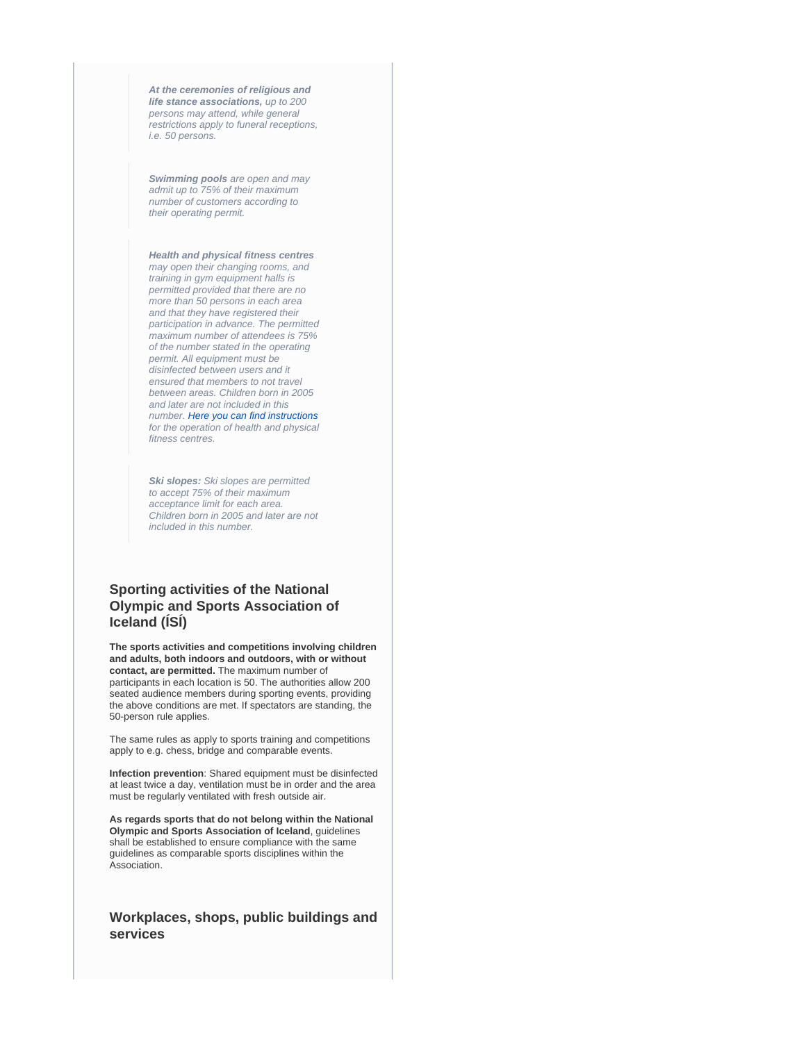**At the ceremonies of religious and life stance associations,** up to 200 persons may attend, while general restrictions apply to funeral receptions, i.e. 50 persons.

**Swimming pools** are open and may admit up to 75% of their maximum number of customers according to their operating permit.

**Health and physical fitness centres** may open their changing rooms, and training in gym equipment halls is permitted provided that there are no more than 50 persons in each area and that they have registered their participation in advance. The permitted maximum number of attendees is 75% of the number stated in the operating permit. All equipment must be disinfected between users and it ensured that members to not travel between areas. Children born in 2005 and later are not included in this number. [Here you can find instructions](https://www.landlaeknir.is/um-embaettid/greinar/grein/item44038/Leidbeiningar-fyrir-starfsemi-heilsu--og-likamsraektarstodvar-vegna-COVID-19) for the operation of health and physical fitness centres.

**Ski slopes:** Ski slopes are permitted to accept 75% of their maximum acceptance limit for each area. Children born in 2005 and later are not included in this number.

## **Sporting activities of the National Olympic and Sports Association of Iceland (ÍSÍ)**

**The sports activities and competitions involving children and adults, both indoors and outdoors, with or without contact, are permitted.** The maximum number of participants in each location is 50. The authorities allow 200 seated audience members during sporting events, providing the above conditions are met. If spectators are standing, the 50-person rule applies.

The same rules as apply to sports training and competitions apply to e.g. chess, bridge and comparable events.

**Infection prevention**: Shared equipment must be disinfected at least twice a day, ventilation must be in order and the area must be regularly ventilated with fresh outside air.

**As regards sports that do not belong within the National Olympic and Sports Association of Iceland**, guidelines shall be established to ensure compliance with the same guidelines as comparable sports disciplines within the Association.

**Workplaces, shops, public buildings and services**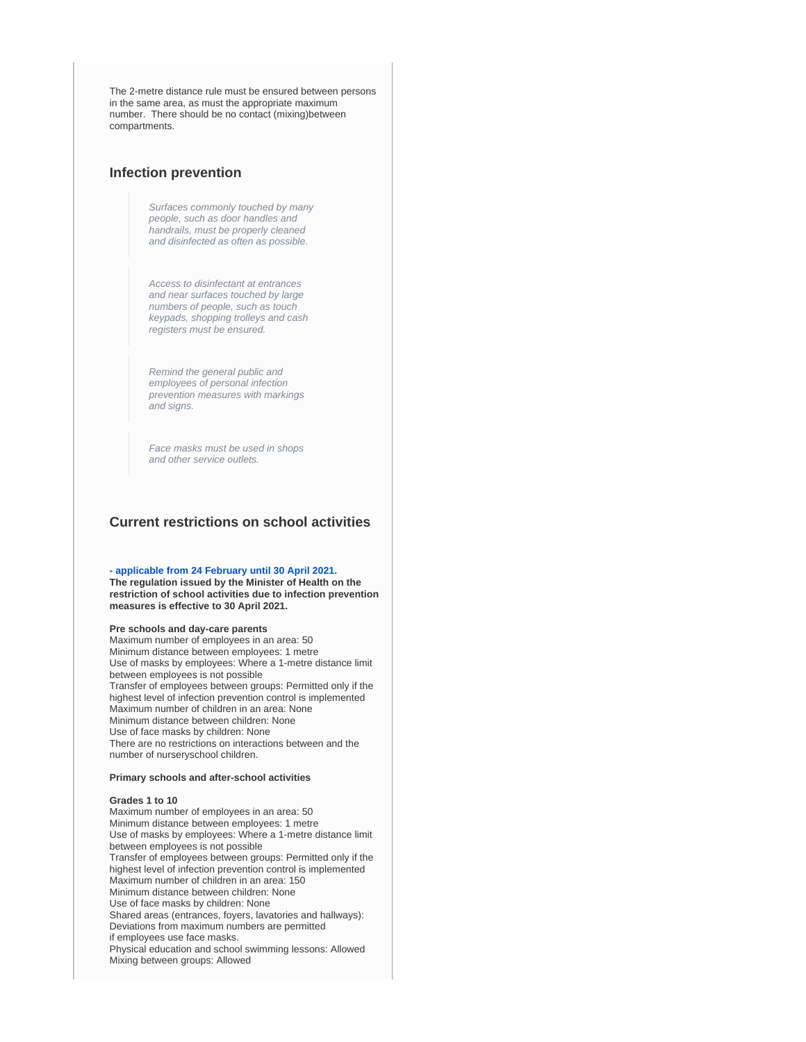The 2-metre distance rule must be ensured between persons in the same area, as must the appropriate maximum number. There should be no contact (mixing)between compartments.

## **Infection prevention**

Surfaces commonly touched by many people, such as door handles and handrails, must be properly cleaned and disinfected as often as possible.

Access to disinfectant at entrances and near surfaces touched by large numbers of people, such as touch keypads, shopping trolleys and cash registers must be ensured.

Remind the general public and employees of personal infection prevention measures with markings and signs.

Face masks must be used in shops and other service outlets.

## **Current restrictions on school activities**

### **[- applicable from 24 February until 30 April 2021.](https://www.stjornarradid.is/efst-a-baugi/frettir/stok-frett/2021/02/23/Rymkun-a-skolastarfi-haskolar-geta-hafid-stadnam-ad-nyju/)**

**The regulation issued by the Minister of Health on the restriction of school activities due to infection prevention measures is effective to 30 April 2021.**

#### **Pre schools and day-care parents**

Maximum number of employees in an area: 50 Minimum distance between employees: 1 metre Use of masks by employees: Where a 1-metre distance limit between employees is not possible Transfer of employees between groups: Permitted only if the highest level of infection prevention control is implemented Maximum number of children in an area: None Minimum distance between children: None Use of face masks by children: None There are no restrictions on interactions between and the number of nurseryschool children.

#### **Primary schools and after-school activities**

#### **Grades 1 to 10**

Maximum number of employees in an area: 50 Minimum distance between employees: 1 metre Use of masks by employees: Where a 1-metre distance limit between employees is not possible Transfer of employees between groups: Permitted only if the highest level of infection prevention control is implemented Maximum number of children in an area: 150 Minimum distance between children: None Use of face masks by children: None Shared areas (entrances, foyers, lavatories and hallways): Deviations from maximum numbers are permitted if employees use face masks. Physical education and school swimming lessons: Allowed Mixing between groups: Allowed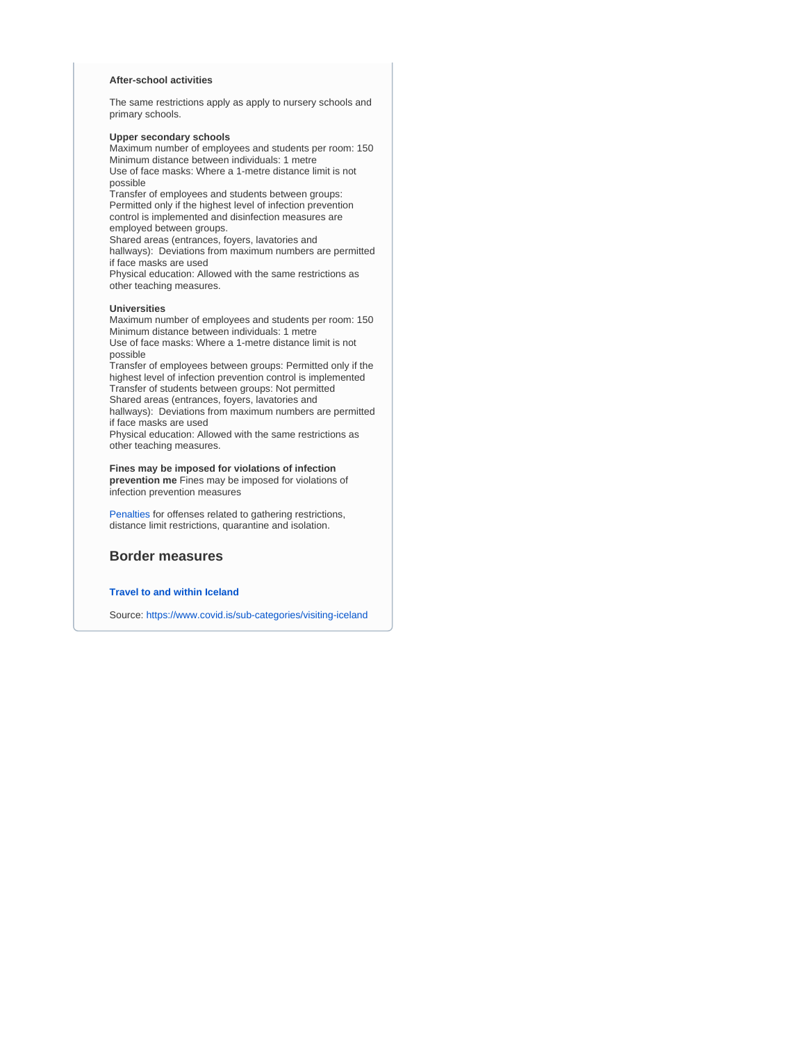## **After-school activities**

The same restrictions apply as apply to nursery schools and primary schools.

## **Upper secondary schools**

Maximum number of employees and students per room: 150 Minimum distance between individuals: 1 metre Use of face masks: Where a 1-metre distance limit is not possible

Transfer of employees and students between groups: Permitted only if the highest level of infection prevention control is implemented and disinfection measures are employed between groups.

Shared areas (entrances, foyers, lavatories and hallways): Deviations from maximum numbers are permitted if face masks are used

Physical education: Allowed with the same restrictions as other teaching measures.

#### **Universities**

Maximum number of employees and students per room: 150 Minimum distance between individuals: 1 metre Use of face masks: Where a 1-metre distance limit is not possible

Transfer of employees between groups: Permitted only if the highest level of infection prevention control is implemented Transfer of students between groups: Not permitted

Shared areas (entrances, foyers, lavatories and hallways): Deviations from maximum numbers are permitted

if face masks are used Physical education: Allowed with the same restrictions as other teaching measures.

### **Fines may be imposed for violations of infection**

**prevention me** Fines may be imposed for violations of infection prevention measures

[Penalties](https://www.rikissaksoknari.is/fyrirmaeli/brot-gegn-sottvarnarlogum-og-reglum-settum-samkvaemt-theim-sbr.-19.-gr.-sottvarnalaga-nr.-19-1997-vegna-heimsfaraldurs-6) for offenses related to gathering restrictions, distance limit restrictions, quarantine and isolation.

## **Border measures**

### **[Travel to and within Iceland](https://www.covid.is/sub-categories/visiting-iceland)**

Source:<https://www.covid.is/sub-categories/visiting-iceland>